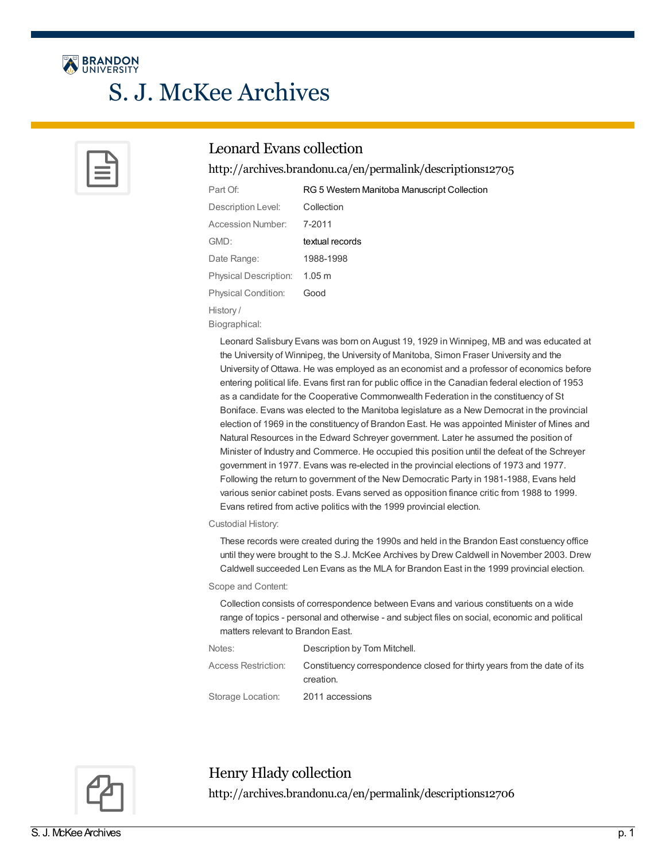

# S. J. McKee Archives



### Leonard Evans collection

<http://archives.brandonu.ca/en/permalink/descriptions12705>

| Part Of:                   | RG 5 Western Manitoba Manuscript Collection |
|----------------------------|---------------------------------------------|
| Description Level:         | Collection                                  |
| Accession Number:          | 7-2011                                      |
| GMD:                       | textual records                             |
| Date Range:                | 1988-1998                                   |
| Physical Description:      | 1.05 m                                      |
| <b>Physical Condition:</b> | Good                                        |
| History/                   |                                             |
|                            |                                             |

Leonard Salisbury Evans was born on August 19, 1929 in Winnipeg, MB and was educated at the University of Winnipeg, the University of Manitoba, Simon Fraser University and the University of Ottawa. He was employed as an economist and a professor of economics before entering political life. Evans first ran for public office in the Canadian federal election of 1953 as a candidate for the Cooperative Commonwealth Federation in the constituency of St Boniface. Evans was elected to the Manitoba legislature as a New Democrat in the provincial election of 1969 in the constituency of Brandon East. He was appointed Minister of Mines and Natural Resources in the Edward Schreyer government. Later he assumed the position of Minister of Industry and Commerce. He occupied this position until the defeat of the Schreyer government in 1977. Evans was re-elected in the provincial elections of 1973 and 1977. Following the return to government of the New Democratic Party in 1981-1988, Evans held various senior cabinet posts. Evans served as opposition finance critic from 1988 to 1999. Evans retired from active politics with the 1999 provincial election.

### Custodial History:

Biographical:

These records were created during the 1990s and held in the Brandon East constuency office until they were brought to the S.J. McKee Archives by Drew Caldwell in November 2003. Drew Caldwell succeeded Len Evans as the MLA for Brandon East in the 1999 provincial election.

### Scope and Content:

Collection consists of correspondence between Evans and various constituents on a wide range of topics - personal and otherwise - and subject files on social, economic and political matters relevant to Brandon East.

| Notes:              | Description by Tom Mitchell.                                                          |
|---------------------|---------------------------------------------------------------------------------------|
| Access Restriction: | Constituency correspondence closed for thirty years from the date of its<br>creation. |
| Storage Location:   | 2011 accessions                                                                       |



Henry Hlady collection <http://archives.brandonu.ca/en/permalink/descriptions12706>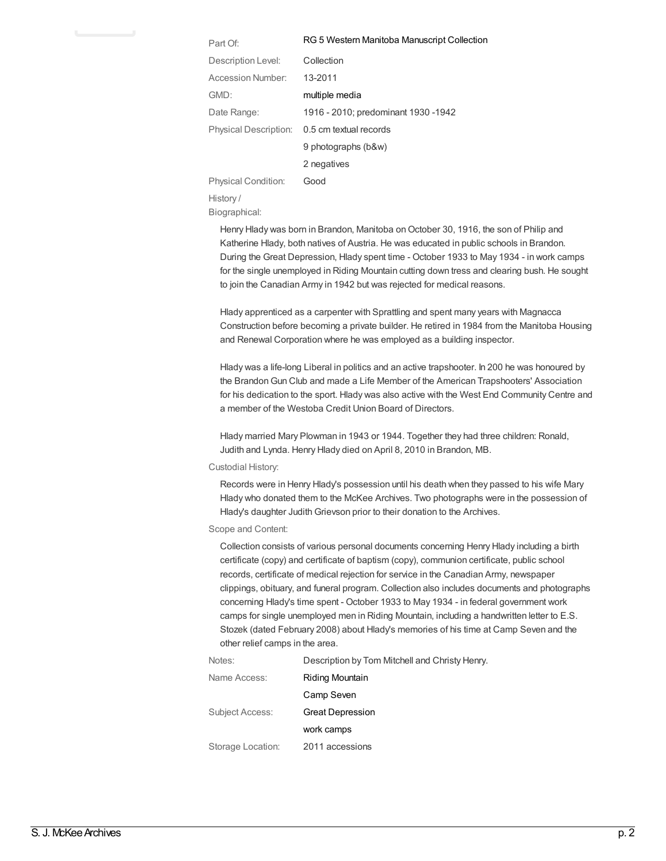| Part Of:                   | RG 5 Western Manitoba Manuscript Collection |
|----------------------------|---------------------------------------------|
| Description Level:         | Collection                                  |
| Accession Number:          | 13-2011                                     |
| GMD:                       | multiple media                              |
| Date Range:                | 1916 - 2010; predominant 1930 - 1942        |
| Physical Description:      | 0.5 cm textual records                      |
|                            | 9 photographs (b&w)                         |
|                            | 2 negatives                                 |
| <b>Physical Condition:</b> | Good                                        |

History / Biographical:

> Henry Hlady was born in Brandon, Manitoba on October 30, 1916, the son of Philip and Katherine Hlady, both natives of Austria. He was educated in public schools in Brandon. During the Great Depression, Hlady spent time - October 1933 to May 1934 - in work camps for the single unemployed in Riding Mountain cutting down tress and clearing bush. He sought to join the Canadian Army in 1942 but was rejected for medical reasons.

> Hlady apprenticed as a carpenter with Sprattling and spent many years with Magnacca Construction before becoming a private builder. He retired in 1984 from the Manitoba Housing and Renewal Corporation where he was employed as a building inspector.

> Hlady was a life-long Liberal in politics and an active trapshooter. In 200 he was honoured by the BrandonGun Club and made a Life Member of the American Trapshooters' Association for his dedication to the sport. Hlady was also active with the West End Community Centre and a member of the Westoba Credit Union Board of Directors.

Hlady married Mary Plowman in 1943 or 1944. Together they had three children: Ronald, Judith and Lynda. Henry Hlady died on April 8, 2010 in Brandon, MB.

### Custodial History:

Records were in Henry Hlady's possession until his death when they passed to his wife Mary Hlady who donated them to the McKee Archives. Two photographs were in the possession of Hlady's daughter Judith Grievson prior to their donation to the Archives.

### Scope and Content:

Collection consists of various personal documents concerning Henry Hlady including a birth certificate (copy) and certificate of baptism (copy), communion certificate, public school records, certificate of medical rejection for service in the Canadian Army, newspaper clippings, obituary, and funeral program. Collection also includes documents and photographs concerning Hlady's time spent - October 1933 to May 1934 - in federal government work camps for single unemployed men in Riding Mountain, including a handwritten letter to E.S. Stozek (dated February 2008) about Hlady's memories of his time at Camp Seven and the other relief camps in the area.

Notes: Description by Tom Mitchell and Christy Henry.

| Name Access:      | Riding Mountain         |
|-------------------|-------------------------|
|                   | Camp Seven              |
| Subject Access:   | <b>Great Depression</b> |
|                   | work camps              |
| Storage Location: | 2011 accessions         |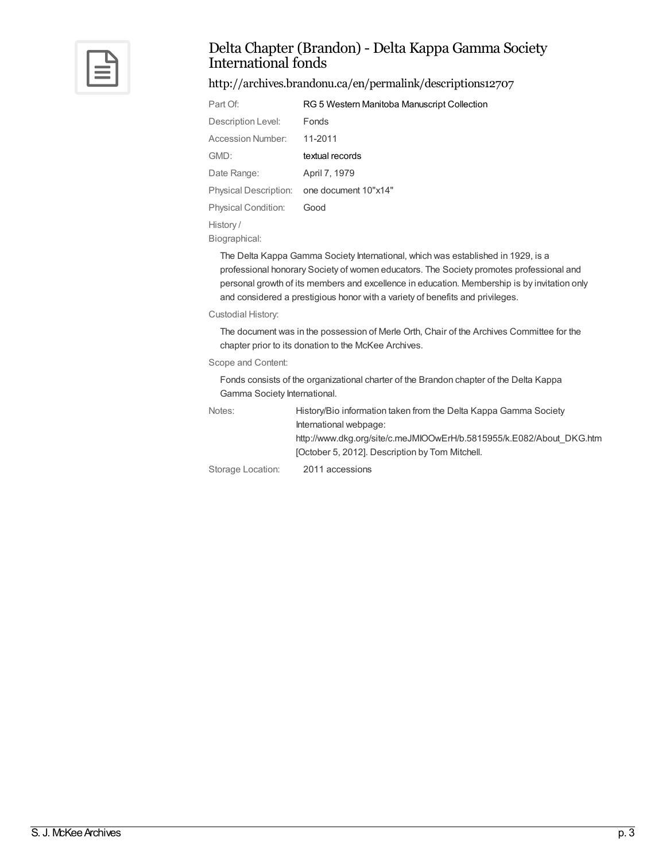

### Delta Chapter (Brandon) - Delta Kappa Gamma Society International fonds

<http://archives.brandonu.ca/en/permalink/descriptions12707>

| Part Of:                     | RG 5 Western Manitoba Manuscript Collection |
|------------------------------|---------------------------------------------|
| Description Level:           | Fonds                                       |
| Accession Number:            | 11-2011                                     |
| GMD:                         | textual records                             |
| Date Range:                  | April 7, 1979                               |
| <b>Physical Description:</b> | one document 10"x14"                        |
| <b>Physical Condition:</b>   | Good                                        |
| History/                     |                                             |
| Biographical:                |                                             |

The Delta Kappa Gamma Society International, which was established in 1929, is a professional honorary Society of women educators. The Society promotes professional and personal growth of its members and excellence in education. Membership is by invitation only and considered a prestigious honor with a variety of benefits and privileges.

### Custodial History:

The document was in the possession of Merle Orth, Chair of the Archives Committee for the chapter prior to its donation to the McKee Archives.

### Scope and Content:

Fonds consists of the organizational charter of the Brandon chapter of the Delta Kappa Gamma Society International.

| Notes: | History/Bio information taken from the Delta Kappa Gamma Society     |
|--------|----------------------------------------------------------------------|
|        | International webpage:                                               |
|        | http://www.dkg.org/site/c.meJMIOOwErH/b.5815955/k.E082/About DKG.htm |
|        | [October 5, 2012]. Description by Tom Mitchell.                      |
|        |                                                                      |

Storage Location: 2011 accessions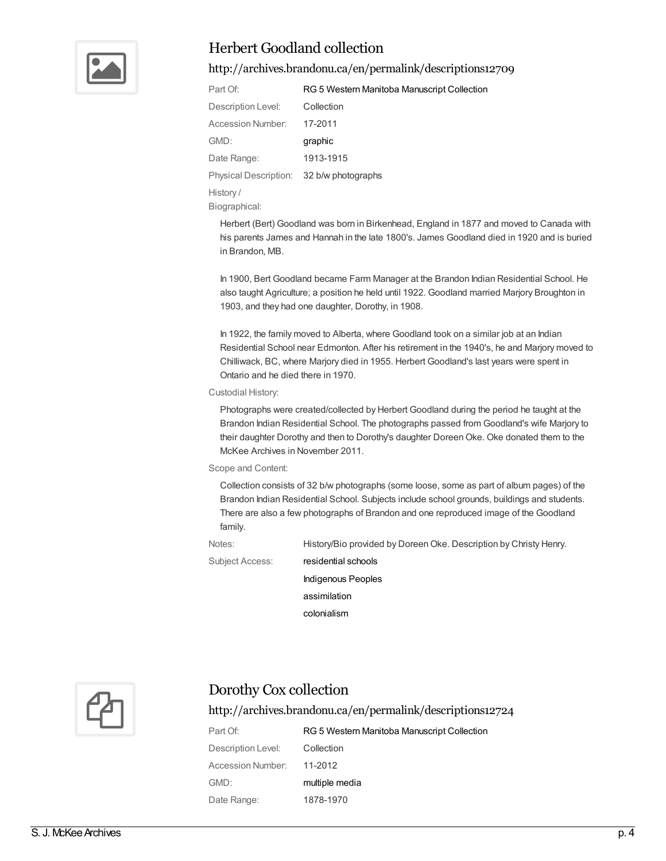

### Herbert Goodland collection

### <http://archives.brandonu.ca/en/permalink/descriptions12709>

| Part Of:                                 | RG 5 Western Manitoba Manuscript Collection |
|------------------------------------------|---------------------------------------------|
| Description Level:                       | Collection                                  |
| Accession Number:                        | 17-2011                                     |
|                                          |                                             |
| GMD:                                     | graphic                                     |
| Date Range:                              | 1913-1915                                   |
| Physical Description: 32 b/w photographs |                                             |

History /

Biographical:

Herbert (Bert) Goodland was born in Birkenhead, England in 1877 and moved to Canada with his parents James and Hannah in the late 1800's. James Goodland died in 1920 and is buried in Brandon, MB.

In 1900, Bert Goodland became Farm Manager at the Brandon Indian Residential School. He also taught Agriculture; a position he held until 1922. Goodland married Marjory Broughton in 1903, and they had one daughter, Dorothy, in 1908.

In 1922, the family moved to Alberta, where Goodland took on a similar job at an Indian Residential School near Edmonton. After his retirement in the 1940's, he and Marjory moved to Chilliwack, BC, where Marjory died in 1955. Herbert Goodland's last years were spent in Ontario and he died there in 1970.

### Custodial History:

Photographs were created/collected by Herbert Goodland during the period he taught at the Brandon Indian Residential School. The photographs passed from Goodland's wife Marjory to their daughter Dorothy and then to Dorothy's daughter Doreen Oke. Oke donated them to the McKee Archives in November 2011.

### Scope and Content:

Collection consists of 32 b/w photographs (some loose, some as part of album pages) of the Brandon Indian Residential School. Subjects include school grounds, buildings and students. There are also a few photographs of Brandon and one reproduced image of the Goodland family.

Notes: History/Bio provided by Doreen Oke. Description by Christy Henry.

Subject Access: [residential](http://archives.brandonu.ca/en/list?q=topic%3a%22residential+schools%22&p=1&ps=&sort=title_sort+asc) schools

[Indigenous](http://archives.brandonu.ca/en/list?q=topic%3a%22Indigenous+Peoples%22&p=1&ps=&sort=title_sort+asc) Peoples

[assimilation](http://archives.brandonu.ca/en/list?q=topic%3a%22assimilation%22&p=1&ps=&sort=title_sort+asc)

[colonialism](http://archives.brandonu.ca/en/list?q=topic%3a%22colonialism%22&p=1&ps=&sort=title_sort+asc)



### Dorothy Cox collection

### <http://archives.brandonu.ca/en/permalink/descriptions12724>

Part Of: **RG 5 Western Manitoba [Manuscript](http://archives.brandonu.ca/en/list?q=setName%3a%22RG+5+Western+Manitoba+Manuscript+Collection%22&p=1&ps=&sort=title_sort+asc) Collection** Description Level: Collection Accession Number: 11-2012 GMD: [multiple](http://archives.brandonu.ca/en/list?q=objectType%3a%22multiple+media%22&p=1&ps=&sort=title_sort+asc) media Date Range: 1878-1970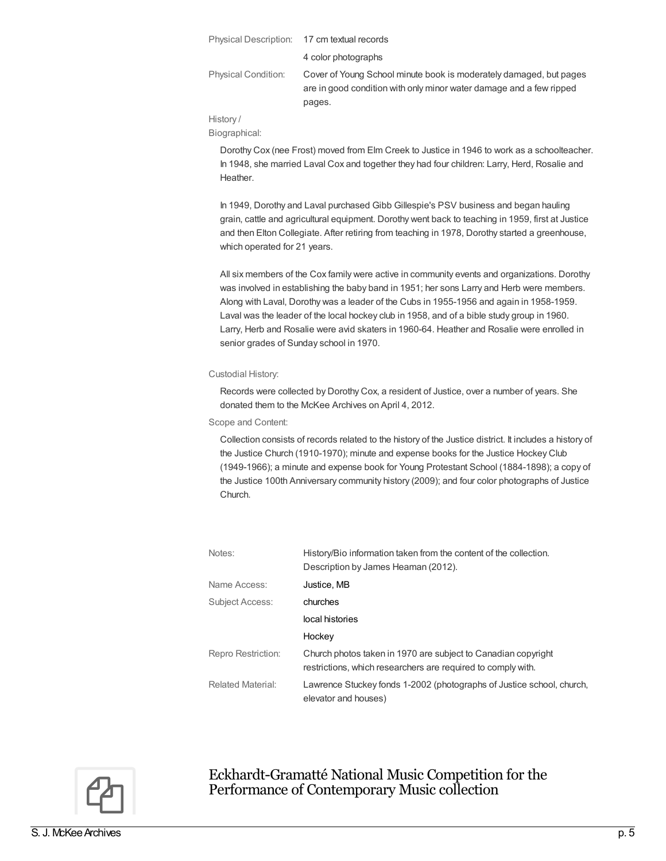|                            | Physical Description: 17 cm textual records                                                                                               |
|----------------------------|-------------------------------------------------------------------------------------------------------------------------------------------|
|                            | 4 color photographs                                                                                                                       |
| <b>Physical Condition:</b> | Cover of Young School minute book is moderately damaged, but pages<br>are in good condition with only minor water damage and a few ripped |
|                            | pages.                                                                                                                                    |

History /

Biographical:

Dorothy Cox (nee Frost) moved from Elm Creek to Justice in 1946 to work as a schoolteacher. In 1948, she married Laval Cox and together they had four children: Larry, Herd, Rosalie and Heather.

In 1949, Dorothy and Laval purchased Gibb Gillespie's PSV business and began hauling grain, cattle and agricultural equipment. Dorothy went back to teaching in 1959, first at Justice and then Elton Collegiate. After retiring from teaching in 1978, Dorothy started a greenhouse, which operated for 21 years.

All six members of the Cox family were active in community events and organizations. Dorothy was involved in establishing the baby band in 1951; her sons Larry and Herb were members. Along with Laval, Dorothy was a leader of the Cubs in 1955-1956 and again in 1958-1959. Laval was the leader of the local hockey club in 1958, and of a bible study group in 1960. Larry, Herb and Rosalie were avid skaters in 1960-64. Heather and Rosalie were enrolled in senior grades of Sunday school in 1970.

### Custodial History:

Records were collected by Dorothy Cox, a resident of Justice, over a number of years. She donated them to the McKee Archives on April 4, 2012.

Scope and Content:

Collection consists of records related to the history of the Justice district. It includes a history of the Justice Church (1910-1970); minute and expense books for the Justice Hockey Club (1949-1966); a minute and expense book for Young Protestant School (1884-1898); a copy of the Justice 100th Anniversary community history (2009); and four color photographs of Justice Church.

| Notes:                   | History/Bio information taken from the content of the collection.<br>Description by James Heaman (2012).                      |
|--------------------------|-------------------------------------------------------------------------------------------------------------------------------|
| Name Access:             | Justice, MB                                                                                                                   |
| Subject Access:          | churches                                                                                                                      |
|                          | local histories                                                                                                               |
|                          | Hockey                                                                                                                        |
| Repro Restriction:       | Church photos taken in 1970 are subject to Canadian copyright<br>restrictions, which researchers are required to comply with. |
| <b>Related Material:</b> | Lawrence Stuckey fonds 1-2002 (photographs of Justice school, church,<br>elevator and houses)                                 |



Eckhardt-Gramatté National Music Competition for the Performance of Contemporary Musiccollection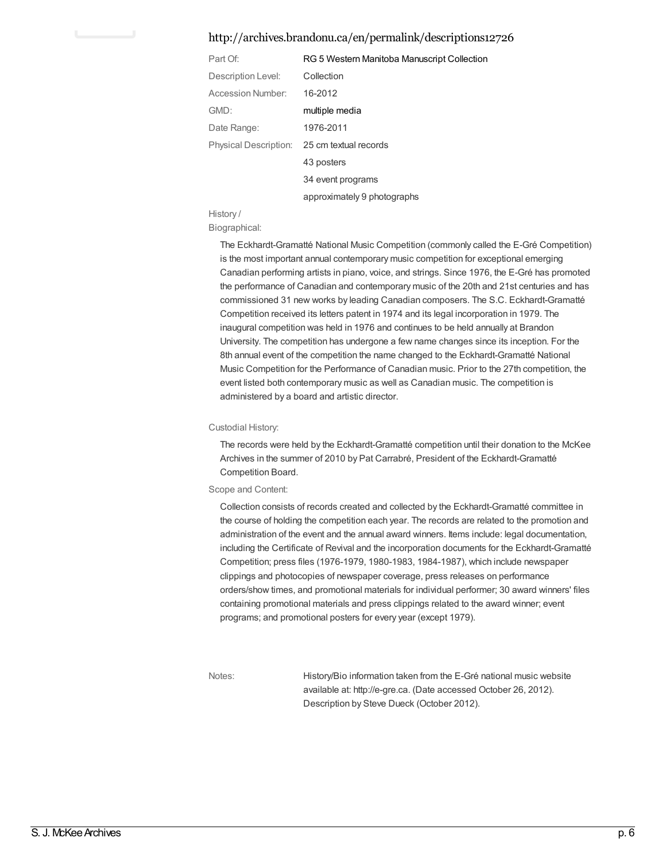### <http://archives.brandonu.ca/en/permalink/descriptions12726>

| Part Of:              | RG 5 Western Manitoba Manuscript Collection |
|-----------------------|---------------------------------------------|
| Description Level:    | Collection                                  |
| Accession Number:     | 16-2012                                     |
| GMD:                  | multiple media                              |
| Date Range:           | 1976-2011                                   |
| Physical Description: | 25 cm textual records                       |
|                       | 43 posters                                  |
|                       | 34 event programs                           |
|                       | approximately 9 photographs                 |

History /

#### Biographical:

The Eckhardt-Gramatté National Music Competition (commonly called the E-Gré Competition) is the most important annual contemporary music competition for exceptional emerging Canadian performing artists in piano, voice, and strings. Since 1976, the E-Gré has promoted the performance of Canadian and contemporary music of the 20th and 21st centuries and has commissioned 31 new works by leading Canadian composers. The S.C. Eckhardt-Gramatté Competition received its letters patent in 1974 and its legal incorporation in 1979. The inaugural competition was held in 1976 and continues to be held annually at Brandon University. The competition has undergone a few name changes since its inception. For the 8th annual event of the competition the name changed to the Eckhardt-Gramatté National Music Competition for the Performance of Canadian music. Prior to the 27th competition, the event listed both contemporary music as well as Canadian music. The competition is administered by a board and artistic director.

#### Custodial History:

The records were held by the Eckhardt-Gramatté competition until their donation to the McKee Archives in the summer of 2010 by Pat Carrabré, President of the Eckhardt-Gramatté Competition Board.

#### Scope and Content:

Collection consists of records created and collected by the Eckhardt-Gramatté committee in the course of holding the competition each year. The records are related to the promotion and administration of the event and the annual award winners. Items include: legal documentation, including the Certificate of Revival and the incorporation documents for the Eckhardt-Gramatté Competition; press files (1976-1979, 1980-1983, 1984-1987), which include newspaper clippings and photocopies of newspaper coverage, press releases on performance orders/show times, and promotional materials for individual performer; 30 award winners' files containing promotional materials and press clippings related to the award winner; event programs; and promotional posters for every year (except 1979).

Notes: History/Bio information taken from the E-Gré national music website available at: http://e-gre.ca. (Date accessed October 26, 2012). Description by Steve Dueck (October 2012).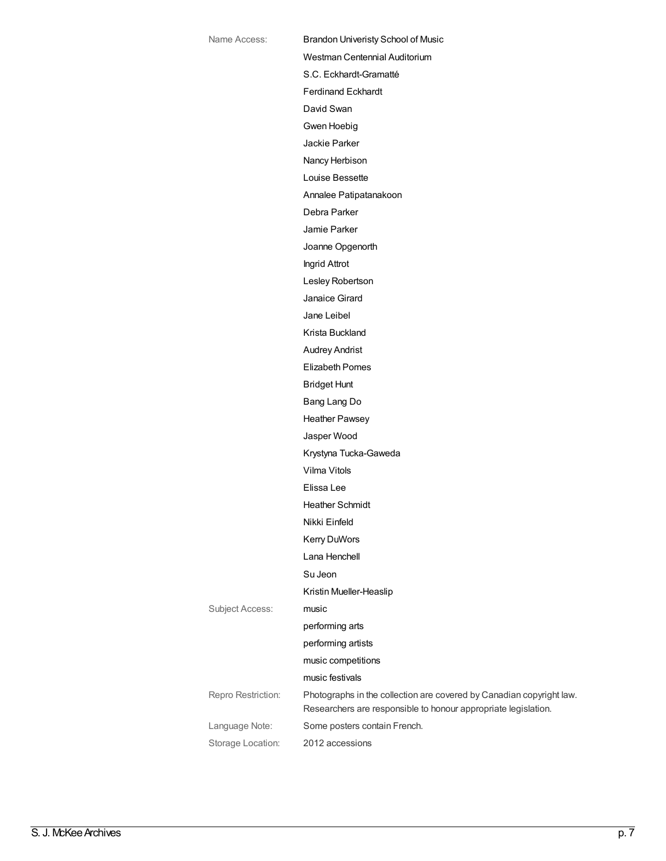| Name Access:       | <b>Brandon Univeristy School of Music</b>                                                                                              |
|--------------------|----------------------------------------------------------------------------------------------------------------------------------------|
|                    | Westman Centennial Auditorium                                                                                                          |
|                    | S.C. Eckhardt-Gramatté                                                                                                                 |
|                    | <b>Ferdinand Eckhardt</b>                                                                                                              |
|                    | David Swan                                                                                                                             |
|                    | Gwen Hoebig                                                                                                                            |
|                    | Jackie Parker                                                                                                                          |
|                    | Nancy Herbison                                                                                                                         |
|                    | Louise Bessette                                                                                                                        |
|                    | Annalee Patipatanakoon                                                                                                                 |
|                    | Debra Parker                                                                                                                           |
|                    | Jamie Parker                                                                                                                           |
|                    | Joanne Opgenorth                                                                                                                       |
|                    | Ingrid Attrot                                                                                                                          |
|                    | Lesley Robertson                                                                                                                       |
|                    | Janaice Girard                                                                                                                         |
|                    | Jane Leibel                                                                                                                            |
|                    | Krista Buckland                                                                                                                        |
|                    | <b>Audrey Andrist</b>                                                                                                                  |
|                    | <b>Elizabeth Pomes</b>                                                                                                                 |
|                    | <b>Bridget Hunt</b>                                                                                                                    |
|                    | Bang Lang Do                                                                                                                           |
|                    | <b>Heather Pawsey</b>                                                                                                                  |
|                    | Jasper Wood                                                                                                                            |
|                    | Krystyna Tucka-Gaweda                                                                                                                  |
|                    | Vilma Vitols                                                                                                                           |
|                    | Elissa Lee                                                                                                                             |
|                    | <b>Heather Schmidt</b>                                                                                                                 |
|                    | Nikki Einfeld                                                                                                                          |
|                    | Kerry DuWors                                                                                                                           |
|                    | Lana Henchell                                                                                                                          |
|                    | Su Jeon                                                                                                                                |
|                    | Kristin Mueller-Heaslip                                                                                                                |
| Subject Access:    | music                                                                                                                                  |
|                    | performing arts                                                                                                                        |
|                    | performing artists                                                                                                                     |
|                    | music competitions                                                                                                                     |
|                    | music festivals                                                                                                                        |
| Repro Restriction: | Photographs in the collection are covered by Canadian copyright law.<br>Researchers are responsible to honour appropriate legislation. |
| Language Note:     | Some posters contain French.                                                                                                           |
| Storage Location:  | 2012 accessions                                                                                                                        |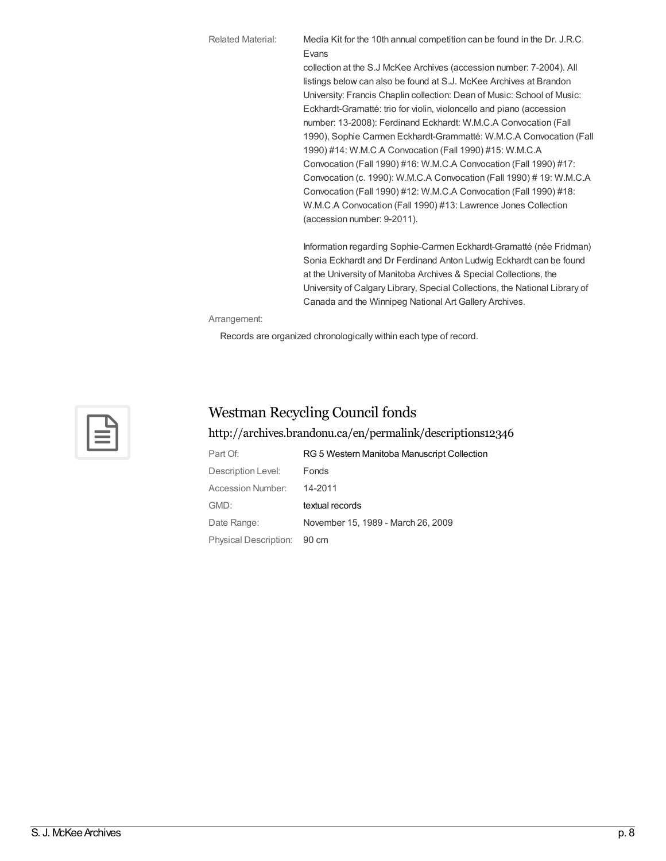Related Material: Media Kit for the 10th annual competition can be found in the Dr. J.R.C. Evans collection at the S.J McKee Archives (accession number: 7-2004). All

listings below can also be found at S.J. McKee Archives at Brandon University: Francis Chaplin collection: Dean of Music: School of Music: Eckhardt-Gramatté: trio for violin, violoncello and piano (accession number: 13-2008): Ferdinand Eckhardt: W.M.C.A Convocation (Fall 1990), Sophie Carmen Eckhardt-Grammatté: W.M.C.A Convocation (Fall 1990) #14: W.M.C.A Convocation (Fall 1990) #15: W.M.C.A Convocation (Fall 1990) #16: W.M.C.A Convocation (Fall 1990) #17: Convocation (c. 1990): W.M.C.A Convocation (Fall 1990) # 19: W.M.C.A Convocation (Fall 1990) #12: W.M.C.A Convocation (Fall 1990) #18: W.M.C.A Convocation (Fall 1990) #13: Lawrence Jones Collection (accession number: 9-2011).

Information regarding Sophie-Carmen Eckhardt-Gramatté (née Fridman) Sonia Eckhardt and Dr Ferdinand Anton Ludwig Eckhardt can be found at the University of Manitoba Archives & Special Collections, the University of Calgary Library, Special Collections, the National Library of Canada and the Winnipeg National Art Gallery Archives.

Arrangement:

Records are organized chronologically within each type of record.



### Westman Recycling Council fonds

### <http://archives.brandonu.ca/en/permalink/descriptions12346>

| Part Of:                    | RG 5 Western Manitoba Manuscript Collection |
|-----------------------------|---------------------------------------------|
| Description Level:          | Fonds                                       |
| Accession Number:           | 14-2011                                     |
| GMD:                        | textual records                             |
| Date Range:                 | November 15, 1989 - March 26, 2009          |
| Physical Description: 90 cm |                                             |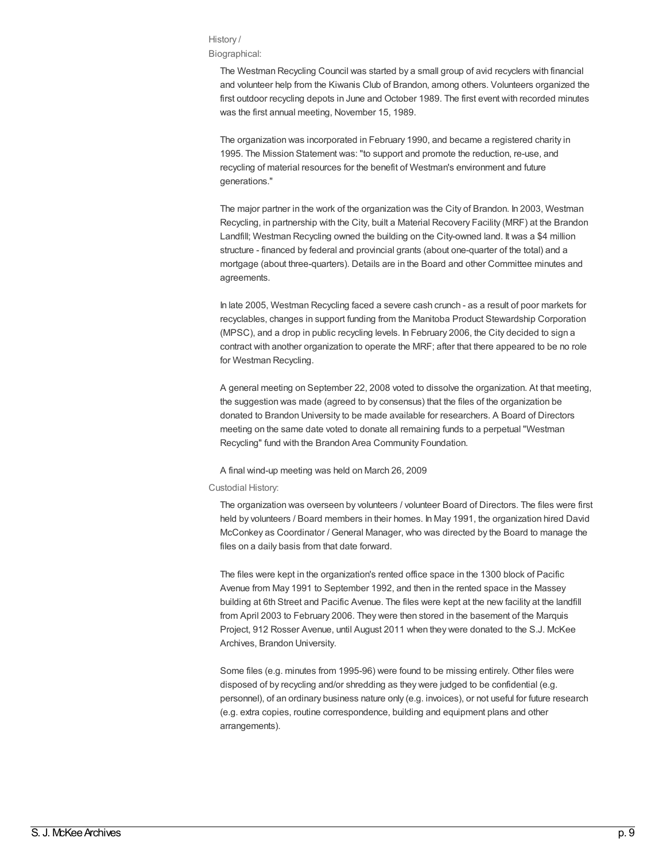#### History /

#### Biographical:

The Westman Recycling Council was started by a small group of avid recyclers with financial and volunteer help from the Kiwanis Club of Brandon, among others. Volunteers organized the first outdoor recycling depots in June and October 1989. The first event with recorded minutes was the first annual meeting, November 15, 1989.

The organization was incorporated in February 1990, and became a registered charity in 1995. The Mission Statement was: "to support and promote the reduction, re-use, and recycling of material resources for the benefit of Westman's environment and future generations."

The major partner in the work of the organization was the City of Brandon. In 2003, Westman Recycling, in partnership with the City, built a Material Recovery Facility (MRF) at the Brandon Landfill; Westman Recycling owned the building on the City-owned land. It was a \$4 million structure - financed by federal and provincial grants (about one-quarter of the total) and a mortgage (about three-quarters). Details are in the Board and other Committee minutes and agreements.

In late 2005, Westman Recycling faced a severe cash crunch - as a result of poor markets for recyclables, changes in support funding from the Manitoba Product Stewardship Corporation (MPSC), and a drop in public recycling levels. In February 2006, the City decided to sign a contract with another organization to operate the MRF; after that there appeared to be no role for Westman Recycling.

A general meeting on September 22, 2008 voted to dissolve the organization. At that meeting, the suggestion was made (agreed to by consensus) that the files of the organization be donated to Brandon University to be made available for researchers. A Board of Directors meeting on the same date voted to donate all remaining funds to a perpetual "Westman Recycling" fund with the Brandon Area Community Foundation.

A final wind-up meeting was held on March 26, 2009

### Custodial History:

The organization was overseen by volunteers / volunteer Board of Directors. The files were first held by volunteers / Board members in their homes. In May 1991, the organization hired David McConkey as Coordinator / General Manager, who was directed by the Board to manage the files on a daily basis from that date forward.

The files were kept in the organization's rented office space in the 1300 block of Pacific Avenue from May 1991 to September 1992, and then in the rented space in the Massey building at 6th Street and Pacific Avenue. The files were kept at the new facility at the landfill from April 2003 to February 2006. They were then stored in the basement of the Marquis Project, 912 Rosser Avenue, until August 2011 when they were donated to the S.J. McKee Archives, Brandon University.

Some files (e.g. minutes from 1995-96) were found to be missing entirely. Other files were disposed of by recycling and/or shredding as they were judged to be confidential (e.g. personnel), of an ordinary business nature only (e.g. invoices), or not useful for future research (e.g. extra copies, routine correspondence, building and equipment plans and other arrangements).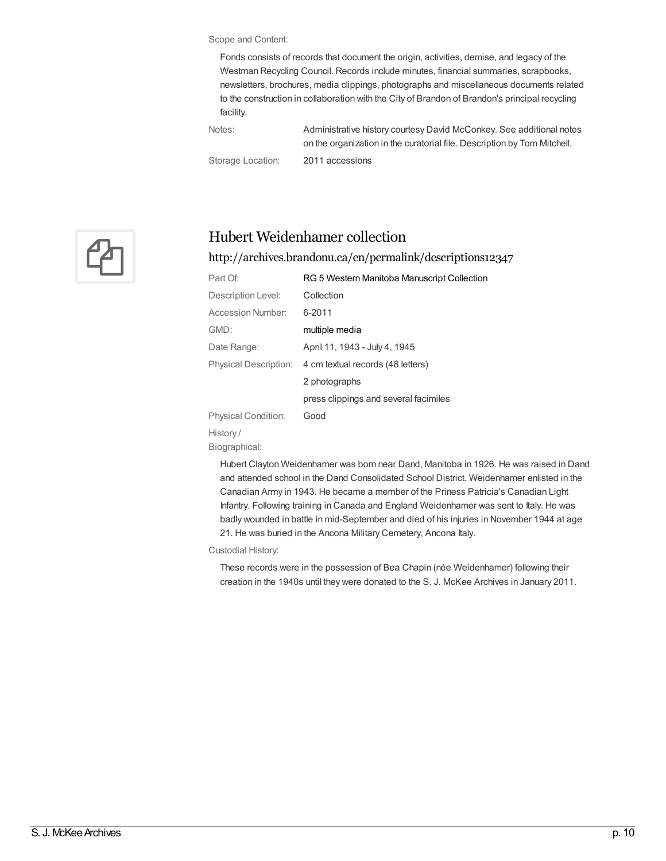Scope and Content:

Fonds consists of records that document the origin, activities, demise, and legacy of the Westman Recycling Council. Records include minutes, financial summaries, scrapbooks, newsletters, brochures, media clippings, photographs and miscellaneous documents related to the construction in collaboration with the City of Brandon of Brandon's principal recycling facility.

Notes: Administrative history courtesy David McConkey. See additional notes on the organization in the curatorial file. Description by Tom Mitchell. Storage Location: 2011 accessions

 $\mathfrak{P}_\Box$ 

### Hubert Weidenhamer collection

### <http://archives.brandonu.ca/en/permalink/descriptions12347>

| Part Of:                     | RG 5 Western Manitoba Manuscript Collection |
|------------------------------|---------------------------------------------|
| Description Level:           | Collection                                  |
| Accession Number:            | 6-2011                                      |
| GMD:                         | multiple media                              |
| Date Range:                  | April 11, 1943 - July 4, 1945               |
| <b>Physical Description:</b> | 4 cm textual records (48 letters)           |
|                              | 2 photographs                               |
|                              | press clippings and several facimiles       |
| <b>Physical Condition:</b>   | Good                                        |
| History/                     |                                             |
| Biographical:                |                                             |

Hubert Clayton Weidenhamer was born near Dand, Manitoba in 1926. He was raised in Dand and attended school in the Dand Consolidated School District. Weidenhamer enlisted in the Canadian Army in 1943. He became a member of the Priness Patricia's Canadian Light Infantry. Following training in Canada and England Weidenhamer was sent to Italy. He was badly wounded in battle in mid-September and died of his injuries in November 1944 at age 21. He was buried in the Ancona Military Cemetery, Ancona Italy.

Custodial History:

These records were in the possession of Bea Chapin (née Weidenhamer) following their creation in the 1940s until they were donated to the S. J. McKee Archives in January 2011.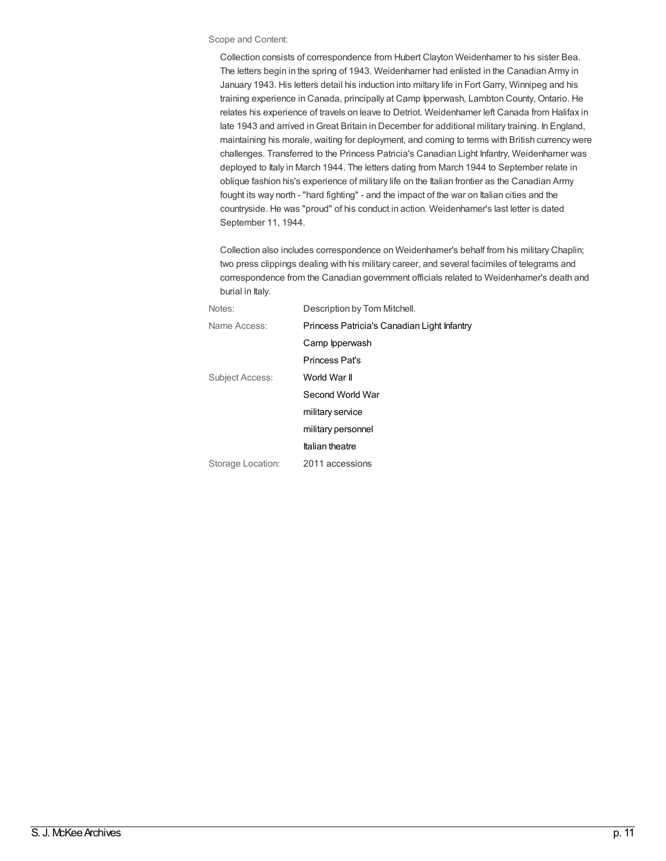#### Scope and Content:

Collection consists of correspondence from Hubert Clayton Weidenhamer to his sister Bea. The letters begin in the spring of 1943. Weidenhamer had enlisted in the Canadian Army in January 1943. His letters detail his induction into miltary life in Fort Garry, Winnipeg and his training experience in Canada, principally at Camp Ipperwash, Lambton County, Ontario. He relates his experience of travels on leave to Detriot. Weidenhamer left Canada from Halifax in late 1943 and arrived inGreat Britain in December for additional military training. In England, maintaining his morale, waiting for deployment, and coming to terms with British currency were challenges. Transferred to the Princess Patricia's Canadian Light Infantry, Weidenhamer was deployed to Italy in March 1944. The letters dating from March 1944 to September relate in oblique fashion his's experience of military life on the Italian frontier as the Canadian Army fought its way north - "hard fighting" - and the impact of the war on Italian cities and the countryside. He was "proud" of his conduct in action. Weidenhamer's last letter is dated September 11, 1944.

Collection also includes correspondence on Weidenhamer's behalf from his military Chaplin; two press clippings dealing with his military career, and several facimiles of telegrams and correspondence from the Canadian government officials related to Weidenhamer's death and burial in Italy.

| Notes:            | Description by Tom Mitchell.                |
|-------------------|---------------------------------------------|
| Name Access:      | Princess Patricia's Canadian Light Infantry |
|                   | Camp Ipperwash                              |
|                   | <b>Princess Pat's</b>                       |
| Subject Access:   | World War II                                |
|                   | Second World War                            |
|                   | military service                            |
|                   | military personnel                          |
|                   | <b>Italian theatre</b>                      |
| Storage Location: | 2011 accessions                             |
|                   |                                             |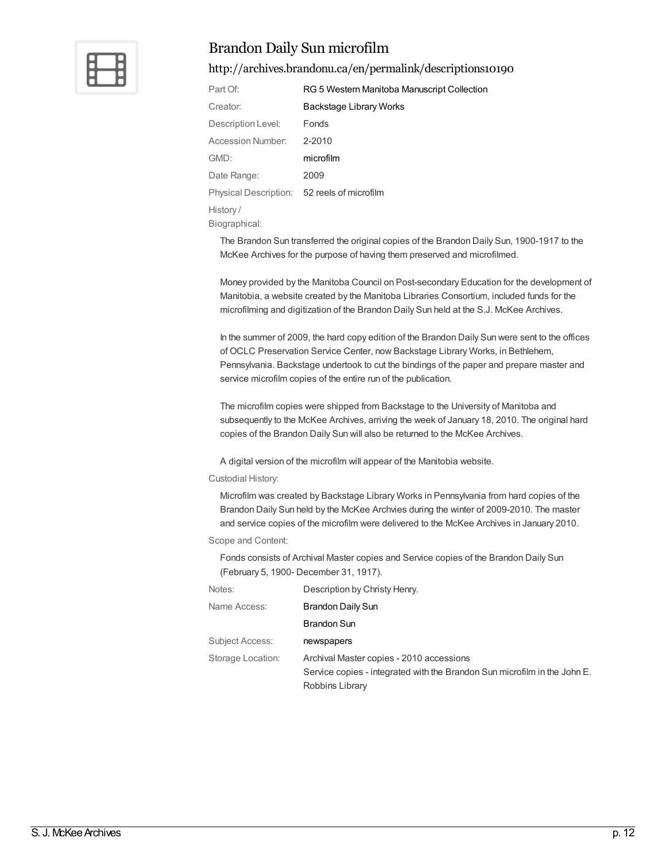

### Brandon Daily Sun microfilm

### <http://archives.brandonu.ca/en/permalink/descriptions10190>

| Part Of:                                    | RG 5 Western Manitoba Manuscript Collection |
|---------------------------------------------|---------------------------------------------|
| Creator:                                    | Backstage Library Works                     |
| Description Level:                          | Fonds                                       |
| <b>Accession Number:</b>                    | 2-2010                                      |
| GMD:                                        | microfilm                                   |
| Date Range:                                 | 2009                                        |
| Physical Description: 52 reels of microfilm |                                             |
| History/                                    |                                             |

Biographical:

The Brandon Sun transferred the original copies of the Brandon Daily Sun, 1900-1917 to the McKee Archives for the purpose of having them preserved and microfilmed.

Money provided by the Manitoba Council on Post-secondary Education for the development of Manitobia, a website created by the Manitoba Libraries Consortium, included funds for the microfilming and digitization of the Brandon Daily Sun held at the S.J. McKee Archives.

In the summer of 2009, the hard copy edition of the Brandon Daily Sun were sent to the offices of OCLC Preservation Service Center, now Backstage Library Works, in Bethlehem, Pennsylvania. Backstage undertook to cut the bindings of the paper and prepare master and service microfilm copies of the entire run of the publication.

The microfilm copies were shipped from Backstage to the University of Manitoba and subsequently to the McKee Archives, arriving the week of January 18, 2010. The original hard copies of the Brandon Daily Sun will also be returned to the McKee Archives.

A digital version of the microfilm will appear of the Manitobia website.

### Custodial History:

Microfilm was created by Backstage Library Works in Pennsylvania from hard copies of the Brandon Daily Sun held by the McKee Archvies during the winter of 2009-2010. The master and service copies of the microfilm were delivered to the McKee Archives in January 2010.

### Scope and Content:

Fonds consists of Archival Master copies and Service copies of the Brandon Daily Sun (February 5, 1900- December 31, 1917).

| Notes:            | Description by Christy Henry.                                             |
|-------------------|---------------------------------------------------------------------------|
| Name Access:      | <b>Brandon Daily Sun</b>                                                  |
|                   | <b>Brandon Sun</b>                                                        |
| Subject Access:   | newspapers                                                                |
| Storage Location: | Archival Master copies - 2010 accessions                                  |
|                   | Service copies - integrated with the Brandon Sun microfilm in the John E. |
|                   | Robbins Library                                                           |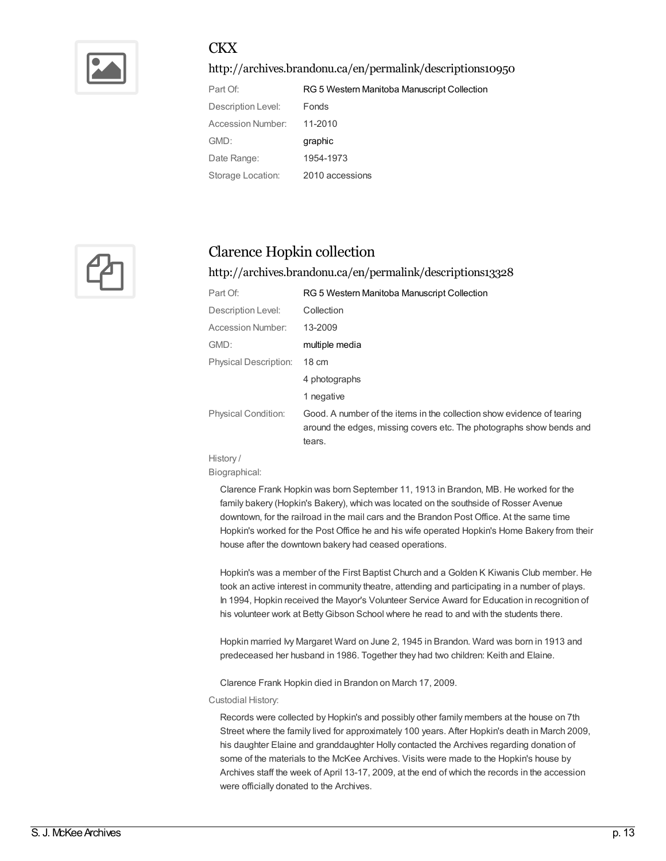

### **CKX**

<http://archives.brandonu.ca/en/permalink/descriptions10950>

| Part Of:           | RG 5 Western Manitoba Manuscript Collection |
|--------------------|---------------------------------------------|
| Description Level: | Fonds                                       |
| Accession Number:  | 11-2010                                     |
| GMD:               | graphic                                     |
| Date Range:        | 1954-1973                                   |
| Storage Location:  | 2010 accessions                             |



### Clarence Hopkin collection

<http://archives.brandonu.ca/en/permalink/descriptions13328>

| Part Of:                     | RG 5 Western Manitoba Manuscript Collection                                                                                                              |
|------------------------------|----------------------------------------------------------------------------------------------------------------------------------------------------------|
| Description Level:           | Collection                                                                                                                                               |
| Accession Number:            | 13-2009                                                                                                                                                  |
| GMD:                         | multiple media                                                                                                                                           |
| <b>Physical Description:</b> | $18 \text{ cm}$                                                                                                                                          |
|                              | 4 photographs                                                                                                                                            |
|                              | 1 negative                                                                                                                                               |
| <b>Physical Condition:</b>   | Good. A number of the items in the collection show evidence of tearing<br>around the edges, missing covers etc. The photographs show bends and<br>tears. |

History / Biographical:

> Clarence Frank Hopkin was born September 11, 1913 in Brandon, MB. He worked for the family bakery (Hopkin's Bakery), which was located on the southside of Rosser Avenue downtown, for the railroad in the mail cars and the Brandon Post Office. At the same time Hopkin's worked for the Post Office he and his wife operated Hopkin's Home Bakery from their house after the downtown bakery had ceased operations.

> Hopkin's was a member of the First Baptist Church and a Golden K Kiwanis Club member. He took an active interest in community theatre, attending and participating in a number of plays. In 1994, Hopkin received the Mayor's Volunteer Service Award for Education in recognition of his volunteer work at BettyGibson School where he read to and with the students there.

Hopkin married Ivy Margaret Ward on June 2, 1945 in Brandon. Ward was born in 1913 and predeceased her husband in 1986. Together they had two children: Keith and Elaine.

Clarence Frank Hopkin died in Brandon on March 17, 2009.

Custodial History:

Records were collected by Hopkin's and possibly other family members at the house on 7th Street where the family lived for approximately 100 years. After Hopkin's death in March 2009, his daughter Elaine and granddaughter Holly contacted the Archives regarding donation of some of the materials to the McKee Archives. Visits were made to the Hopkin's house by Archives staff the week of April 13-17, 2009, at the end of which the records in the accession were officially donated to the Archives.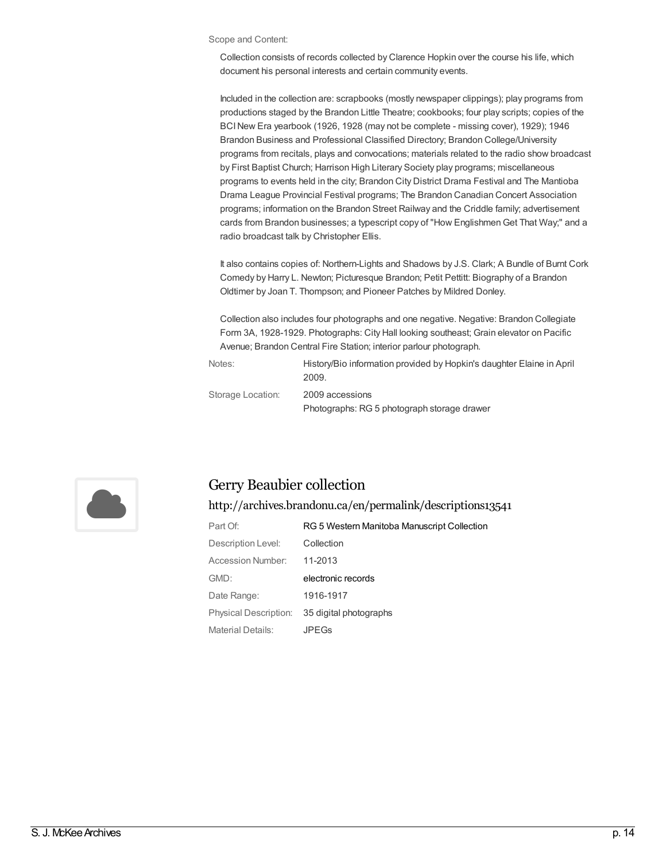#### Scope and Content:

Collection consists of records collected by Clarence Hopkin over the course his life, which document his personal interests and certain community events.

Included in the collection are: scrapbooks (mostly newspaper clippings); play programs from productions staged by the Brandon Little Theatre; cookbooks; four play scripts; copies of the BCINew Era yearbook (1926, 1928 (may not be complete - missing cover), 1929); 1946 Brandon Business and Professional Classified Directory; Brandon College/University programs from recitals, plays and convocations; materials related to the radio show broadcast by First Baptist Church; Harrison High Literary Society play programs; miscellaneous programs to events held in the city; Brandon City District Drama Festival and The Mantioba Drama League Provincial Festival programs; The Brandon Canadian Concert Association programs; information on the Brandon Street Railway and the Criddle family; advertisement cards from Brandon businesses; a typescript copy of "How EnglishmenGet That Way;" and a radio broadcast talk by Christopher Ellis.

It also contains copies of: Northern-Lights and Shadows by J.S. Clark; A Bundle of Burnt Cork Comedy by Harry L. Newton; Picturesque Brandon; Petit Pettitt: Biography of a Brandon Oldtimer by Joan T. Thompson; and Pioneer Patches by Mildred Donley.

Collection also includes four photographs and one negative. Negative: Brandon Collegiate Form 3A, 1928-1929. Photographs: City Hall looking southeast; Grain elevator on Pacific Avenue; Brandon Central Fire Station; interior parlour photograph.

| Notes:            | History/Bio information provided by Hopkin's daughter Elaine in April<br>2009. |
|-------------------|--------------------------------------------------------------------------------|
| Storage Location: | 2009 accessions                                                                |
|                   | Photographs: RG 5 photograph storage drawer                                    |



### Gerry Beaubier collection

<http://archives.brandonu.ca/en/permalink/descriptions13541>

| Part Of:              | RG 5 Western Manitoba Manuscript Collection |
|-----------------------|---------------------------------------------|
| Description Level:    | Collection                                  |
| Accession Number:     | 11-2013                                     |
| GMD:                  | electronic records                          |
| Date Range:           | 1916-1917                                   |
| Physical Description: | 35 digital photographs                      |
| Material Details:     | JPFGs                                       |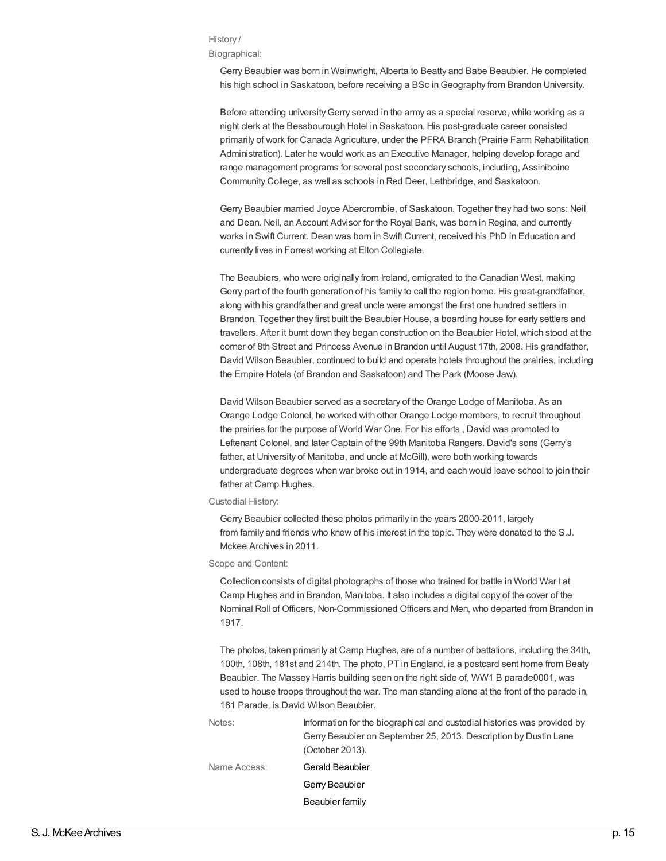### History /

Biographical:

Gerry Beaubier was born in Wainwright, Alberta to Beatty and Babe Beaubier. He completed his high school in Saskatoon, before receiving a BSc inGeography from Brandon University.

Before attending university Gerry served in the army as a special reserve, while working as a night clerk at the Bessbourough Hotel in Saskatoon. His post-graduate career consisted primarily of work for Canada Agriculture, under the PFRA Branch (Prairie Farm Rehabilitation Administration). Later he would work as an Executive Manager, helping develop forage and range management programs for several post secondary schools, including, Assiniboine Community College, as well as schools in Red Deer, Lethbridge, and Saskatoon.

Gerry Beaubier married Joyce Abercrombie, of Saskatoon. Together they had two sons: Neil and Dean. Neil, an Account Advisor for the Royal Bank, was born in Regina, and currently works in Swift Current. Dean was born in Swift Current, received his PhD in Education and currently lives in Forrest working at Elton Collegiate.

The Beaubiers, who were originally from Ireland, emigrated to the Canadian West, making Gerry part of the fourth generation of his family to call the region home. His great-grandfather, along with his grandfather and great uncle were amongst the first one hundred settlers in Brandon. Together they first built the Beaubier House, a boarding house for early settlers and travellers. After it burnt down they began construction on the Beaubier Hotel, which stood at the corner of 8th Street and Princess Avenue in Brandon until August 17th, 2008. His grandfather, David Wilson Beaubier, continued to build and operate hotels throughout the prairies, including the Empire Hotels (of Brandon and Saskatoon) and The Park (Moose Jaw).

David Wilson Beaubier served as a secretary of the Orange Lodge of Manitoba. As an Orange Lodge Colonel, he worked with other Orange Lodge members, to recruit throughout the prairies for the purpose of World War One. For his efforts , David was promoted to Leftenant Colonel, and later Captain of the 99th Manitoba Rangers. David's sons (Gerry's father, at University of Manitoba, and uncle at McGill), were both working towards undergraduate degrees when war broke out in 1914, and each would leave school to join their father at Camp Hughes.

### Custodial History:

Gerry Beaubier collected these photos primarily in the years 2000-2011, largely from family and friends who knew of his interest in the topic. They were donated to the S.J. Mckee Archives in 2011.

#### Scope and Content:

Collection consists of digital photographs of those who trained for battle in World War I at Camp Hughes and in Brandon, Manitoba. It also includes a digital copy of the cover of the Nominal Roll of Officers, Non-Commissioned Officers and Men, who departed from Brandon in 1917.

The photos, taken primarily at Camp Hughes, are of a number of battalions, including the 34th, 100th, 108th, 181st and 214th. The photo, PT in England, is a postcard sent home from Beaty Beaubier. The Massey Harris building seen on the right side of, WW1 B parade0001, was used to house troops throughout the war. The man standing alone at the front of the parade in, 181 Parade, is David Wilson Beaubier.

| Notes:       | Information for the biographical and custodial histories was provided by |
|--------------|--------------------------------------------------------------------------|
|              | Gerry Beaubier on September 25, 2013. Description by Dustin Lane         |
|              | (October 2013).                                                          |
| Name Access: | Gerald Beaubier                                                          |
|              | Gerry Beaubier                                                           |
|              | Beaubier family                                                          |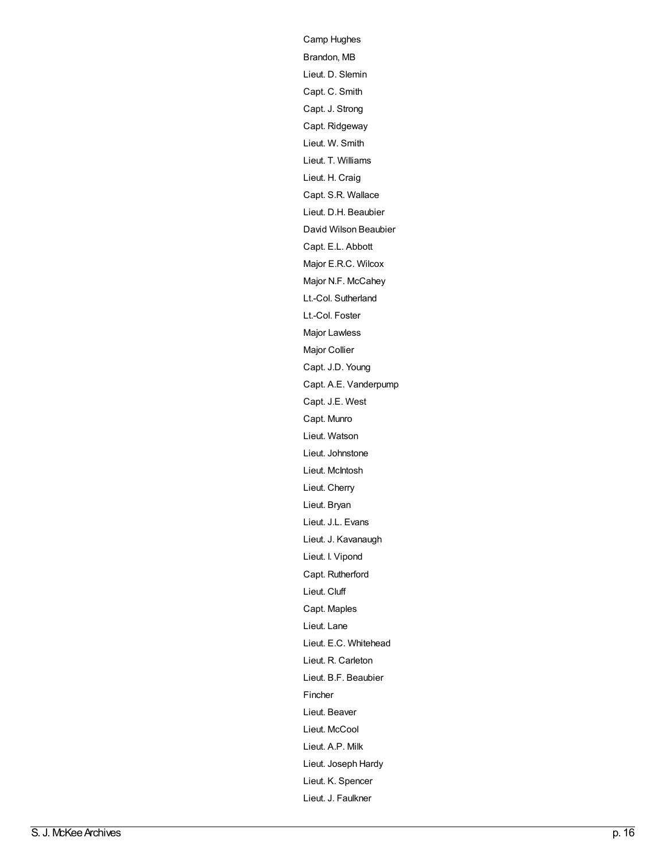Ca[m](http://archives.brandonu.ca/en/list?q=name%3a%22Camp+Hughes%22&p=1&ps=&sort=title_sort+asc)p Hughes B[ra](http://archives.brandonu.ca/en/list?q=name%3a%22Brandon%2c+MB%22&p=1&ps=&sort=title_sort+asc)ndon, MB Lieut. D. Sle[min](http://archives.brandonu.ca/en/list?q=name%3a%22Lieut.+D.+Slemin%22&p=1&ps=&sort=title_sort+asc) Capt. C. S[mit](http://archives.brandonu.ca/en/list?q=name%3a%22Capt.+C.+Smith%22&p=1&ps=&sort=title_sort+asc)h Capt. J. S[tro](http://archives.brandonu.ca/en/list?q=name%3a%22Capt.+J.+Strong%22&p=1&ps=&sort=title_sort+asc)ng Capt. [Rid](http://archives.brandonu.ca/en/list?q=name%3a%22Capt.+Ridgeway%22&p=1&ps=&sort=title_sort+asc)geway [Lie](http://archives.brandonu.ca/en/list?q=name%3a%22Lieut.+W.+Smith%22&p=1&ps=&sort=title_sort+asc)ut. W. Smith Lieut. T. [Willia](http://archives.brandonu.ca/en/list?q=name%3a%22Lieut.+T.+Williams%22&p=1&ps=&sort=title_sort+asc)ms Lieut. H. C[raig](http://archives.brandonu.ca/en/list?q=name%3a%22Lieut.+H.+Craig%22&p=1&ps=&sort=title_sort+asc) Capt. [S.R.](http://archives.brandonu.ca/en/list?q=name%3a%22Capt.+S.R.+Wallace%22&p=1&ps=&sort=title_sort+asc) Wallace Lieut. [D.H.](http://archives.brandonu.ca/en/list?q=name%3a%22Lieut.+D.H.+Beaubier%22&p=1&ps=&sort=title_sort+asc) Beaubier David [Wils](http://archives.brandonu.ca/en/list?q=name%3a%22David+Wilson+Beaubier%22&p=1&ps=&sort=title_sort+asc)on Beaubier Capt. [E.L.](http://archives.brandonu.ca/en/list?q=name%3a%22Capt.+E.L.+Abbott%22&p=1&ps=&sort=title_sort+asc) Abbott Major [E.R.C.](http://archives.brandonu.ca/en/list?q=name%3a%22Major+E.R.C.+Wilcox%22&p=1&ps=&sort=title_sort+asc) Wilcox Major [N.F.](http://archives.brandonu.ca/en/list?q=name%3a%22Major+N.F.+McCahey%22&p=1&ps=&sort=title_sort+asc) McCahey Lt.-Col. Suthe[rla](http://archives.brandonu.ca/en/list?q=name%3a%22Lt.-Col.+Sutherland%22&p=1&ps=&sort=title_sort+asc)nd Lt.-C[ol.](http://archives.brandonu.ca/en/list?q=name%3a%22Lt.-Col.+Foster%22&p=1&ps=&sort=title_sort+asc) Foster Major La[wle](http://archives.brandonu.ca/en/list?q=name%3a%22Major+Lawless%22&p=1&ps=&sort=title_sort+asc)ss Major C[ollie](http://archives.brandonu.ca/en/list?q=name%3a%22Major+Collier%22&p=1&ps=&sort=title_sort+asc)r Capt. [J.D.](http://archives.brandonu.ca/en/list?q=name%3a%22Capt.+J.D.+Young%22&p=1&ps=&sort=title_sort+asc) Young Capt. [A.E.](http://archives.brandonu.ca/en/list?q=name%3a%22Capt.+A.E.+Vanderpump%22&p=1&ps=&sort=title_sort+asc) Vanderpump Capt. [J.E.](http://archives.brandonu.ca/en/list?q=name%3a%22Capt.+J.E.+West%22&p=1&ps=&sort=title_sort+asc) West Capt. [M](http://archives.brandonu.ca/en/list?q=name%3a%22Capt.+Munro%22&p=1&ps=&sort=title_sort+asc)unro [Lie](http://archives.brandonu.ca/en/list?q=name%3a%22Lieut.+Watson%22&p=1&ps=&sort=title_sort+asc)ut. Watson [Lie](http://archives.brandonu.ca/en/list?q=name%3a%22Lieut.+Johnstone%22&p=1&ps=&sort=title_sort+asc)ut. Johnstone [Lie](http://archives.brandonu.ca/en/list?q=name%3a%22Lieut.+McIntosh%22&p=1&ps=&sort=title_sort+asc)ut. McIntosh [Lie](http://archives.brandonu.ca/en/list?q=name%3a%22Lieut.+Cherry%22&p=1&ps=&sort=title_sort+asc)ut. Cherry [Lie](http://archives.brandonu.ca/en/list?q=name%3a%22Lieut.+Bryan%22&p=1&ps=&sort=title_sort+asc)ut. Bryan Lieut. [J.L.](http://archives.brandonu.ca/en/list?q=name%3a%22Lieut.+J.L.+Evans%22&p=1&ps=&sort=title_sort+asc) Evans [Lie](http://archives.brandonu.ca/en/list?q=name%3a%22Lieut.+J.+Kavanaugh%22&p=1&ps=&sort=title_sort+asc)ut. J. Kavanaugh Lieut. I. [Vip](http://archives.brandonu.ca/en/list?q=name%3a%22Lieut.+I.+Vipond%22&p=1&ps=&sort=title_sort+asc)ond Capt. Ruthe[rfo](http://archives.brandonu.ca/en/list?q=name%3a%22Capt.+Rutherford%22&p=1&ps=&sort=title_sort+asc)rd Lieut. [Clu](http://archives.brandonu.ca/en/list?q=name%3a%22Lieut.+Cluff%22&p=1&ps=&sort=title_sort+asc)ff Capt. Ma[ple](http://archives.brandonu.ca/en/list?q=name%3a%22Capt.+Maples%22&p=1&ps=&sort=title_sort+asc)s [Lie](http://archives.brandonu.ca/en/list?q=name%3a%22Lieut.+Lane%22&p=1&ps=&sort=title_sort+asc)ut. Lane Lieut. [E.C.](http://archives.brandonu.ca/en/list?q=name%3a%22Lieut.+E.C.+Whitehead%22&p=1&ps=&sort=title_sort+asc) Whitehead [Lie](http://archives.brandonu.ca/en/list?q=name%3a%22Lieut.+R.+Carleton%22&p=1&ps=&sort=title_sort+asc)ut. R. Carleton Lieut. [B.F.](http://archives.brandonu.ca/en/list?q=name%3a%22Lieut.+B.F.+Beaubier%22&p=1&ps=&sort=title_sort+asc) Beaubier [Fin](http://archives.brandonu.ca/en/list?q=name%3a%22Fincher%22&p=1&ps=&sort=title_sort+asc)cher [Lie](http://archives.brandonu.ca/en/list?q=name%3a%22Lieut.+Beaver%22&p=1&ps=&sort=title_sort+asc)ut. Beaver [Lie](http://archives.brandonu.ca/en/list?q=name%3a%22Lieut.+McCool%22&p=1&ps=&sort=title_sort+asc)ut. McCool [Lieut.](http://archives.brandonu.ca/en/list?q=name%3a%22Lieut.+A.P.+Milk%22&p=1&ps=&sort=title_sort+asc) A.P. Milk Lieut. [Joseph](http://archives.brandonu.ca/en/list?q=name%3a%22Lieut.+Joseph+Hardy%22&p=1&ps=&sort=title_sort+asc) Hardy [Lie](http://archives.brandonu.ca/en/list?q=name%3a%22Lieut.+K.+Spencer%22&p=1&ps=&sort=title_sort+asc)ut. K. Spencer [Lie](http://archives.brandonu.ca/en/list?q=name%3a%22Lieut.+J.+Faulkner%22&p=1&ps=&sort=title_sort+asc)ut. J. Faulkner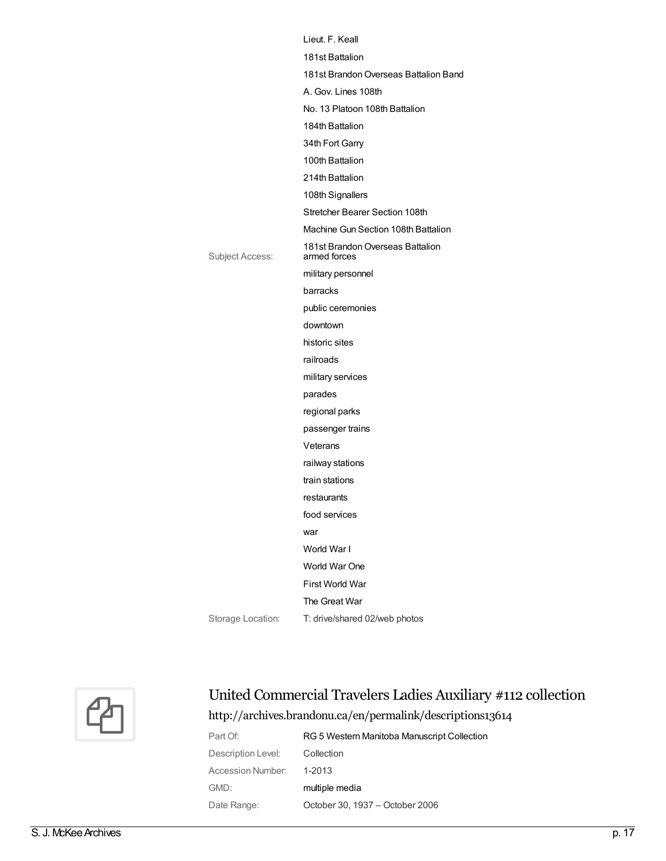|                   | Lieut. F. Keall                                  |
|-------------------|--------------------------------------------------|
|                   | 181st Battalion                                  |
|                   | 181st Brandon Overseas Battalion Band            |
|                   | A. Gov. Lines 108th                              |
|                   | No. 13 Platoon 108th Battalion                   |
|                   | 184th Battalion                                  |
|                   | 34th Fort Garry                                  |
|                   | 100th Battalion                                  |
|                   | 214th Battalion                                  |
|                   | 108th Signallers                                 |
|                   | Stretcher Bearer Section 108th                   |
|                   | Machine Gun Section 108th Battalion              |
| Subject Access:   | 181st Brandon Overseas Battalion<br>armed forces |
|                   | military personnel                               |
|                   | barracks                                         |
|                   | public ceremonies                                |
|                   | downtown                                         |
|                   | historic sites                                   |
|                   | railroads                                        |
|                   | military services                                |
|                   | parades                                          |
|                   | regional parks                                   |
|                   | passenger trains                                 |
|                   | Veterans                                         |
|                   | railway stations                                 |
|                   | train stations                                   |
|                   | restaurants                                      |
|                   | food services                                    |
|                   | war                                              |
|                   | World War I                                      |
|                   | World War One                                    |
|                   | First World War                                  |
|                   | The Great War                                    |
| Storage Location: | T: drive/shared 02/web photos                    |



## United Commercial Travelers Ladies Auxiliary #112 collection <http://archives.brandonu.ca/en/permalink/descriptions13614>

| Part Of:           | RG 5 Western Manitoba Manuscript Collection |
|--------------------|---------------------------------------------|
| Description Level: | Collection                                  |
| Accession Number:  | 1-2013                                      |
| GMD:               | multiple media                              |
| Date Range:        | October 30, 1937 - October 2006             |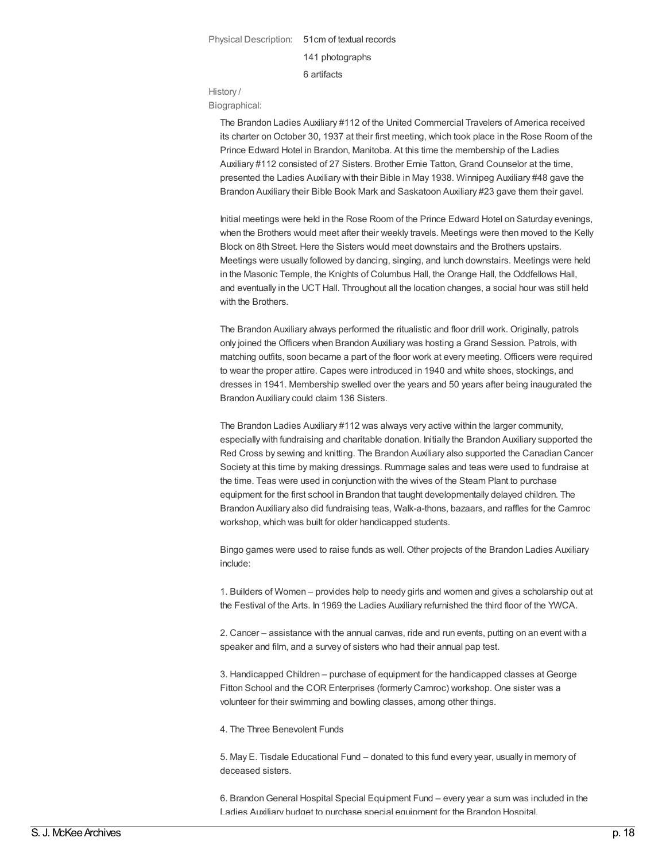Physical Description: 51cm of textual records

141 photographs

6 artifacts

History /

Biographical:

The Brandon Ladies Auxiliary #112 of the United Commercial Travelers of America received its charter on October 30, 1937 at their first meeting, which took place in the Rose Room of the Prince Edward Hotel in Brandon, Manitoba. At this time the membership of the Ladies Auxiliary #112 consisted of 27 Sisters. Brother Ernie Tatton, Grand Counselor at the time, presented the Ladies Auxiliary with their Bible in May 1938. Winnipeg Auxiliary #48 gave the Brandon Auxiliary their Bible Book Mark and Saskatoon Auxiliary #23 gave them their gavel.

Initial meetings were held in the Rose Room of the Prince Edward Hotel on Saturday evenings, when the Brothers would meet after their weekly travels. Meetings were then moved to the Kelly Block on 8th Street. Here the Sisters would meet downstairs and the Brothers upstairs. Meetings were usually followed by dancing, singing, and lunch downstairs. Meetings were held in the Masonic Temple, the Knights of Columbus Hall, the Orange Hall, the Oddfellows Hall, and eventually in the UCT Hall. Throughout all the location changes, a social hour was still held with the Brothers.

The Brandon Auxiliary always performed the ritualistic and floor drill work. Originally, patrols only joined the Officers when Brandon Auxiliary was hosting a Grand Session. Patrols, with matching outfits, soon became a part of the floor work at every meeting. Officers were required to wear the proper attire. Capes were introduced in 1940 and white shoes, stockings, and dresses in 1941. Membership swelled over the years and 50 years after being inaugurated the Brandon Auxiliary could claim 136 Sisters.

The Brandon Ladies Auxiliary #112 was always very active within the larger community, especially with fundraising and charitable donation. Initially the Brandon Auxiliary supported the Red Cross by sewing and knitting. The Brandon Auxiliary also supported the Canadian Cancer Society at this time by making dressings. Rummage sales and teas were used to fundraise at the time. Teas were used in conjunction with the wives of the Steam Plant to purchase equipment for the first school in Brandon that taught developmentally delayed children. The Brandon Auxiliary also did fundraising teas, Walk-a-thons, bazaars, and raffles for the Camroc workshop, which was built for older handicapped students.

Bingo games were used to raise funds as well. Other projects of the Brandon Ladies Auxiliary include:

1. Builders of Women – provides help to needy girls and women and gives a scholarship out at the Festival of the Arts. In 1969 the Ladies Auxiliary refurnished the third floor of the YWCA.

2. Cancer – assistance with the annual canvas, ride and run events, putting on an event with a speaker and film, and a survey of sisters who had their annual pap test.

3. Handicapped Children – purchase of equipment for the handicapped classes at George Fitton School and the COR Enterprises (formerly Camroc) workshop. One sister was a volunteer for their swimming and bowling classes, among other things.

4. The Three Benevolent Funds

5. May E. Tisdale Educational Fund – donated to this fund every year, usually in memory of deceased sisters.

6. BrandonGeneral Hospital Special Equipment Fund – every year a sum was included in the Ladies Auxiliary budget to purchase special equipment for the Brandon Hospital.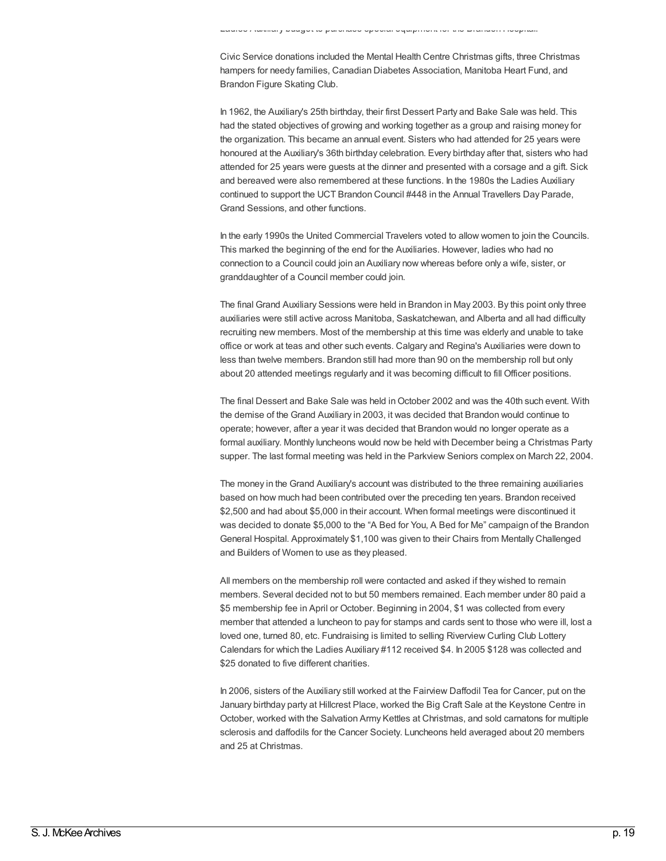Civic Service donations included the Mental Health Centre Christmas gifts, three Christmas hampers for needy families, Canadian Diabetes Association, Manitoba Heart Fund, and Brandon Figure Skating Club.

In 1962, the Auxiliary's 25th birthday, their first Dessert Party and Bake Sale was held. This had the stated objectives of growing and working together as a group and raising money for the organization. This became an annual event. Sisters who had attended for 25 years were honoured at the Auxiliary's 36th birthday celebration. Every birthday after that, sisters who had attended for 25 years were guests at the dinner and presented with a corsage and a gift. Sick and bereaved were also remembered at these functions. In the 1980s the Ladies Auxiliary continued to support the UCT Brandon Council #448 in the Annual Travellers Day Parade, Grand Sessions, and other functions.

In the early 1990s the United Commercial Travelers voted to allow women to join the Councils. This marked the beginning of the end for the Auxiliaries. However, ladies who had no connection to a Council could join an Auxiliary now whereas before only a wife, sister, or granddaughter of a Council member could join.

The final Grand Auxiliary Sessions were held in Brandon in May 2003. By this point only three auxiliaries were still active across Manitoba, Saskatchewan, and Alberta and all had difficulty recruiting new members. Most of the membership at this time was elderly and unable to take office or work at teas and other such events. Calgary and Regina's Auxiliaries were down to less than twelve members. Brandon still had more than 90 on the membership roll but only about 20 attended meetings regularly and it was becoming difficult to fill Officer positions.

The final Dessert and Bake Sale was held inOctober 2002 and was the 40th such event. With the demise of the Grand Auxiliary in 2003, it was decided that Brandon would continue to operate; however, after a year it was decided that Brandon would no longer operate as a formal auxiliary. Monthly luncheons would now be held with December being a Christmas Party supper. The last formal meeting was held in the Parkview Seniors complex on March 22, 2004.

The money in the Grand Auxiliary's account was distributed to the three remaining auxiliaries based on how much had been contributed over the preceding ten years. Brandon received \$2,500 and had about \$5,000 in their account. When formal meetings were discontinued it was decided to donate \$5,000 to the "A Bed for You, A Bed for Me" campaign of the Brandon General Hospital. Approximately \$1,100 was given to their Chairs from Mentally Challenged and Builders of Women to use as they pleased.

All members on the membership roll were contacted and asked if they wished to remain members. Several decided not to but 50 members remained. Each member under 80 paid a \$5 membership fee in April or October. Beginning in 2004, \$1 was collected from every member that attended a luncheon to pay for stamps and cards sent to those who were ill, lost a loved one, turned 80, etc. Fundraising is limited to selling Riverview Curling Club Lottery Calendars for which the Ladies Auxiliary #112 received \$4. In 2005 \$128 was collected and \$25 donated to five different charities.

In 2006, sisters of the Auxiliary still worked at the Fairview Daffodil Tea for Cancer, put on the January birthday party at Hillcrest Place, worked the Big Craft Sale at the Keystone Centre in October, worked with the Salvation Army Kettles at Christmas, and sold carnatons for multiple sclerosis and daffodils for the Cancer Society. Luncheons held averaged about 20 members and 25 at Christmas.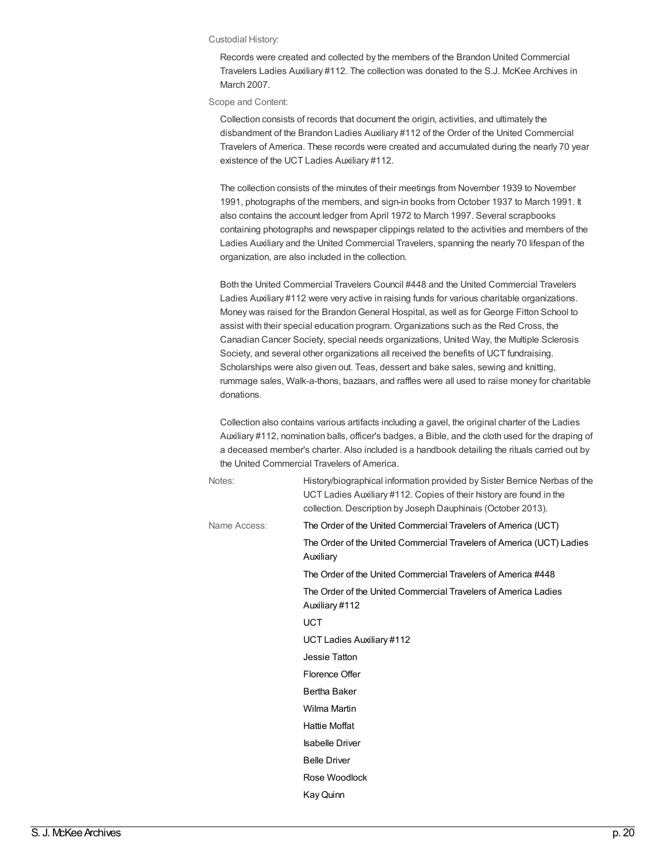#### Custodial History:

Records were created and collected by the members of the Brandon United Commercial Travelers Ladies Auxiliary #112. The collection was donated to the S.J. McKee Archives in March 2007.

Scope and Content:

Collection consists of records that document the origin, activities, and ultimately the disbandment of the Brandon Ladies Auxiliary #112 of the Order of the United Commercial Travelers of America. These records were created and accumulated during the nearly 70 year existence of the UCT Ladies Auxiliary #112.

The collection consists of the minutes of their meetings from November 1939 to November 1991, photographs of the members, and sign-in books from October 1937 to March 1991. It also contains the account ledger from April 1972 to March 1997. Several scrapbooks containing photographs and newspaper clippings related to the activities and members of the Ladies Auxiliary and the United Commercial Travelers, spanning the nearly 70 lifespan of the organization, are also included in the collection.

Both the United Commercial Travelers Council #448 and the United Commercial Travelers Ladies Auxiliary #112 were very active in raising funds for various charitable organizations. Money was raised for the BrandonGeneral Hospital, as well as for George Fitton School to assist with their special education program. Organizations such as the Red Cross, the Canadian Cancer Society, special needs organizations, United Way, the Multiple Sclerosis Society, and several other organizations all received the benefits of UCT fundraising. Scholarships were also given out. Teas, dessert and bake sales, sewing and knitting, rummage sales, Walk-a-thons, bazaars, and raffles were all used to raise money for charitable donations.

Collection also contains various artifacts including a gavel, the original charter of the Ladies Auxiliary #112, nomination balls, officer's badges, a Bible, and the cloth used for the draping of a deceased member's charter. Also included is a handbook detailing the rituals carried out by the United Commercial Travelers of America.

| Notes:       | History/biographical information provided by Sister Bernice Nerbas of the<br>UCT Ladies Auxiliary #112. Copies of their history are found in the<br>collection. Description by Joseph Dauphinais (October 2013). |
|--------------|------------------------------------------------------------------------------------------------------------------------------------------------------------------------------------------------------------------|
| Name Access: | The Order of the United Commercial Travelers of America (UCT)                                                                                                                                                    |
|              | The Order of the United Commercial Travelers of America (UCT) Ladies<br>Auxiliary                                                                                                                                |
|              | The Order of the United Commercial Travelers of America #448                                                                                                                                                     |
|              | The Order of the United Commercial Travelers of America Ladies<br>Auxiliary #112                                                                                                                                 |
|              | <b>UCT</b>                                                                                                                                                                                                       |
|              | UCT Ladies Auxiliary #112                                                                                                                                                                                        |
|              | Jessie Tatton                                                                                                                                                                                                    |
|              | Florence Offer                                                                                                                                                                                                   |
|              | Bertha Baker                                                                                                                                                                                                     |
|              | Wilma Martin                                                                                                                                                                                                     |
|              | <b>Hattie Moffat</b>                                                                                                                                                                                             |
|              | <b>Isabelle Driver</b>                                                                                                                                                                                           |
|              | <b>Belle Driver</b>                                                                                                                                                                                              |
|              | Rose Woodlock                                                                                                                                                                                                    |
|              | Kay Quinn                                                                                                                                                                                                        |
|              |                                                                                                                                                                                                                  |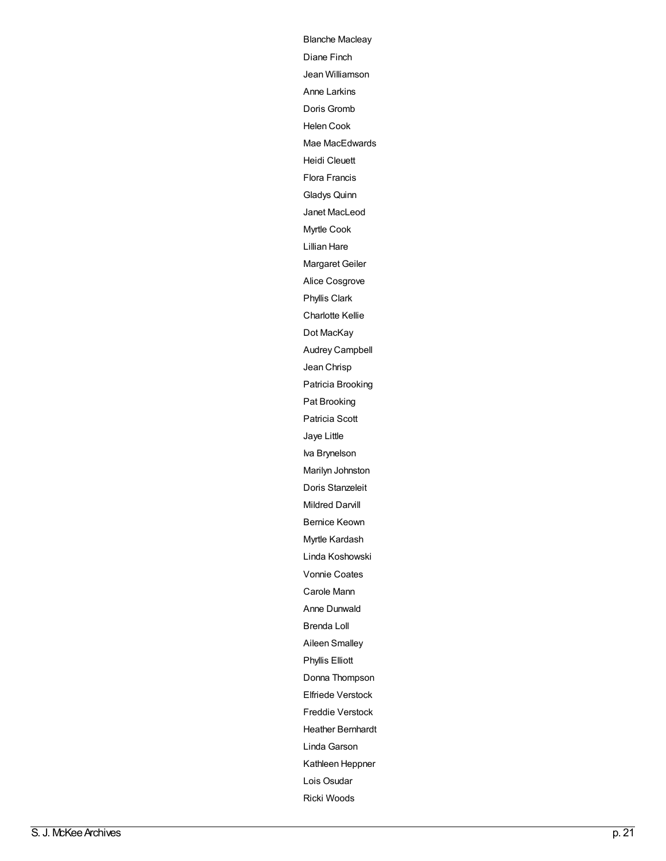[Bla](http://archives.brandonu.ca/en/list?q=name%3a%22Blanche+Macleay%22&p=1&ps=&sort=title_sort+asc)nche Macleay [Dia](http://archives.brandonu.ca/en/list?q=name%3a%22Diane+Finch%22&p=1&ps=&sort=title_sort+asc)ne Finch J e a n [Willia](http://archives.brandonu.ca/en/list?q=name%3a%22Jean+Williamson%22&p=1&ps=&sort=title_sort+asc) m s o n Anne Lar[kin](http://archives.brandonu.ca/en/list?q=name%3a%22Anne+Larkins%22&p=1&ps=&sort=title_sort+asc)s D o [ris](http://archives.brandonu.ca/en/list?q=name%3a%22Doris+Gromb%22&p=1&ps=&sort=title_sort+asc) G ro m b H[ele](http://archives.brandonu.ca/en/list?q=name%3a%22Helen+Cook%22&p=1&ps=&sort=title_sort+asc)n Cook Mae MacEdwa[rd](http://archives.brandonu.ca/en/list?q=name%3a%22Mae+MacEdwards%22&p=1&ps=&sort=title_sort+asc)s H[eidi](http://archives.brandonu.ca/en/list?q=name%3a%22Heidi+Cleuett%22&p=1&ps=&sort=title_sort+asc) Cleuett [Flo](http://archives.brandonu.ca/en/list?q=name%3a%22Flora+Francis%22&p=1&ps=&sort=title_sort+asc) ra F ra n cis [Gla](http://archives.brandonu.ca/en/list?q=name%3a%22Gladys+Quinn%22&p=1&ps=&sort=title_sort+asc) d ys Q uin n Janet MacLeod My[rtle](http://archives.brandonu.ca/en/list?q=name%3a%22Myrtle+Cook%22&p=1&ps=&sort=title_sort+asc) Cook [Lillia](http://archives.brandonu.ca/en/list?q=name%3a%22Lillian+Hare%22&p=1&ps=&sort=title_sort+asc)n Hare Margaret G[eile](http://archives.brandonu.ca/en/list?q=name%3a%22Margaret+Geiler%22&p=1&ps=&sort=title_sort+asc)r [Alic](http://archives.brandonu.ca/en/list?q=name%3a%22Alice+Cosgrove%22&p=1&ps=&sort=title_sort+asc)e Cosgrove Ph[yllis](http://archives.brandonu.ca/en/list?q=name%3a%22Phyllis+Clark%22&p=1&ps=&sort=title_sort+asc) Clark Charlotte K[ellie](http://archives.brandonu.ca/en/list?q=name%3a%22Charlotte+Kellie%22&p=1&ps=&sort=title_sort+asc) Dot [M](http://archives.brandonu.ca/en/list?q=name%3a%22Dot+MacKay%22&p=1&ps=&sort=title_sort+asc)acKay Audrey Campb[ell](http://archives.brandonu.ca/en/list?q=name%3a%22Audrey+Campbell%22&p=1&ps=&sort=title_sort+asc) Jean [Chrisp](http://archives.brandonu.ca/en/list?q=name%3a%22Jean+Chrisp%22&p=1&ps=&sort=title_sort+asc) Patricia [Brooking](http://archives.brandonu.ca/en/list?q=name%3a%22Patricia+Brooking%22&p=1&ps=&sort=title_sort+asc) Pat [Brooking](http://archives.brandonu.ca/en/list?q=name%3a%22Pat+Brooking%22&p=1&ps=&sort=title_sort+asc) [Patricia](http://archives.brandonu.ca/en/list?q=name%3a%22Patricia+Scott%22&p=1&ps=&sort=title_sort+asc) Scott [Jaye](http://archives.brandonu.ca/en/list?q=name%3a%22Jaye+Little%22&p=1&ps=&sort=title_sort+asc) Little Iva [Brynelson](http://archives.brandonu.ca/en/list?q=name%3a%22Iva+Brynelson%22&p=1&ps=&sort=title_sort+asc) Marilyn [Johnston](http://archives.brandonu.ca/en/list?q=name%3a%22Marilyn+Johnston%22&p=1&ps=&sort=title_sort+asc) Doris [Stanzeleit](http://archives.brandonu.ca/en/list?q=name%3a%22Doris+Stanzeleit%22&p=1&ps=&sort=title_sort+asc) [Mildred](http://archives.brandonu.ca/en/list?q=name%3a%22Mildred+Darvill%22&p=1&ps=&sort=title_sort+asc) Darvill [Bernice](http://archives.brandonu.ca/en/list?q=name%3a%22Bernice+Keown%22&p=1&ps=&sort=title_sort+asc) Keown Myrtle [Kardash](http://archives.brandonu.ca/en/list?q=name%3a%22Myrtle+Kardash%22&p=1&ps=&sort=title_sort+asc) Linda [Koshowski](http://archives.brandonu.ca/en/list?q=name%3a%22Linda+Koshowski%22&p=1&ps=&sort=title_sort+asc) Vonnie [Coates](http://archives.brandonu.ca/en/list?q=name%3a%22Vonnie+Coates%22&p=1&ps=&sort=title_sort+asc) [Carole](http://archives.brandonu.ca/en/list?q=name%3a%22Carole+Mann%22&p=1&ps=&sort=title_sort+asc) Mann Anne [Dunwald](http://archives.brandonu.ca/en/list?q=name%3a%22Anne+Dunwald%22&p=1&ps=&sort=title_sort+asc) [Brenda](http://archives.brandonu.ca/en/list?q=name%3a%22Brenda+Loll%22&p=1&ps=&sort=title_sort+asc) Loll Aileen [Smalley](http://archives.brandonu.ca/en/list?q=name%3a%22Aileen+Smalley%22&p=1&ps=&sort=title_sort+asc) [Phyllis](http://archives.brandonu.ca/en/list?q=name%3a%22Phyllis+Elliott%22&p=1&ps=&sort=title_sort+asc) Elliott Donna [Thompson](http://archives.brandonu.ca/en/list?q=name%3a%22Donna+Thompson%22&p=1&ps=&sort=title_sort+asc) Elfriede [Verstock](http://archives.brandonu.ca/en/list?q=name%3a%22Elfriede+Verstock%22&p=1&ps=&sort=title_sort+asc) Freddie [Verstock](http://archives.brandonu.ca/en/list?q=name%3a%22Freddie+Verstock%22&p=1&ps=&sort=title_sort+asc) Heather [Bernhard](http://archives.brandonu.ca/en/list?q=name%3a%22Heather+Bernhardt%22&p=1&ps=&sort=title_sort+asc) t [Lin](http://archives.brandonu.ca/en/list?q=name%3a%22Linda+Garson%22&p=1&ps=&sort=title_sort+asc)da Garson Ka[thle](http://archives.brandonu.ca/en/list?q=name%3a%22Kathleen+Heppner%22&p=1&ps=&sort=title_sort+asc)en Heppner L[ois](http://archives.brandonu.ca/en/list?q=name%3a%22Lois+Osudar%22&p=1&ps=&sort=title_sort+asc) Osudar

[Ric](http://archives.brandonu.ca/en/list?q=name%3a%22Ricki+Woods%22&p=1&ps=&sort=title_sort+asc)ki Woods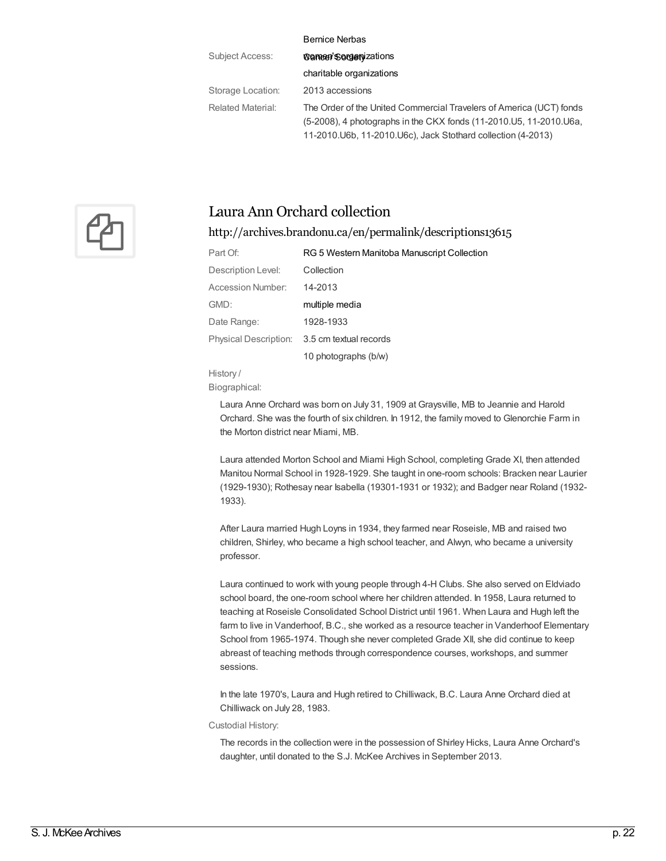|                   | <b>Bernice Nerbas</b>                                               |
|-------------------|---------------------------------------------------------------------|
| Subject Access:   | <b>Wamen'Sorgenizations</b>                                         |
|                   | charitable organizations                                            |
| Storage Location: | 2013 accessions                                                     |
| Related Material: | The Order of the United Commercial Travelers of America (UCT) fonds |
|                   | (5-2008), 4 photographs in the CKX fonds (11-2010.05, 11-2010.06a,  |
|                   | 11-2010. U6b, 11-2010. U6c), Jack Stothard collection (4-2013)      |



### Laura Ann Orchard collection

### <http://archives.brandonu.ca/en/permalink/descriptions13615>

| Part Of:              | RG 5 Western Manitoba Manuscript Collection |
|-----------------------|---------------------------------------------|
| Description Level:    | Collection                                  |
| Accession Number:     | 14-2013                                     |
| GMD:                  | multiple media                              |
| Date Range:           | 1928-1933                                   |
| Physical Description: | 3.5 cm textual records                      |
|                       | 10 photographs (b/w)                        |

History /

Biographical:

Laura Anne Orchard was born on July 31, 1909 at Graysville, MB to Jeannie and Harold Orchard. She was the fourth of six children. In 1912, the family moved to Glenorchie Farm in the Morton district near Miami, MB.

Laura attended Morton School and Miami High School, completing Grade XI, then attended Manitou Normal School in 1928-1929. She taught in one-room schools: Bracken near Laurier (1929-1930); Rothesay near Isabella (19301-1931 or 1932); and Badger near Roland (1932- 1933).

After Laura married Hugh Loyns in 1934, they farmed near Roseisle, MB and raised two children, Shirley, who became a high school teacher, and Alwyn, who became a university professor.

Laura continued to work with young people through 4-H Clubs. She also served on Eldviado school board, the one-room school where her children attended. In 1958, Laura returned to teaching at Roseisle Consolidated School District until 1961. When Laura and Hugh left the farm to live in Vanderhoof, B.C., she worked as a resource teacher in Vanderhoof Elementary School from 1965-1974. Though she never completed Grade XII, she did continue to keep abreast of teaching methods through correspondence courses, workshops, and summer sessions.

In the late 1970's, Laura and Hugh retired to Chilliwack, B.C. Laura Anne Orchard died at Chilliwack on July 28, 1983.

Custodial History:

The records in the collection were in the possession of Shirley Hicks, Laura Anne Orchard's daughter, until donated to the S.J. McKee Archives in September 2013.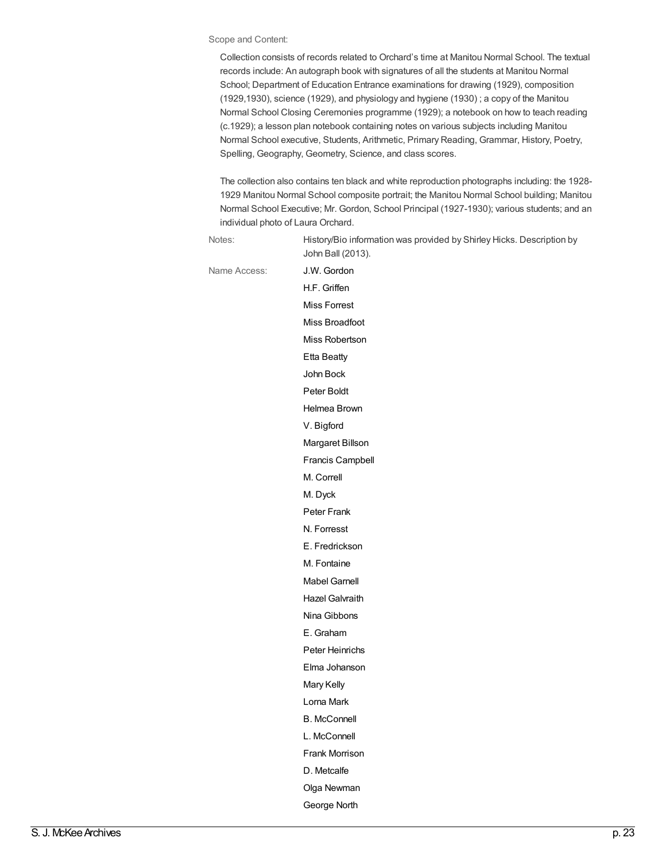#### Scope and Content:

Collection consists of records related to Orchard's time at Manitou Normal School. The textual records include: An autograph book with signatures of all the students at Manitou Normal School; Department of Education Entrance examinations for drawing (1929), composition (1929,1930), science (1929), and physiology and hygiene (1930) ; a copy of the Manitou Normal School Closing Ceremonies programme (1929); a notebook on how to teach reading (c.1929); a lesson plan notebook containing notes on various subjects including Manitou Normal School executive, Students, Arithmetic, Primary Reading, Grammar, History, Poetry, Spelling, Geography, Geometry, Science, and class scores.

The collection also contains ten black and white reproduction photographs including: the 1928- 1929 Manitou Normal School composite portrait; the Manitou Normal School building; Manitou Normal School Executive; Mr. Gordon, School Principal (1927-1930); various students; and an individual photo of Laura Orchard.

| Notes:       | History/Bio information was provided by Shirley Hicks. Description by<br>John Ball (2013). |
|--------------|--------------------------------------------------------------------------------------------|
| Name Access: | J.W. Gordon                                                                                |
|              | H.F. Griffen                                                                               |
|              | <b>Miss Forrest</b>                                                                        |
|              | Miss Broadfoot                                                                             |
|              | Miss Robertson                                                                             |
|              | <b>Etta Beatty</b>                                                                         |
|              | John Bock                                                                                  |
|              | Peter Boldt                                                                                |
|              | Helmea Brown                                                                               |
|              | V. Bigford                                                                                 |
|              | Margaret Billson                                                                           |
|              | Francis Campbell                                                                           |
|              | M. Correll                                                                                 |
|              | M. Dyck                                                                                    |
|              | Peter Frank                                                                                |
|              | N. Forresst                                                                                |
|              | E. Fredrickson                                                                             |
|              | M. Fontaine                                                                                |
|              | <b>Mabel Garnell</b>                                                                       |
|              | Hazel Galvraith                                                                            |
|              | Nina Gibbons                                                                               |
|              | E. Graham                                                                                  |
|              | Peter Heinrichs                                                                            |
|              | Elma Johanson                                                                              |
|              | Mary Kelly                                                                                 |
|              | Lorna Mark                                                                                 |
|              | <b>B.</b> McConnell                                                                        |
|              | L. McConnell                                                                               |
|              | Frank Morrison                                                                             |
|              | D. Metcalfe                                                                                |
|              | Olga Newman                                                                                |
|              | George North                                                                               |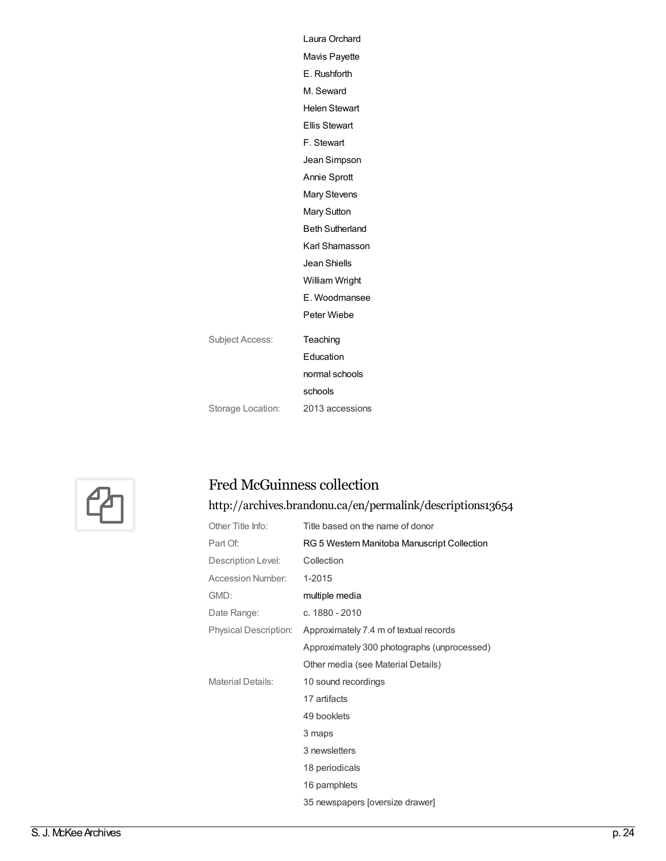|                   | Laura Orchard          |
|-------------------|------------------------|
|                   | Mavis Payette          |
|                   | E. Rushforth           |
|                   | M. Seward              |
|                   | <b>Helen Stewart</b>   |
|                   | <b>Ellis Stewart</b>   |
|                   | F. Stewart             |
|                   | Jean Simpson           |
|                   | Annie Sprott           |
|                   | <b>Mary Stevens</b>    |
|                   | <b>Mary Sutton</b>     |
|                   | <b>Beth Sutherland</b> |
|                   | Karl Shamasson         |
|                   | Jean Shiells           |
|                   | William Wright         |
|                   | E. Woodmansee          |
|                   | Peter Wiebe            |
| Subject Access:   | Teaching               |
|                   | Education              |
|                   | normal schools         |
|                   | schools                |
| Storage Location: | 2013 accessions        |
|                   |                        |



### Fred McGuinness collection

## <http://archives.brandonu.ca/en/permalink/descriptions13654>

| Other Title Info:        | Title based on the name of donor            |
|--------------------------|---------------------------------------------|
| Part Of:                 | RG 5 Western Manitoba Manuscript Collection |
| Description Level:       | Collection                                  |
| Accession Number:        | 1-2015                                      |
| GMD:                     | multiple media                              |
| Date Range:              | c. 1880 - 2010                              |
| Physical Description:    | Approximately 7.4 m of textual records      |
|                          | Approximately 300 photographs (unprocessed) |
|                          | Other media (see Material Details)          |
| <b>Material Details:</b> | 10 sound recordings                         |
|                          | 17 artifacts                                |
|                          | 49 booklets                                 |
|                          | 3 maps                                      |
|                          | 3 newsletters                               |
|                          | 18 periodicals                              |
|                          | 16 pamphlets                                |
|                          | 35 newspapers [oversize drawer]             |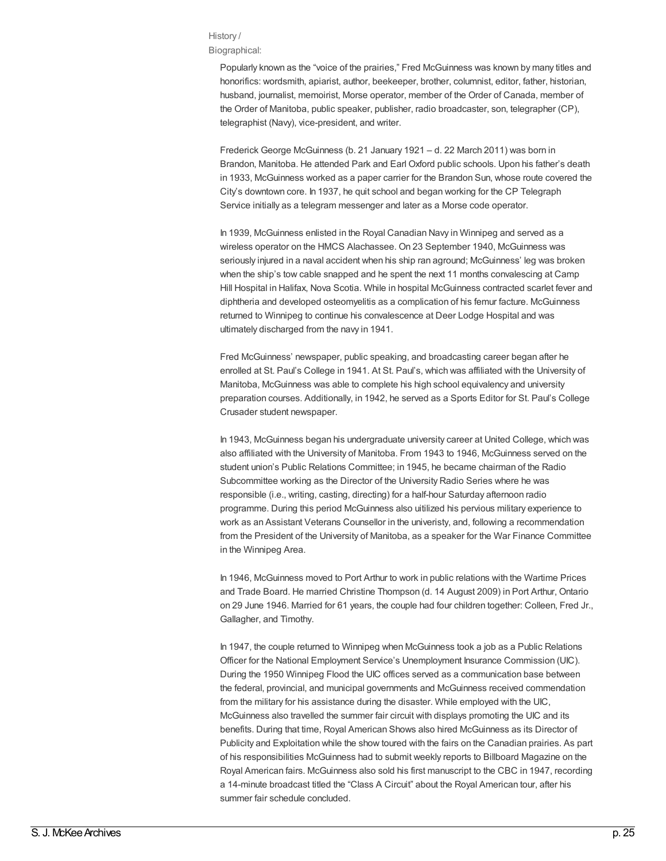### History /

Biographical:

Popularly known as the "voice of the prairies," Fred McGuinness was known by many titles and honorifics: wordsmith, apiarist, author, beekeeper, brother, columnist, editor, father, historian, husband, journalist, memoirist, Morse operator, member of the Order of Canada, member of the Order of Manitoba, public speaker, publisher, radio broadcaster, son, telegrapher (CP), telegraphist (Navy), vice-president, and writer.

Frederick George McGuinness (b. 21 January 1921 – d. 22 March 2011) was born in Brandon, Manitoba. He attended Park and Earl Oxford public schools. Upon his father's death in 1933, McGuinness worked as a paper carrier for the Brandon Sun, whose route covered the City's downtown core. In 1937, he quit school and began working for the CP Telegraph Service initially as a telegram messenger and later as a Morse code operator.

In 1939, McGuinness enlisted in the Royal Canadian Navy in Winnipeg and served as a wireless operator on the HMCS Alachassee. On 23 September 1940, McGuinness was seriously injured in a naval accident when his ship ran aground; McGuinness' leg was broken when the ship's tow cable snapped and he spent the next 11 months convalescing at Camp Hill Hospital in Halifax, Nova Scotia. While in hospital McGuinness contracted scarlet fever and diphtheria and developed osteomyelitis as a complication of his femur facture. McGuinness returned to Winnipeg to continue his convalescence at Deer Lodge Hospital and was ultimately discharged from the navy in 1941.

Fred McGuinness' newspaper, public speaking, and broadcasting career began after he enrolled at St. Paul's College in 1941. At St. Paul's, which was affiliated with the University of Manitoba, McGuinness was able to complete his high school equivalency and university preparation courses. Additionally, in 1942, he served as a Sports Editor for St. Paul's College Crusader student newspaper.

In 1943, McGuinness began his undergraduate university career at United College, which was also affiliated with the University of Manitoba. From 1943 to 1946, McGuinness served on the student union's Public Relations Committee; in 1945, he became chairman of the Radio Subcommittee working as the Director of the University Radio Series where he was responsible (i.e., writing, casting, directing) for a half-hour Saturday afternoon radio programme. During this period McGuinness also uitilized his pervious military experience to work as an Assistant Veterans Counsellor in the univeristy, and, following a recommendation from the President of the University of Manitoba, as a speaker for the War Finance Committee in the Winnipeg Area.

In 1946, McGuinness moved to Port Arthur to work in public relations with the Wartime Prices and Trade Board. He married Christine Thompson (d. 14 August 2009) in Port Arthur, Ontario on 29 June 1946. Married for 61 years, the couple had four children together: Colleen, Fred Jr., Gallagher, and Timothy.

In 1947, the couple returned to Winnipeg when McGuinness took a job as a Public Relations Officer for the National Employment Service's Unemployment Insurance Commission (UIC). During the 1950 Winnipeg Flood the UIC offices served as a communication base between the federal, provincial, and municipal governments and McGuinness received commendation from the military for his assistance during the disaster. While employed with the UIC, McGuinness also travelled the summer fair circuit with displays promoting the UIC and its benefits. During that time, Royal American Shows also hired McGuinness as its Director of Publicity and Exploitation while the show toured with the fairs on the Canadian prairies. As part of his responsibilities McGuinness had to submit weekly reports to Billboard Magazine on the Royal American fairs. McGuinness also sold his first manuscript to the CBC in 1947, recording a 14-minute broadcast titled the "Class A Circuit" about the Royal American tour, after his summer fair schedule concluded.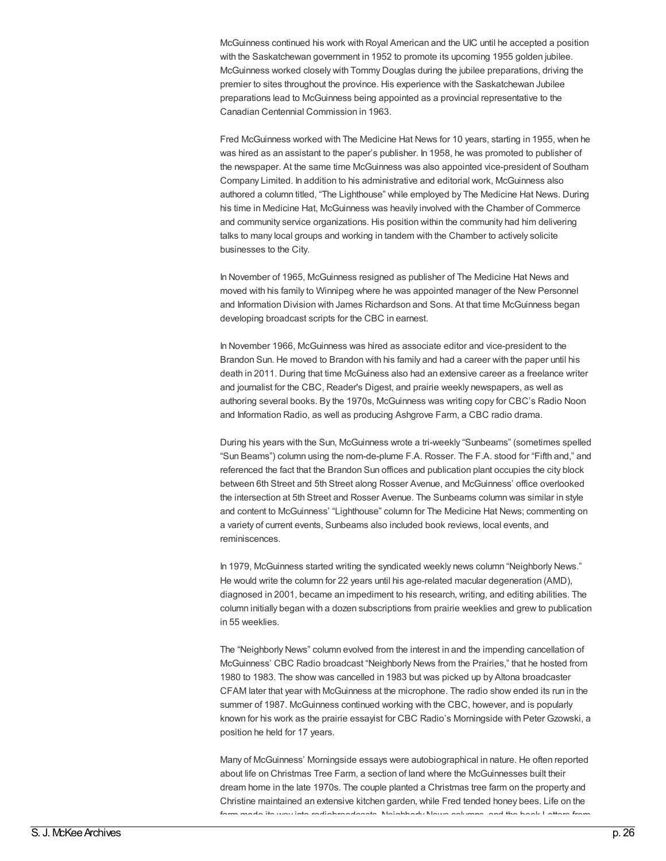McGuinness continued his work with Royal American and the UIC until he accepted a position with the Saskatchewan government in 1952 to promote its upcoming 1955 golden jubilee. McGuinness worked closely with Tommy Douglas during the jubilee preparations, driving the premier to sites throughout the province. His experience with the Saskatchewan Jubilee preparations lead to McGuinness being appointed as a provincial representative to the Canadian Centennial Commission in 1963.

Fred McGuinness worked with The Medicine Hat News for 10 years, starting in 1955, when he was hired as an assistant to the paper's publisher. In 1958, he was promoted to publisher of the newspaper. At the same time McGuinness was also appointed vice-president of Southam Company Limited. In addition to his administrative and editorial work, McGuinness also authored a column titled, "The Lighthouse" while employed by The Medicine Hat News. During his time in Medicine Hat, McGuinness was heavily involved with the Chamber of Commerce and community service organizations. His position within the community had him delivering talks to many local groups and working in tandem with the Chamber to actively solicite businesses to the City.

In November of 1965, McGuinness resigned as publisher of The Medicine Hat News and moved with his family to Winnipeg where he was appointed manager of the New Personnel and Information Division with James Richardson and Sons. At that time McGuinness began developing broadcast scripts for the CBC in earnest.

In November 1966, McGuinness was hired as associate editor and vice-president to the Brandon Sun. He moved to Brandon with his family and had a career with the paper until his death in 2011. During that time McGuiness also had an extensive career as a freelance writer and journalist for the CBC, Reader's Digest, and prairie weekly newspapers, as well as authoring several books. By the 1970s, McGuinness was writing copy for CBC's Radio Noon and Information Radio, as well as producing Ashgrove Farm, a CBC radio drama.

During his years with the Sun, McGuinness wrote a tri-weekly "Sunbeams" (sometimes spelled "Sun Beams") column using the nom-de-plume F.A. Rosser. The F.A. stood for "Fifth and," and referenced the fact that the Brandon Sun offices and publication plant occupies the city block between 6th Street and 5th Street along Rosser Avenue, and McGuinness' office overlooked the intersection at 5th Street and Rosser Avenue. The Sunbeams column was similar in style and content to McGuinness' "Lighthouse" column for The Medicine Hat News; commenting on a variety of current events, Sunbeams also included book reviews, local events, and reminiscences.

In 1979, McGuinness started writing the syndicated weekly news column "Neighborly News." He would write the column for 22 years until his age-related macular degeneration (AMD), diagnosed in 2001, became an impediment to his research, writing, and editing abilities. The column initially began with a dozen subscriptions from prairie weeklies and grew to publication in 55 weeklies.

The "Neighborly News" column evolved from the interest in and the impending cancellation of McGuinness' CBC Radio broadcast "Neighborly News from the Prairies," that he hosted from 1980 to 1983. The show was cancelled in 1983 but was picked up by Altona broadcaster CFAM later that year with McGuinness at the microphone. The radio show ended its run in the summer of 1987. McGuinness continued working with the CBC, however, and is popularly known for his work as the prairie essayist for CBC Radio's Morningside with Peter Gzowski, a position he held for 17 years.

Many of McGuinness' Morningside essays were autobiographical in nature. He often reported about life on Christmas Tree Farm, a section of land where the McGuinnesses built their dream home in the late 1970s. The couple planted a Christmas tree farm on the property and Christine maintained an extensive kitchen garden, while Fred tended honey bees. Life on the farm made its way into radiobroadcasts, Neighborly News columns, and the book Letters from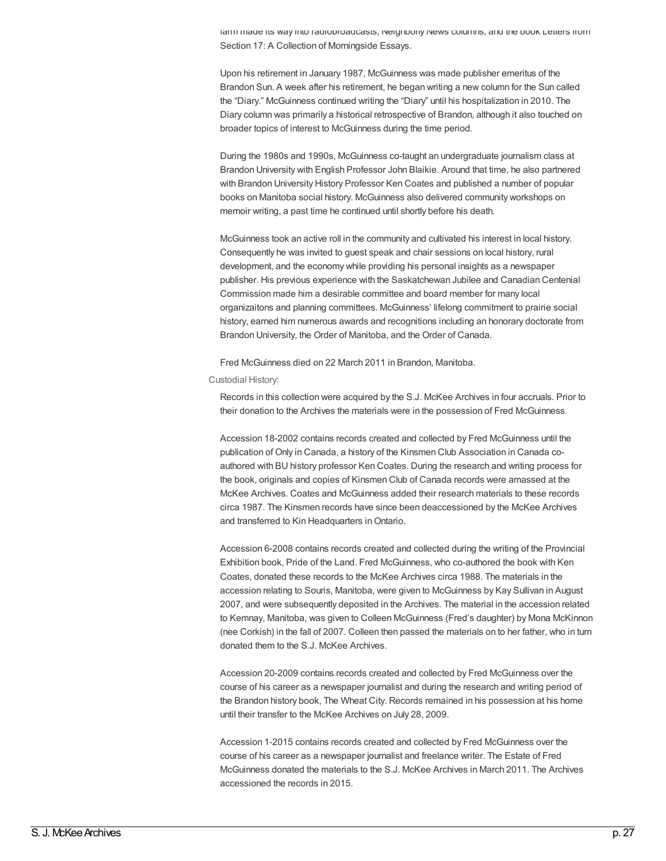farm made its way into radiobroadcasts, Neighborly News columns, and the book Letters from Section 17: A Collection of Morningside Essays.

Upon his retirement in January 1987, McGuinness was made publisher emeritus of the Brandon Sun. A week after his retirement, he began writing a new column for the Sun called the "Diary." McGuinness continued writing the "Diary" until his hospitalization in 2010. The Diary column was primarily a historical retrospective of Brandon, although it also touched on broader topics of interest to McGuinness during the time period.

During the 1980s and 1990s, McGuinness co-taught an undergraduate journalism class at Brandon University with English Professor John Blaikie. Around that time, he also partnered with Brandon University History Professor Ken Coates and published a number of popular books on Manitoba social history. McGuinness also delivered community workshops on memoir writing, a past time he continued until shortly before his death.

McGuinness took an active roll in the community and cultivated his interest in local history. Consequently he was invited to guest speak and chair sessions on local history, rural development, and the economy while providing his personal insights as a newspaper publisher. His previous experience with the Saskatchewan Jubilee and Canadian Centenial Commission made him a desirable committee and board member for many local organizaitons and planning committees. McGuinness' lifelong commitment to prairie social history, earned him numerous awards and recognitions including an honorary doctorate from Brandon University, the Order of Manitoba, and the Order of Canada.

Fred McGuinness died on 22 March 2011 in Brandon, Manitoba.

### Custodial History:

Records in this collection were acquired by the S.J. McKee Archives in four accruals. Prior to their donation to the Archives the materials were in the possession of Fred McGuinness.

Accession 18-2002 contains records created and collected by Fred McGuinness until the publication of Only in Canada, a history of the Kinsmen Club Association in Canada coauthored with BU history professor Ken Coates. During the research and writing process for the book, originals and copies of Kinsmen Club of Canada records were amassed at the McKee Archives. Coates and McGuinness added their research materials to these records circa 1987. The Kinsmen records have since been deaccessioned by the McKee Archives and transferred to Kin Headquarters in Ontario.

Accession 6-2008 contains records created and collected during the writing of the Provincial Exhibition book, Pride of the Land. Fred McGuinness, who co-authored the book with Ken Coates, donated these records to the McKee Archives circa 1988. The materials in the accession relating to Souris, Manitoba, were given to McGuinness by Kay Sullivan in August 2007, and were subsequently deposited in the Archives. The material in the accession related to Kemnay, Manitoba, was given to Colleen McGuinness (Fred's daughter) by Mona McKinnon (nee Corkish) in the fall of 2007. Colleen then passed the materials on to her father, who in turn donated them to the S.J. McKee Archives.

Accession 20-2009 contains records created and collected by Fred McGuinness over the course of his career as a newspaper journalist and during the research and writing period of the Brandon history book, The Wheat City. Records remained in his possession at his home until their transfer to the McKee Archives on July 28, 2009.

Accession 1-2015 contains records created and collected by Fred McGuinness over the course of his career as a newspaper journalist and freelance writer. The Estate of Fred McGuinness donated the materials to the S.J. McKee Archives in March 2011. The Archives accessioned the records in 2015.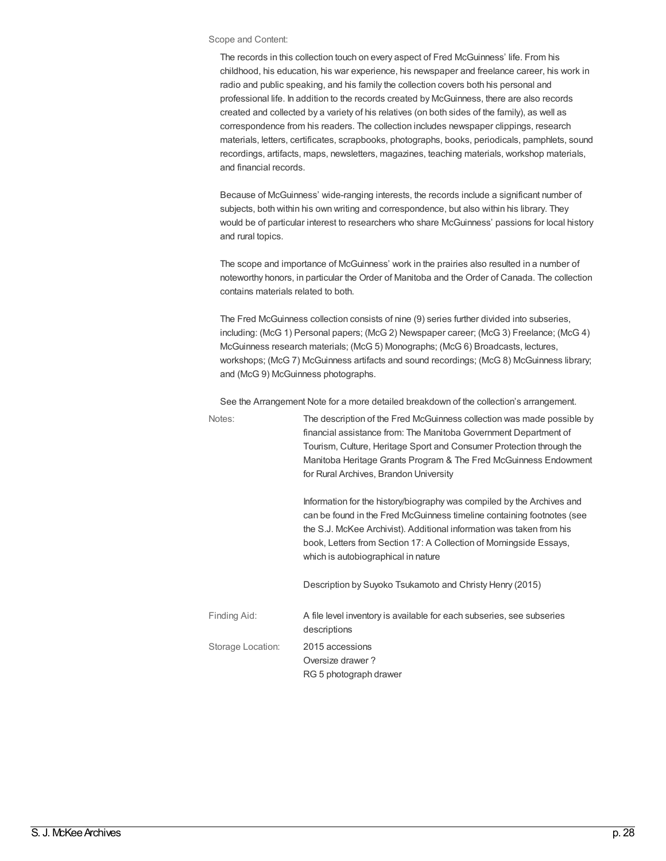#### Scope and Content:

The records in this collection touch on every aspect of Fred McGuinness' life. From his childhood, his education, his war experience, his newspaper and freelance career, his work in radio and public speaking, and his family the collection covers both his personal and professional life. In addition to the records created by McGuinness, there are also records created and collected by a variety of his relatives (on both sides of the family), as well as correspondence from his readers. The collection includes newspaper clippings, research materials, letters, certificates, scrapbooks, photographs, books, periodicals, pamphlets, sound recordings, artifacts, maps, newsletters, magazines, teaching materials, workshop materials, and financial records.

Because of McGuinness' wide-ranging interests, the records include a significant number of subjects, both within his own writing and correspondence, but also within his library. They would be of particular interest to researchers who share McGuinness' passions for local history and rural topics.

The scope and importance of McGuinness' work in the prairies also resulted in a number of noteworthy honors, in particular the Order of Manitoba and the Order of Canada. The collection contains materials related to both.

The Fred McGuinness collection consists of nine (9) series further divided into subseries, including: (McG 1) Personal papers; (McG 2) Newspaper career; (McG 3) Freelance; (McG 4) McGuinness research materials; (McG 5) Monographs; (McG 6) Broadcasts, lectures, workshops; (McG 7) McGuinness artifacts and sound recordings; (McG 8) McGuinness library; and (McG 9) McGuinness photographs.

See the Arrangement Note for a more detailed breakdown of the collection's arrangement.

| Notes:            | The description of the Fred McGuinness collection was made possible by<br>financial assistance from: The Manitoba Government Department of<br>Tourism, Culture, Heritage Sport and Consumer Protection through the<br>Manitoba Heritage Grants Program & The Fred McGuinness Endowment<br>for Rural Archives, Brandon University      |
|-------------------|---------------------------------------------------------------------------------------------------------------------------------------------------------------------------------------------------------------------------------------------------------------------------------------------------------------------------------------|
|                   | Information for the history/biography was compiled by the Archives and<br>can be found in the Fred McGuinness timeline containing footnotes (see<br>the S.J. McKee Archivist). Additional information was taken from his<br>book, Letters from Section 17: A Collection of Morningside Essays,<br>which is autobiographical in nature |
|                   | Description by Suyoko Tsukamoto and Christy Henry (2015)                                                                                                                                                                                                                                                                              |
| Finding Aid:      | A file level inventory is available for each subseries, see subseries<br>descriptions                                                                                                                                                                                                                                                 |
| Storage Location: | 2015 accessions<br>Oversize drawer?<br>RG 5 photograph drawer                                                                                                                                                                                                                                                                         |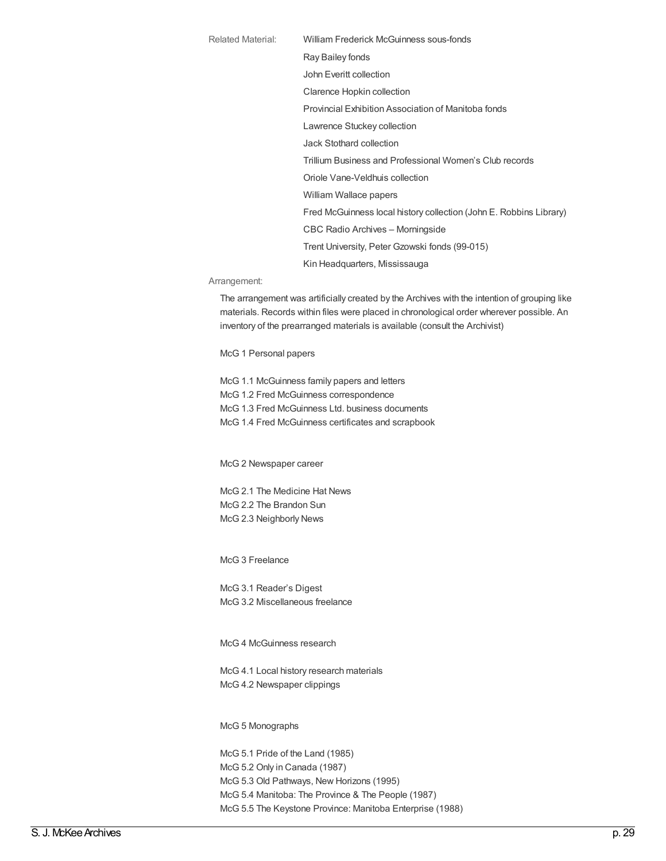Related Material: William Frederick McGuinness sous-fonds Ray Bailey fonds John Everitt collection Clarence Hopkin collection Provincial Exhibition Association of Manitoba fonds Lawrence Stuckey collection Jack Stothard collection Trillium Business and Professional Women's Club records Oriole Vane-Veldhuis collection William Wallace papers Fred McGuinness local history collection (John E. Robbins Library) CBC Radio Archives – Morningside Trent University, Peter Gzowski fonds (99-015) Kin Headquarters, Mississauga

### Arrangement:

The arrangement was artificially created by the Archives with the intention of grouping like materials. Records within files were placed in chronological order wherever possible. An inventory of the prearranged materials is available (consult the Archivist)

McG 1 Personal papers

McG 1.1 McGuinness family papers and letters McG 1.2 Fred McGuinness correspondence McG 1.3 Fred McGuinness Ltd. business documents McG 1.4 Fred McGuinness certificates and scrapbook

McG 2 Newspaper career

McG 2.1 The Medicine Hat News McG 2.2 The Brandon Sun McG 2.3 Neighborly News

McG 3 Freelance

McG 3.1 Reader's Digest McG 3.2 Miscellaneous freelance

McG 4 McGuinness research

McG 4.1 Local history research materials McG 4.2 Newspaper clippings

McG 5 Monographs

McG 5.1 Pride of the Land (1985) McG 5.2 Only in Canada (1987) McG 5.3 Old Pathways, New Horizons (1995) McG 5.4 Manitoba: The Province & The People (1987) McG 5.5 The Keystone Province: Manitoba Enterprise (1988)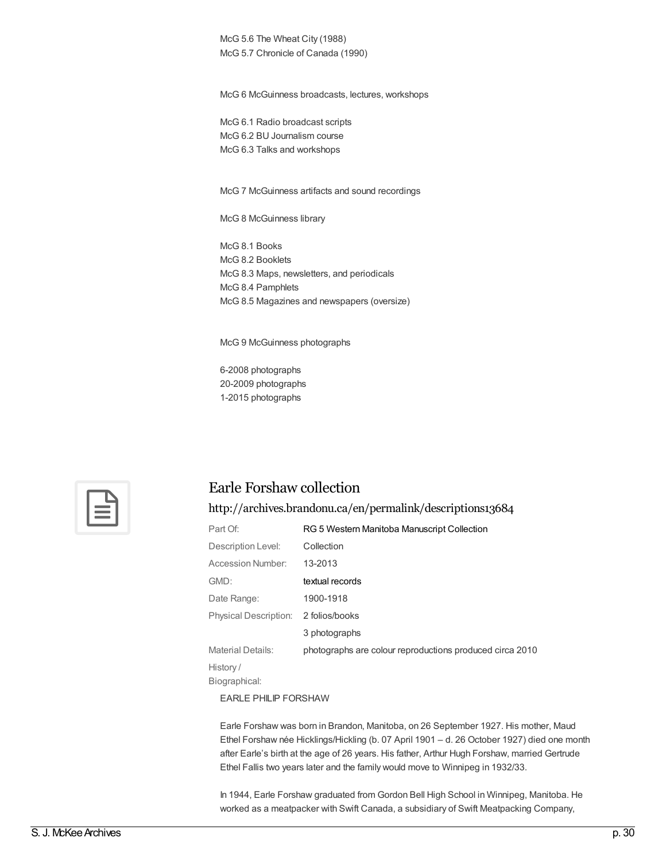McG 5.6 The Wheat City (1988) McG 5.7 Chronicle of Canada (1990)

McG 6 McGuinness broadcasts, lectures, workshops

McG 6.1 Radio broadcast scripts McG 6.2 BU Journalism course McG 6.3 Talks and workshops

McG 7 McGuinness artifacts and sound recordings

McG 8 McGuinness library

McG 8.1 Books McG 8.2 Booklets McG 8.3 Maps, newsletters, and periodicals McG 8.4 Pamphlets McG 8.5 Magazines and newspapers (oversize)

McG 9 McGuinness photographs

6-2008 photographs 20-2009 photographs 1-2015 photographs



### Earle Forshaw collection

<http://archives.brandonu.ca/en/permalink/descriptions13684>

| Part Of:                     | RG 5 Western Manitoba Manuscript Collection              |
|------------------------------|----------------------------------------------------------|
| Description Level:           | Collection                                               |
| Accession Number:            | 13-2013                                                  |
| GMD:                         | textual records                                          |
| Date Range:                  | 1900-1918                                                |
| <b>Physical Description:</b> | 2 folios/books                                           |
|                              | 3 photographs                                            |
| <b>Material Details:</b>     | photographs are colour reproductions produced circa 2010 |
| History/                     |                                                          |
| Biographical:                |                                                          |

EARLE PHILIP FORSHAW

Earle Forshaw was born in Brandon, Manitoba, on 26 September 1927. His mother, Maud Ethel Forshaw née Hicklings/Hickling (b. 07 April 1901 – d. 26 October 1927) died one month after Earle's birth at the age of 26 years. His father, Arthur Hugh Forshaw, married Gertrude Ethel Fallis two years later and the family would move to Winnipeg in 1932/33.

In 1944, Earle Forshaw graduated from Gordon Bell High School in Winnipeg, Manitoba. He worked as a meatpacker with Swift Canada, a subsidiary of Swift Meatpacking Company,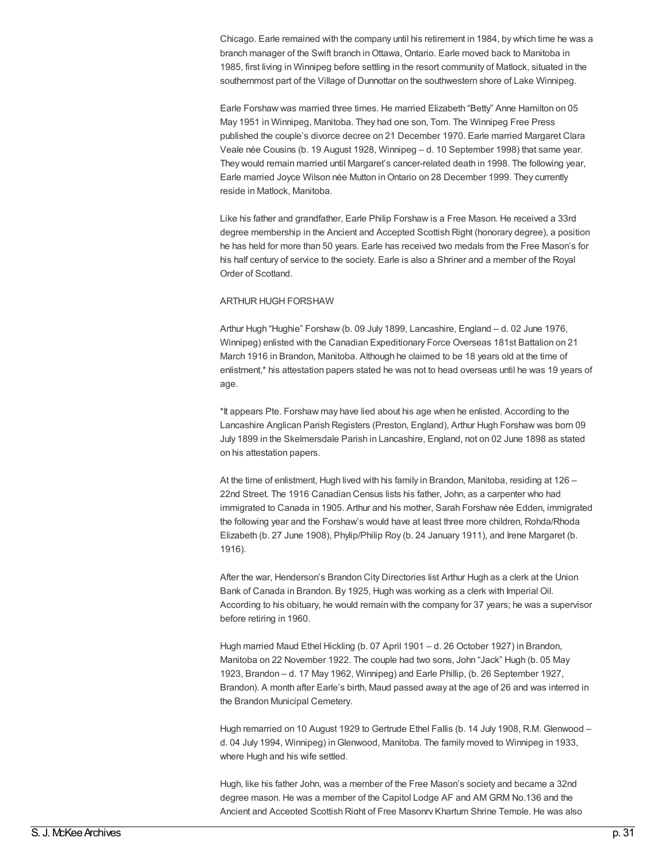Chicago. Earle remained with the company until his retirement in 1984, by which time he was a branch manager of the Swift branch in Ottawa, Ontario. Earle moved back to Manitoba in 1985, first living in Winnipeg before settling in the resort community of Matlock, situated in the southernmost part of the Village of Dunnottar on the southwestern shore of Lake Winnipeg.

Earle Forshaw was married three times. He married Elizabeth "Betty" Anne Hamilton on 05 May 1951 in Winnipeg, Manitoba. They had one son, Tom. The Winnipeg Free Press published the couple's divorce decree on 21 December 1970. Earle married Margaret Clara Veale née Cousins (b. 19 August 1928, Winnipeg – d. 10 September 1998) that same year. They would remain married until Margaret's cancer-related death in 1998. The following year, Earle married Joyce Wilson née Mutton inOntario on 28 December 1999. They currently reside in Matlock, Manitoba.

Like his father and grandfather, Earle Philip Forshaw is a Free Mason. He received a 33rd degree membership in the Ancient and Accepted Scottish Right (honorary degree), a position he has held for more than 50 years. Earle has received two medals from the Free Mason's for his half century of service to the society. Earle is also a Shriner and a member of the Royal Order of Scotland.

### ARTHUR HUGH FORSHAW

Arthur Hugh "Hughie" Forshaw (b. 09 July 1899, Lancashire, England – d. 02 June 1976, Winnipeg) enlisted with the Canadian Expeditionary Force Overseas 181st Battalion on 21 March 1916 in Brandon, Manitoba. Although he claimed to be 18 years old at the time of enlistment,\* his attestation papers stated he was not to head overseas until he was 19 years of age.

\*It appears Pte. Forshaw may have lied about his age when he enlisted. According to the Lancashire Anglican Parish Registers (Preston, England), Arthur Hugh Forshaw was born 09 July 1899 in the Skelmersdale Parish in Lancashire, England, not on 02 June 1898 as stated on his attestation papers.

At the time of enlistment, Hugh lived with his family in Brandon, Manitoba, residing at 126 – 22nd Street. The 1916 Canadian Census lists his father, John, as a carpenter who had immigrated to Canada in 1905. Arthur and his mother, Sarah Forshaw née Edden, immigrated the following year and the Forshaw's would have at least three more children, Rohda/Rhoda Elizabeth (b. 27 June 1908), Phylip/Philip Roy (b. 24 January 1911), and Irene Margaret (b. 1916).

After the war, Henderson's Brandon City Directories list Arthur Hugh as a clerk at the Union Bank of Canada in Brandon. By 1925, Hugh was working as a clerk with Imperial Oil. According to his obituary, he would remain with the company for 37 years; he was a supervisor before retiring in 1960.

Hugh married Maud Ethel Hickling (b. 07 April 1901 – d. 26 October 1927) in Brandon, Manitoba on 22 November 1922. The couple had two sons, John "Jack" Hugh (b. 05 May 1923, Brandon – d. 17 May 1962, Winnipeg) and Earle Phillip, (b. 26 September 1927, Brandon). A month after Earle's birth, Maud passed away at the age of 26 and was interred in the Brandon Municipal Cemetery.

Hugh remarried on 10 August 1929 to Gertrude Ethel Fallis (b. 14 July 1908, R.M. Glenwood – d. 04 July 1994, Winnipeg) inGlenwood, Manitoba. The family moved to Winnipeg in 1933, where Hugh and his wife settled.

Hugh, like his father John, was a member of the Free Mason's society and became a 32nd degree mason. He was a member of the Capitol Lodge AF and AM GRM No.136 and the Ancient and Accepted Scottish Right of Free Masonry Khartum Shrine Temple. He was also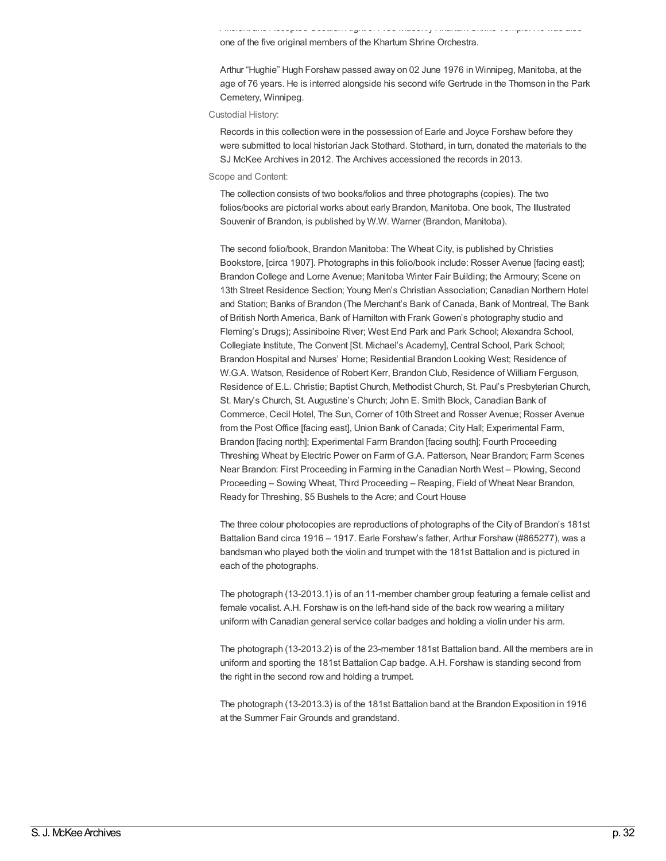Ancient and Accepted Scottish Right of Free Masonry Khartum Shrine Temple. He was also one of the five original members of the Khartum Shrine Orchestra.

Arthur "Hughie" Hugh Forshaw passed away on 02 June 1976 in Winnipeg, Manitoba, at the age of 76 years. He is interred alongside his second wife Gertrude in the Thomson in the Park Cemetery, Winnipeg.

#### Custodial History:

Records in this collection were in the possession of Earle and Joyce Forshaw before they were submitted to local historian Jack Stothard. Stothard, in turn, donated the materials to the SJ McKee Archives in 2012. The Archives accessioned the records in 2013.

#### Scope and Content:

The collection consists of two books/folios and three photographs (copies). The two folios/books are pictorial works about early Brandon, Manitoba. One book, The Illustrated Souvenir of Brandon, is published by W.W. Warner (Brandon, Manitoba).

The second folio/book, Brandon Manitoba: The Wheat City, is published by Christies Bookstore, [circa 1907]. Photographs in this folio/book include: Rosser Avenue [facing east]; Brandon College and Lorne Avenue; Manitoba Winter Fair Building; the Armoury; Scene on 13th Street Residence Section; Young Men's Christian Association; Canadian Northern Hotel and Station; Banks of Brandon (The Merchant's Bank of Canada, Bank of Montreal, The Bank of British North America, Bank of Hamilton with Frank Gowen's photography studio and Fleming's Drugs); Assiniboine River; West End Park and Park School; Alexandra School, Collegiate Institute, The Convent [St. Michael's Academy], Central School, Park School; Brandon Hospital and Nurses' Home; Residential Brandon Looking West; Residence of W.G.A. Watson, Residence of Robert Kerr, Brandon Club, Residence of William Ferguson, Residence of E.L. Christie; Baptist Church, Methodist Church, St. Paul's Presbyterian Church, St. Mary's Church, St. Augustine's Church; John E. Smith Block, Canadian Bank of Commerce, Cecil Hotel, The Sun, Corner of 10th Street and Rosser Avenue; Rosser Avenue from the Post Office [facing east], Union Bank of Canada; City Hall; Experimental Farm, Brandon [facing north]; Experimental Farm Brandon [facing south]; Fourth Proceeding Threshing Wheat by Electric Power on Farm of G.A. Patterson, Near Brandon; Farm Scenes Near Brandon: First Proceeding in Farming in the Canadian North West – Plowing, Second Proceeding – Sowing Wheat, Third Proceeding – Reaping, Field of Wheat Near Brandon, Ready for Threshing, \$5 Bushels to the Acre; and Court House

The three colour photocopies are reproductions of photographs of the City of Brandon's 181st Battalion Band circa 1916 – 1917. Earle Forshaw's father, Arthur Forshaw (#865277), was a bandsman who played both the violin and trumpet with the 181st Battalion and is pictured in each of the photographs.

The photograph (13-2013.1) is of an 11-member chamber group featuring a female cellist and female vocalist. A.H. Forshaw is on the left-hand side of the back row wearing a military uniform with Canadian general service collar badges and holding a violin under his arm.

The photograph (13-2013.2) is of the 23-member 181st Battalion band. All the members are in uniform and sporting the 181st Battalion Cap badge. A.H. Forshaw is standing second from the right in the second row and holding a trumpet.

The photograph (13-2013.3) is of the 181st Battalion band at the Brandon Exposition in 1916 at the Summer Fair Grounds and grandstand.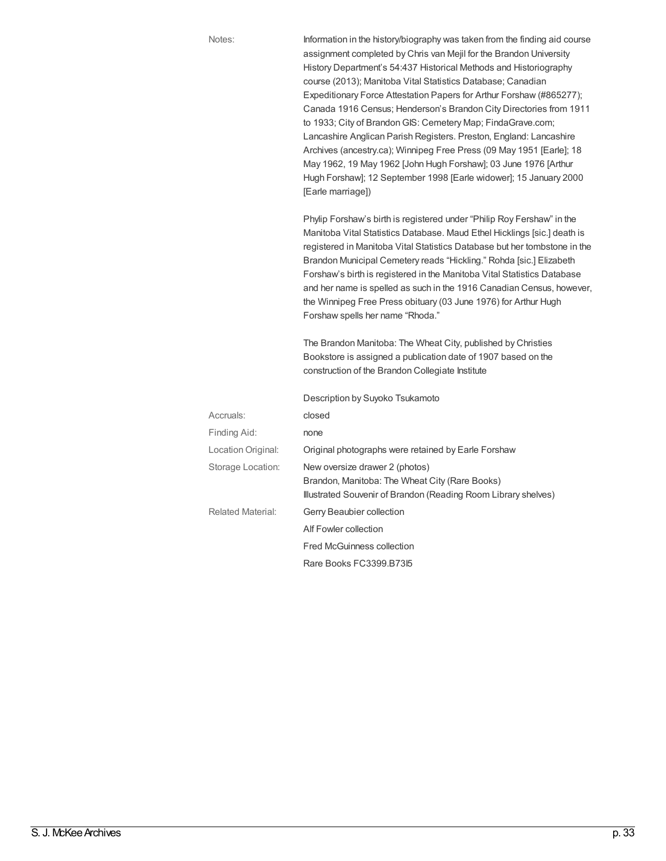Notes: Information in the history/biography was taken from the finding aid course assignment completed by Chris van Mejil for the Brandon University History Department's 54:437 Historical Methods and Historiography course (2013); Manitoba Vital Statistics Database; Canadian Expeditionary Force Attestation Papers for Arthur Forshaw (#865277); Canada 1916 Census; Henderson's Brandon City Directories from 1911 to 1933; City of Brandon GIS: Cemetery Map; FindaGrave.com; Lancashire Anglican Parish Registers. Preston, England: Lancashire Archives (ancestry.ca); Winnipeg Free Press (09 May 1951 [Earle]; 18 May 1962, 19 May 1962 [John Hugh Forshaw]; 03 June 1976 [Arthur Hugh Forshaw]; 12 September 1998 [Earle widower]; 15 January 2000 [Earle marriage])

> Phylip Forshaw's birth is registered under "Philip Roy Fershaw" in the Manitoba Vital Statistics Database. Maud Ethel Hicklings [sic.] death is registered in Manitoba Vital Statistics Database but her tombstone in the Brandon Municipal Cemetery reads "Hickling." Rohda [sic.] Elizabeth Forshaw's birth is registered in the Manitoba Vital Statistics Database and her name is spelled as such in the 1916 Canadian Census, however, the Winnipeg Free Press obituary (03 June 1976) for Arthur Hugh Forshaw spells her name "Rhoda."

The Brandon Manitoba: The Wheat City, published by Christies Bookstore is assigned a publication date of 1907 based on the construction of the Brandon Collegiate Institute

Description by Suyoko Tsukamoto

| Accruals:          | closed                                                                                                                                             |
|--------------------|----------------------------------------------------------------------------------------------------------------------------------------------------|
| Finding Aid:       | none                                                                                                                                               |
| Location Original: | Original photographs were retained by Earle Forshaw                                                                                                |
| Storage Location:  | New oversize drawer 2 (photos)<br>Brandon, Manitoba: The Wheat City (Rare Books)<br>Illustrated Souvenir of Brandon (Reading Room Library shelves) |
| Related Material:  | Gerry Beaubier collection<br>Alf Fowler collection<br><b>Fred McGuinness collection</b>                                                            |
|                    | Rare Books FC3399.B7315                                                                                                                            |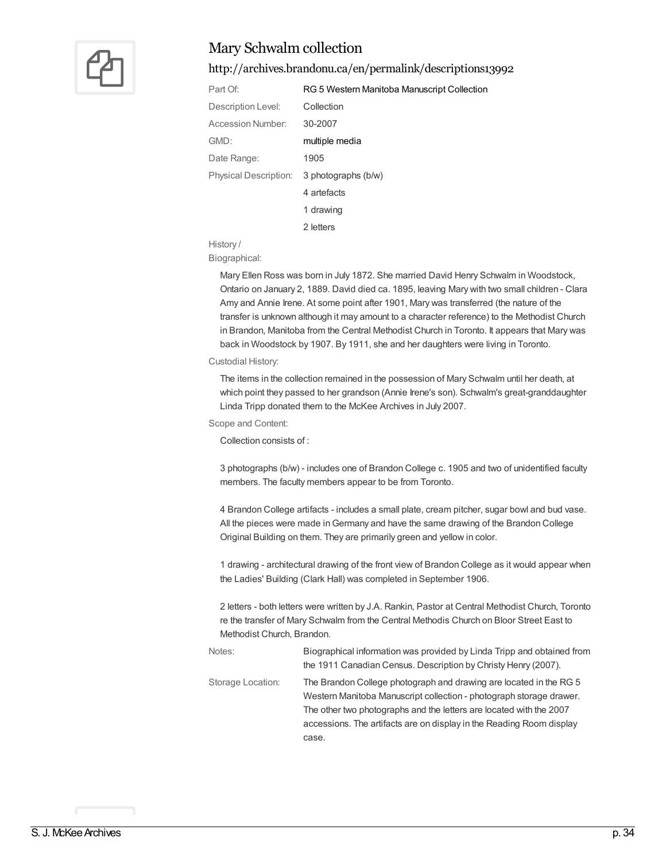

### Mary Schwalm collection

### <http://archives.brandonu.ca/en/permalink/descriptions13992>

| Part Of:                     | RG 5 Western Manitoba Manuscript Collection |
|------------------------------|---------------------------------------------|
| Description Level:           | Collection                                  |
| Accession Number:            | 30-2007                                     |
| GMD:                         | multiple media                              |
| Date Range:                  | 1905                                        |
| <b>Physical Description:</b> | 3 photographs (b/w)                         |
|                              | 4 artefacts                                 |
|                              | 1 drawing                                   |
|                              | 2 letters                                   |

### History /

Biographical:

Mary Ellen Ross was born in July 1872. She married David Henry Schwalm in Woodstock, Ontario on January 2, 1889. David died ca. 1895, leaving Mary with two small children - Clara Amy and Annie Irene. At some point after 1901, Mary was transferred (the nature of the transfer is unknown although it may amount to a character reference) to the Methodist Church in Brandon, Manitoba from the Central Methodist Church in Toronto. It appears that Mary was back in Woodstock by 1907. By 1911, she and her daughters were living in Toronto.

#### Custodial History:

The items in the collection remained in the possession of Mary Schwalm until her death, at which point they passed to her grandson (Annie Irene's son). Schwalm's great-granddaughter Linda Tripp donated them to the McKee Archives in July 2007.

### Scope and Content:

Collection consists of :

3 photographs (b/w) - includes one of Brandon College c. 1905 and two of unidentified faculty members. The faculty members appear to be from Toronto.

4 Brandon College artifacts - includes a small plate, cream pitcher, sugar bowl and bud vase. All the pieces were made inGermany and have the same drawing of the Brandon College Original Building on them. They are primarily green and yellow in color.

1 drawing - architectural drawing of the front view of Brandon College as it would appear when the Ladies' Building (Clark Hall) was completed in September 1906.

2 letters - both letters were written by J.A. Rankin, Pastor at Central Methodist Church, Toronto re the transfer of Mary Schwalm from the Central Methodis Church on Bloor Street East to Methodist Church, Brandon.

Notes: Biographical information was provided by Linda Tripp and obtained from the 1911 Canadian Census. Description by Christy Henry (2007). Storage Location: The Brandon College photograph and drawing are located in the RG 5 Western Manitoba Manuscript collection - photograph storage drawer. The other two photographs and the letters are located with the 2007 accessions. The artifacts are on display in the Reading Room display case.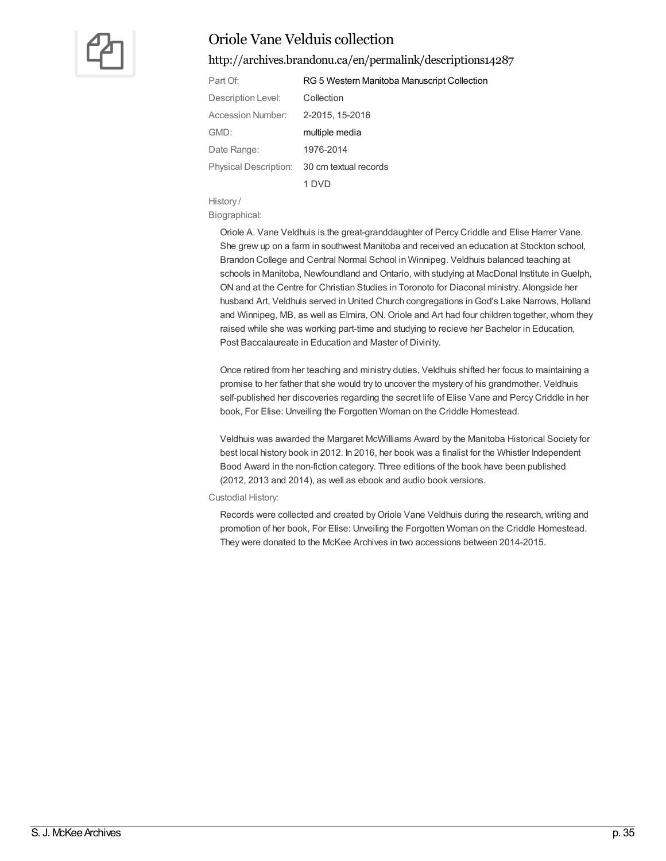

### Oriole Vane Velduis collection

### <http://archives.brandonu.ca/en/permalink/descriptions14287>

| Part Of:                     | RG 5 Western Manitoba Manuscript Collection |
|------------------------------|---------------------------------------------|
| Description Level:           | Collection                                  |
| Accession Number:            | 2-2015, 15-2016                             |
| GMD:                         | multiple media                              |
| Date Range:                  | 1976-2014                                   |
| <b>Physical Description:</b> | 30 cm textual records                       |
|                              |                                             |

History /

Biographical:

Oriole A. Vane Veldhuis is the great-granddaughter of Percy Criddle and Elise Harrer Vane. She grew up on a farm in southwest Manitoba and received an education at Stockton school, Brandon College and Central Normal School in Winnipeg. Veldhuis balanced teaching at schools in Manitoba, Newfoundland and Ontario, with studying at MacDonal Institute in Guelph, ON and at the Centre for Christian Studies in Toronoto for Diaconal ministry. Alongside her husband Art, Veldhuis served in United Church congregations inGod's Lake Narrows, Holland and Winnipeg, MB, as well as Elmira, ON. Oriole and Art had four children together, whom they raised while she was working part-time and studying to recieve her Bachelor in Education, Post Baccalaureate in Education and Master of Divinity.

Once retired from her teaching and ministry duties, Veldhuis shifted her focus to maintaining a promise to her father that she would try to uncover the mystery of his grandmother. Veldhuis self-published her discoveries regarding the secret life of Elise Vane and Percy Criddle in her book, For Elise: Unveiling the Forgotten Woman on the Criddle Homestead.

Veldhuis was awarded the Margaret McWilliams Award by the Manitoba Historical Society for best local history book in 2012. In 2016, her book was a finalist for the Whistler Independent Bood Award in the non-fiction category. Three editions of the book have been published (2012, 2013 and 2014), as well as ebook and audio book versions.

Custodial History:

Records were collected and created by Oriole Vane Veldhuis during the research, writing and promotion of her book, For Elise: Unveiling the Forgotten Woman on the Criddle Homestead. They were donated to the McKee Archives in two accessions between 2014-2015.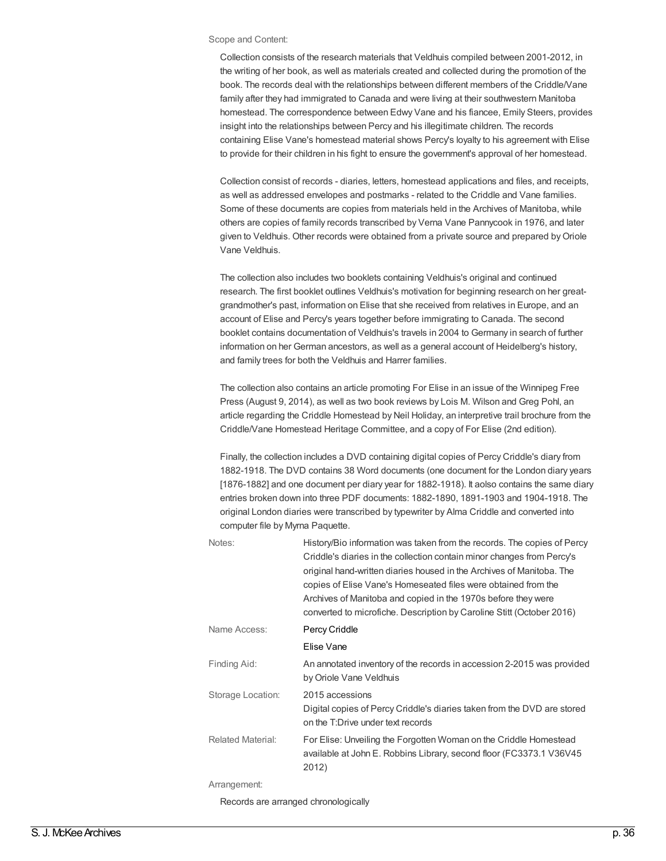#### Scope and Content:

Collection consists of the research materials that Veldhuis compiled between 2001-2012, in the writing of her book, as well as materials created and collected during the promotion of the book. The records deal with the relationships between different members of the Criddle/Vane family after they had immigrated to Canada and were living at their southwestern Manitoba homestead. The correspondence between Edwy Vane and his fiancee, Emily Steers, provides insight into the relationships between Percy and his illegitimate children. The records containing Elise Vane's homestead material shows Percy's loyalty to his agreement with Elise to provide for their children in his fight to ensure the government's approval of her homestead.

Collection consist of records - diaries, letters, homestead applications and files, and receipts, as well as addressed envelopes and postmarks - related to the Criddle and Vane families. Some of these documents are copies from materials held in the Archives of Manitoba, while others are copies of family records transcribed by Verna Vane Pannycook in 1976, and later given to Veldhuis. Other records were obtained from a private source and prepared byOriole Vane Veldhuis.

The collection also includes two booklets containing Veldhuis's original and continued research. The first booklet outlines Veldhuis's motivation for beginning research on her greatgrandmother's past, information on Elise that she received from relatives in Europe, and an account of Elise and Percy's years together before immigrating to Canada. The second booklet contains documentation of Veldhuis's travels in 2004 to Germany in search of further information on her German ancestors, as well as a general account of Heidelberg's history, and family trees for both the Veldhuis and Harrer families.

The collection also contains an article promoting For Elise in an issue of the Winnipeg Free Press (August 9, 2014), as well as two book reviews by Lois M. Wilson and Greg Pohl, an article regarding the Criddle Homestead by Neil Holiday, an interpretive trail brochure from the Criddle/Vane Homestead Heritage Committee, and a copy of For Elise (2nd edition).

Finally, the collection includes a DVD containing digital copies of Percy Criddle's diary from 1882-1918. The DVD contains 38 Word documents (one document for the London diary years [1876-1882] and one document per diary year for 1882-1918). It aolso contains the same diary entries broken down into three PDF documents: 1882-1890, 1891-1903 and 1904-1918. The original London diaries were transcribed by typewriter by Alma Criddle and converted into computer file by Myrna Paquette.

| Notes:                               | History/Bio information was taken from the records. The copies of Percy<br>Criddle's diaries in the collection contain minor changes from Percy's<br>original hand-written diaries housed in the Archives of Manitoba. The<br>copies of Elise Vane's Homeseated files were obtained from the<br>Archives of Manitoba and copied in the 1970s before they were<br>converted to microfiche. Description by Caroline Stitt (October 2016) |
|--------------------------------------|----------------------------------------------------------------------------------------------------------------------------------------------------------------------------------------------------------------------------------------------------------------------------------------------------------------------------------------------------------------------------------------------------------------------------------------|
| Name Access:                         | Percy Criddle                                                                                                                                                                                                                                                                                                                                                                                                                          |
|                                      | Elise Vane                                                                                                                                                                                                                                                                                                                                                                                                                             |
| Finding Aid:                         | An annotated inventory of the records in accession 2-2015 was provided<br>by Oriole Vane Veldhuis                                                                                                                                                                                                                                                                                                                                      |
| Storage Location:                    | 2015 accessions<br>Digital copies of Percy Criddle's diaries taken from the DVD are stored<br>on the T:Drive under text records                                                                                                                                                                                                                                                                                                        |
| <b>Related Material:</b>             | For Elise: Unveiling the Forgotten Woman on the Criddle Homestead<br>available at John E. Robbins Library, second floor (FC3373.1 V36V45<br>2012)                                                                                                                                                                                                                                                                                      |
| Arrangement:                         |                                                                                                                                                                                                                                                                                                                                                                                                                                        |
| Records are arranged chronologically |                                                                                                                                                                                                                                                                                                                                                                                                                                        |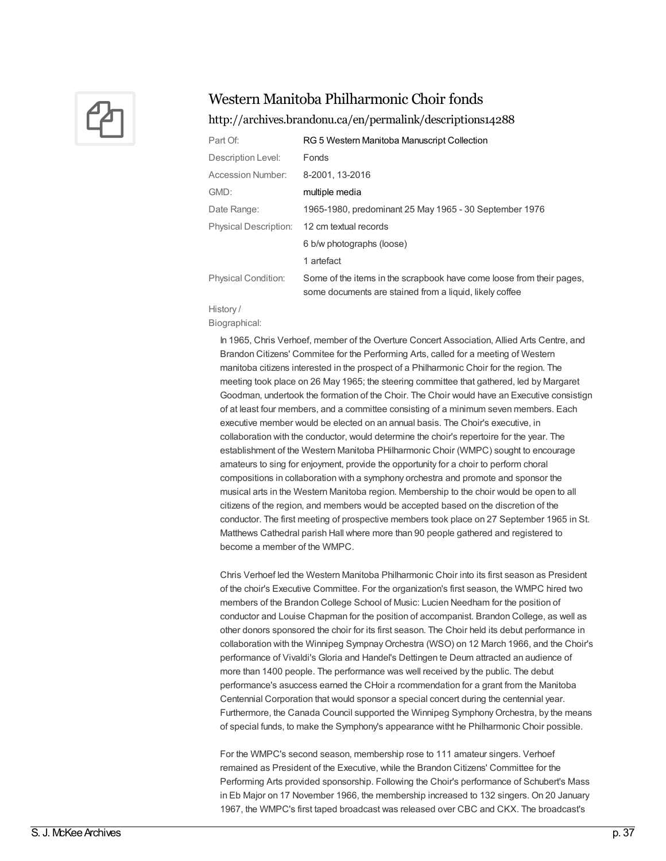

### Western Manitoba Philharmonic Choir fonds

### <http://archives.brandonu.ca/en/permalink/descriptions14288>

| RG 5 Western Manitoba Manuscript Collection                                                                                     |
|---------------------------------------------------------------------------------------------------------------------------------|
| Fonds                                                                                                                           |
| 8-2001, 13-2016                                                                                                                 |
| multiple media                                                                                                                  |
| 1965-1980, predominant 25 May 1965 - 30 September 1976                                                                          |
| 12 cm textual records                                                                                                           |
| 6 b/w photographs (loose)                                                                                                       |
| 1 artefact                                                                                                                      |
| Some of the items in the scrapbook have come loose from their pages,<br>some documents are stained from a liquid, likely coffee |
|                                                                                                                                 |

### History /

Biographical:

In 1965, Chris Verhoef, member of the Overture Concert Association, Allied Arts Centre, and Brandon Citizens' Commitee for the Performing Arts, called for a meeting of Western manitoba citizens interested in the prospect of a Philharmonic Choir for the region. The meeting took place on 26 May 1965; the steering committee that gathered, led by Margaret Goodman, undertook the formation of the Choir. The Choir would have an Executive consistign of at least four members, and a committee consisting of a minimum seven members. Each executive member would be elected on an annual basis. The Choir's executive, in collaboration with the conductor, would determine the choir's repertoire for the year. The establishment of the Western Manitoba PHilharmonic Choir (WMPC) sought to encourage amateurs to sing for enjoyment, provide the opportunity for a choir to perform choral compositions in collaboration with a symphony orchestra and promote and sponsor the musical arts in the Western Manitoba region. Membership to the choir would be open to all citizens of the region, and members would be accepted based on the discretion of the conductor. The first meeting of prospective members took place on 27 September 1965 in St. Matthews Cathedral parish Hall where more than 90 people gathered and registered to become a member of the WMPC.

Chris Verhoef led the Western Manitoba Philharmonic Choir into its first season as President of the choir's Executive Committee. For the organization's first season, the WMPC hired two members of the Brandon College School of Music: Lucien Needham for the position of conductor and Louise Chapman for the position of accompanist. Brandon College, as well as other donors sponsored the choir for its first season. The Choir held its debut performance in collaboration with the Winnipeg SympnayOrchestra (WSO) on 12 March 1966, and the Choir's performance of Vivaldi's Gloria and Handel's Dettingen te Deum attracted an audience of more than 1400 people. The performance was well received by the public. The debut performance's asuccess earned the CHoir a rcommendation for a grant from the Manitoba Centennial Corporation that would sponsor a special concert during the centennial year. Furthermore, the Canada Council supported the Winnipeg Symphony Orchestra, by the means of special funds, to make the Symphony's appearance witht he Philharmonic Choir possible.

For the WMPC's second season, membership rose to 111 amateur singers. Verhoef remained as President of the Executive, while the Brandon Citizens' Committee for the Performing Arts provided sponsorship. Following the Choir's performance of Schubert's Mass in Eb Major on 17 November 1966, the membership increased to 132 singers. On 20 January 1967, the WMPC's first taped broadcast was released over CBC and CKX. The broadcast's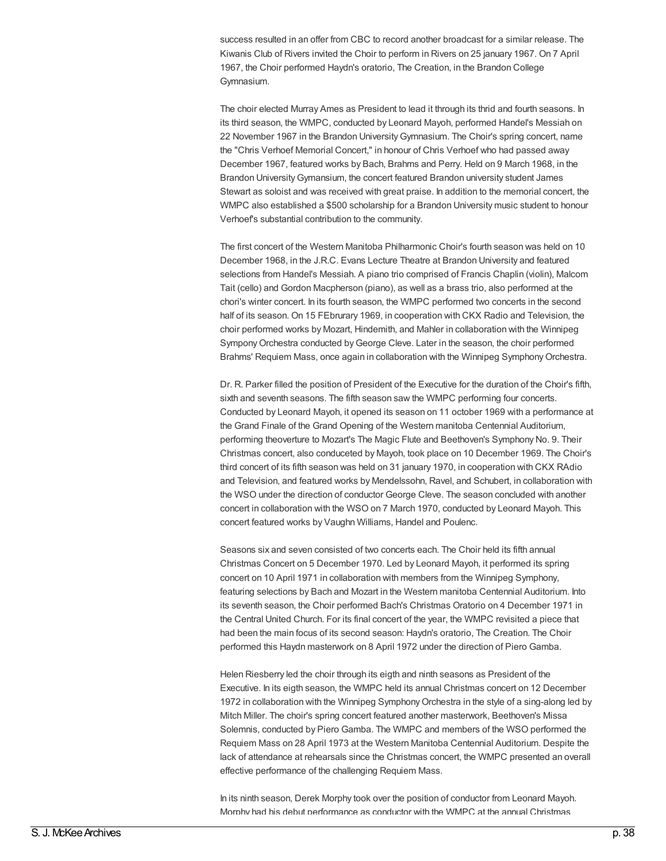success resulted in an offer from CBC to record another broadcast for a similar release. The Kiwanis Club of Rivers invited the Choir to perform in Rivers on 25 january 1967. On 7 April 1967, the Choir performed Haydn's oratorio, The Creation, in the Brandon College Gymnasium.

The choir elected Murray Ames as President to lead it through its thrid and fourth seasons. In its third season, the WMPC, conducted by Leonard Mayoh, performed Handel's Messiah on 22 November 1967 in the Brandon UniversityGymnasium. The Choir's spring concert, name the "Chris Verhoef Memorial Concert," in honour of Chris Verhoef who had passed away December 1967, featured works by Bach, Brahms and Perry. Held on 9 March 1968, in the Brandon UniversityGymansium, the concert featured Brandon university student James Stewart as soloist and was received with great praise. In addition to the memorial concert, the WMPC also established a \$500 scholarship for a Brandon University music student to honour Verhoef's substantial contribution to the community.

The first concert of the Western Manitoba Philharmonic Choir's fourth season was held on 10 December 1968, in the J.R.C. Evans Lecture Theatre at Brandon University and featured selections from Handel's Messiah. A piano trio comprised of Francis Chaplin (violin), Malcom Tait (cello) and Gordon Macpherson (piano), as well as a brass trio, also performed at the chori's winter concert. In its fourth season, the WMPC performed two concerts in the second half of its season. On 15 FEbrurary 1969, in cooperation with CKX Radio and Television, the choir performed works by Mozart, Hindemith, and Mahler in collaboration with the Winnipeg Sympony Orchestra conducted by George Cleve. Later in the season, the choir performed Brahms' Requiem Mass, once again in collaboration with the Winnipeg SymphonyOrchestra.

Dr. R. Parker filled the position of President of the Executive for the duration of the Choir's fifth, sixth and seventh seasons. The fifth season saw the WMPC performing four concerts. Conducted by Leonard Mayoh, it opened its season on 11 october 1969 with a performance at the Grand Finale of the Grand Opening of the Western manitoba Centennial Auditorium, performing theoverture to Mozart's The Magic Flute and Beethoven's Symphony No. 9. Their Christmas concert, also conduceted by Mayoh, took place on 10 December 1969. The Choir's third concert of its fifth season was held on 31 january 1970, in cooperation with CKX RAdio and Television, and featured works by Mendelssohn, Ravel, and Schubert, in collaboration with the WSO under the direction of conductor George Cleve. The season concluded with another concert in collaboration with the WSO on 7 March 1970, conducted by Leonard Mayoh. This concert featured works by Vaughn Williams, Handel and Poulenc.

Seasons six and seven consisted of two concerts each. The Choir held its fifth annual Christmas Concert on 5 December 1970. Led by Leonard Mayoh, it performed its spring concert on 10 April 1971 in collaboration with members from the Winnipeg Symphony, featuring selections by Bach and Mozart in the Western manitoba Centennial Auditorium. Into its seventh season, the Choir performed Bach's Christmas Oratorio on 4 December 1971 in the Central United Church. For its final concert of the year, the WMPC revisited a piece that had been the main focus of its second season: Haydn's oratorio, The Creation. The Choir performed this Haydn masterwork on 8 April 1972 under the direction of Piero Gamba.

Helen Riesberry led the choir through its eigth and ninth seasons as President of the Executive. In its eigth season, the WMPC held its annual Christmas concert on 12 December 1972 in collaboration with the Winnipeg SymphonyOrchestra in the style of a sing-along led by Mitch Miller. The choir's spring concert featured another masterwork, Beethoven's Missa Solemnis, conducted by Piero Gamba. The WMPC and members of the WSO performed the Requiem Mass on 28 April 1973 at the Western Manitoba Centennial Auditorium. Despite the lack of attendance at rehearsals since the Christmas concert, the WMPC presented an overall effective performance of the challenging Requiem Mass.

In its ninth season, Derek Morphy took over the position of conductor from Leonard Mayoh. Morphy had his debut performance as conductor with the WMPC at the annual Christmas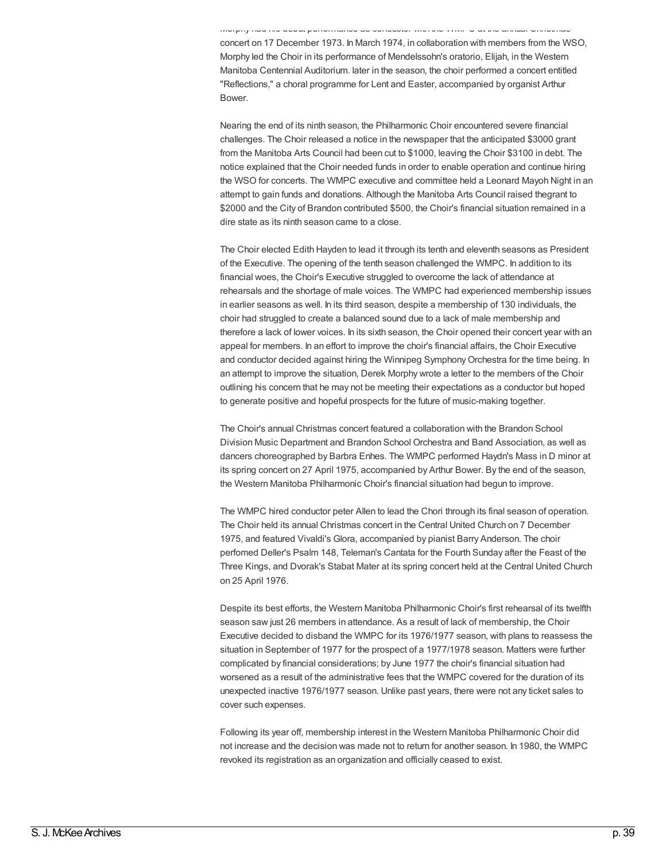Morphy had his debut performance as conductor with the WMPC at the annual Christmas concert on 17 December 1973. In March 1974, in collaboration with members from the WSO, Morphy led the Choir in its performance of Mendelssohn's oratorio, Elijah, in the Western Manitoba Centennial Auditorium. later in the season, the choir performed a concert entitled "Reflections," a choral programme for Lent and Easter, accompanied by organist Arthur Bower.

Nearing the end of its ninth season, the Philharmonic Choir encountered severe financial challenges. The Choir released a notice in the newspaper that the anticipated \$3000 grant from the Manitoba Arts Council had been cut to \$1000, leaving the Choir \$3100 in debt. The notice explained that the Choir needed funds in order to enable operation and continue hiring the WSO for concerts. The WMPC executive and committee held a Leonard Mayoh Night in an attempt to gain funds and donations. Although the Manitoba Arts Council raised thegrant to \$2000 and the City of Brandon contributed \$500, the Choir's financial situation remained in a dire state as its ninth season came to a close.

The Choir elected Edith Hayden to lead it through its tenth and eleventh seasons as President of the Executive. The opening of the tenth season challenged the WMPC. In addition to its financial woes, the Choir's Executive struggled to overcome the lack of attendance at rehearsals and the shortage of male voices. The WMPC had experienced membership issues in earlier seasons as well. In its third season, despite a membership of 130 individuals, the choir had struggled to create a balanced sound due to a lack of male membership and therefore a lack of lower voices. In its sixth season, the Choir opened their concert year with an appeal for members. In an effort to improve the choir's financial affairs, the Choir Executive and conductor decided against hiring the Winnipeg Symphony Orchestra for the time being. In an attempt to improve the situation, Derek Morphy wrote a letter to the members of the Choir outlining his concern that he may not be meeting their expectations as a conductor but hoped to generate positive and hopeful prospects for the future of music-making together.

The Choir's annual Christmas concert featured a collaboration with the Brandon School Division Music Department and Brandon School Orchestra and Band Association, as well as dancers choreographed by Barbra Enhes. The WMPC performed Haydn's Mass in D minor at its spring concert on 27 April 1975, accompanied by Arthur Bower. By the end of the season, the Western Manitoba Philharmonic Choir's financial situation had begun to improve.

The WMPC hired conductor peter Allen to lead the Chori through its final season of operation. The Choir held its annual Christmas concert in the Central United Church on 7 December 1975, and featured Vivaldi's Glora, accompanied by pianist Barry Anderson. The choir perfomed Deller's Psalm 148, Teleman's Cantata for the Fourth Sunday after the Feast of the Three Kings, and Dvorak's Stabat Mater at its spring concert held at the Central United Church on 25 April 1976.

Despite its best efforts, the Western Manitoba Philharmonic Choir's first rehearsal of its twelfth season saw just 26 members in attendance. As a result of lack of membership, the Choir Executive decided to disband the WMPC for its 1976/1977 season, with plans to reassess the situation in September of 1977 for the prospect of a 1977/1978 season. Matters were further complicated by financial considerations; by June 1977 the choir's financial situation had worsened as a result of the administrative fees that the WMPC covered for the duration of its unexpected inactive 1976/1977 season. Unlike past years, there were not any ticket sales to cover such expenses.

Following its year off, membership interest in the Western Manitoba Philharmonic Choir did not increase and the decision was made not to return for another season. In 1980, the WMPC revoked its registration as an organization and officially ceased to exist.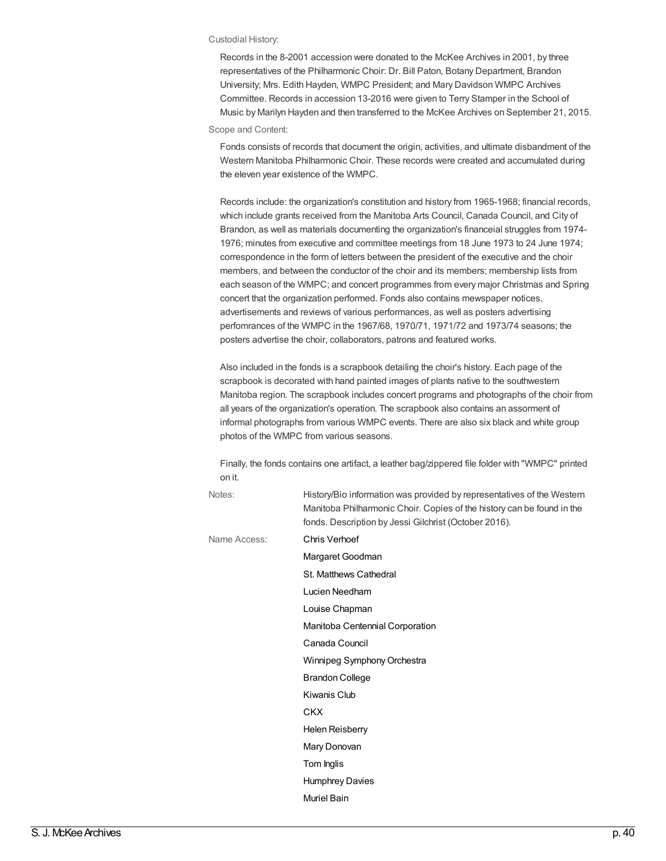#### Custodial History:

Records in the 8-2001 accession were donated to the McKee Archives in 2001, by three representatives of the Philharmonic Choir: Dr. Bill Paton, Botany Department, Brandon University; Mrs. Edith Hayden, WMPC President; and Mary Davidson WMPC Archives Committee. Records in accession 13-2016 were given to Terry Stamper in the School of Music by Marilyn Hayden and then transferred to the McKee Archives on September 21, 2015.

### Scope and Content:

Fonds consists of records that document the origin, activities, and ultimate disbandment of the Western Manitoba Philharmonic Choir. These records were created and accumulated during the eleven year existence of the WMPC.

Records include: the organization's constitution and history from 1965-1968; financial records, which include grants received from the Manitoba Arts Council, Canada Council, and City of Brandon, as well as materials documenting the organization's financeial struggles from 1974- 1976; minutes from executive and committee meetings from 18 June 1973 to 24 June 1974; correspondence in the form of letters between the president of the executive and the choir members, and between the conductor of the choir and its members; membership lists from each season of the WMPC; and concert programmes from every major Christmas and Spring concert that the organization performed. Fonds also contains mewspaper notices, advertisements and reviews of various performances, as well as posters advertising perfomrances of the WMPC in the 1967/68, 1970/71, 1971/72 and 1973/74 seasons; the posters advertise the choir, collaborators, patrons and featured works.

Also included in the fonds is a scrapbook detailing the choir's history. Each page of the scrapbook is decorated with hand painted images of plants native to the southwestern Manitoba region. The scrapbook includes concert programs and photographs of the choir from all years of the organization's operation. The scrapbook also contains an assorment of informal photographs from various WMPC events. There are also six black and white group photos of the WMPC from various seasons.

Finally, the fonds contains one artifact, a leather bag/zippered file folder with "WMPC" printed on it.

| Notes:       | History/Bio information was provided by representatives of the Western<br>Manitoba Philharmonic Choir. Copies of the history can be found in the<br>fonds. Description by Jessi Gilchrist (October 2016). |
|--------------|-----------------------------------------------------------------------------------------------------------------------------------------------------------------------------------------------------------|
| Name Access: | Chris Verhoef                                                                                                                                                                                             |
|              | Margaret Goodman                                                                                                                                                                                          |
|              | St. Matthews Cathedral                                                                                                                                                                                    |
|              | Lucien Needham                                                                                                                                                                                            |
|              | Louise Chapman                                                                                                                                                                                            |
|              | Manitoba Centennial Corporation                                                                                                                                                                           |
|              | Canada Council                                                                                                                                                                                            |
|              | Winnipeg Symphony Orchestra                                                                                                                                                                               |
|              | <b>Brandon College</b>                                                                                                                                                                                    |
|              | Kiwanis Club                                                                                                                                                                                              |
|              | <b>CKX</b>                                                                                                                                                                                                |
|              | <b>Helen Reisberry</b>                                                                                                                                                                                    |
|              | Mary Donovan                                                                                                                                                                                              |
|              | Tom Inglis                                                                                                                                                                                                |
|              | <b>Humphrey Davies</b>                                                                                                                                                                                    |
|              | <b>Muriel Bain</b>                                                                                                                                                                                        |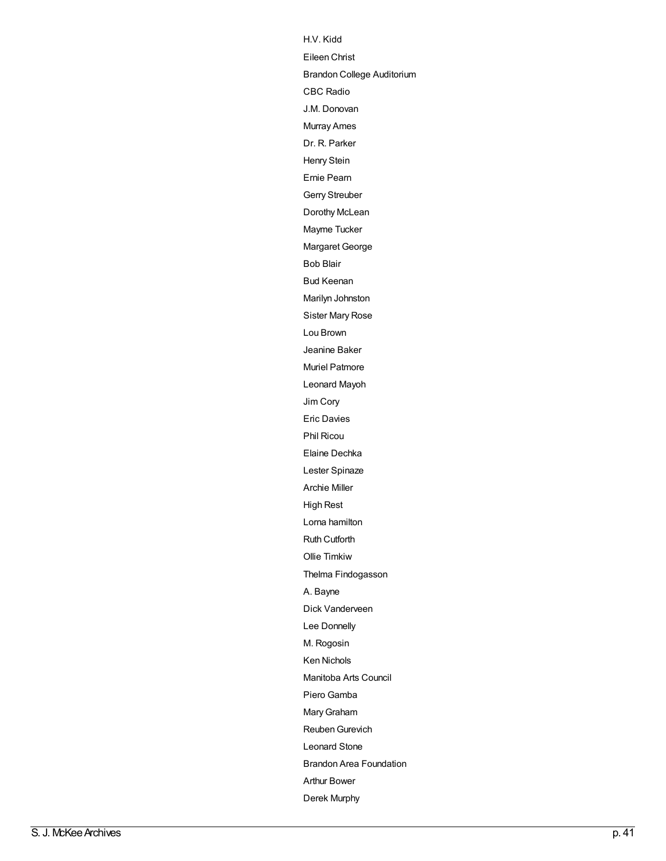[H.V.](http://archives.brandonu.ca/en/list?q=name%3a%22H.V.+Kidd%22&p=1&ps=&sort=title_sort+asc) Kid d Eileen Christ Eileen Chris[t](http://archives.brandonu.ca/en/list?q=name%3a%22Eileen+Christ%22&p=1&ps=&sort=title_sort+asc)<br>[B](http://archives.brandonu.ca/en/list?q=name%3a%22Brandon+College+Auditorium%22&p=1&ps=&sort=title_sort+asc)randon College Auditorium C B C R a [dio](http://archives.brandonu.ca/en/list?q=name%3a%22CBC+Radio%22&p=1&ps=&sort=title_sort+asc) [J.M.](http://archives.brandonu.ca/en/list?q=name%3a%22J.M.+Donovan%22&p=1&ps=&sort=title_sort+asc) Donovan Mu[rra](http://archives.brandonu.ca/en/list?q=name%3a%22Murray+Ames%22&p=1&ps=&sort=title_sort+asc)y Ames Dr. [R.](http://archives.brandonu.ca/en/list?q=name%3a%22Dr.+R.+Parker%22&p=1&ps=&sort=title_sort+asc) Parker H e n ry S [tein](http://archives.brandonu.ca/en/list?q=name%3a%22Henry+Stein%22&p=1&ps=&sort=title_sort+asc) E[rnie](http://archives.brandonu.ca/en/list?q=name%3a%22Ernie+Pearn%22&p=1&ps=&sort=title_sort+asc) Pearn Ger[ry](http://archives.brandonu.ca/en/list?q=name%3a%22Gerry+Streuber%22&p=1&ps=&sort=title_sort+asc) Streuber Do[ro](http://archives.brandonu.ca/en/list?q=name%3a%22Dorothy+McLean%22&p=1&ps=&sort=title_sort+asc)thy McLean [M](http://archives.brandonu.ca/en/list?q=name%3a%22Mayme+Tucker%22&p=1&ps=&sort=title_sort+asc)ayme Tucker Ma[rg](http://archives.brandonu.ca/en/list?q=name%3a%22Margaret+George%22&p=1&ps=&sort=title_sort+asc)aret George B o b [Blair](http://archives.brandonu.ca/en/list?q=name%3a%22Bob+Blair%22&p=1&ps=&sort=title_sort+asc) [B](http://archives.brandonu.ca/en/list?q=name%3a%22Bud+Keenan%22&p=1&ps=&sort=title_sort+asc)ud Keenan Ma[rily](http://archives.brandonu.ca/en/list?q=name%3a%22Marilyn+Johnston%22&p=1&ps=&sort=title_sort+asc)n Johnston [Sis](http://archives.brandonu.ca/en/list?q=name%3a%22Sister+Mary+Rose%22&p=1&ps=&sort=title_sort+asc)ter Mary Rose Lou B[ro](http://archives.brandonu.ca/en/list?q=name%3a%22Lou+Brown%22&p=1&ps=&sort=title_sort+asc)wn Jea[nin](http://archives.brandonu.ca/en/list?q=name%3a%22Jeanine+Baker%22&p=1&ps=&sort=title_sort+asc)e Baker Mu[riel](http://archives.brandonu.ca/en/list?q=name%3a%22Muriel+Patmore%22&p=1&ps=&sort=title_sort+asc) Patmore Leonard Ma[yo](http://archives.brandonu.ca/en/list?q=name%3a%22Leonard+Mayoh%22&p=1&ps=&sort=title_sort+asc)h [Jim](http://archives.brandonu.ca/en/list?q=name%3a%22Jim+Cory%22&p=1&ps=&sort=title_sort+asc) C o ry E ric D a [vie](http://archives.brandonu.ca/en/list?q=name%3a%22Eric+Davies%22&p=1&ps=&sort=title_sort+asc) s P hil [Ric](http://archives.brandonu.ca/en/list?q=name%3a%22Phil+Ricou%22&p=1&ps=&sort=title_sort+asc) o u [Elain](http://archives.brandonu.ca/en/list?q=name%3a%22Elaine+Dechka%22&p=1&ps=&sort=title_sort+asc)e Dechka Lester S[pin](http://archives.brandonu.ca/en/list?q=name%3a%22Lester+Spinaze%22&p=1&ps=&sort=title_sort+asc)aze A rc hie [Mille](http://archives.brandonu.ca/en/list?q=name%3a%22Archie+Miller%22&p=1&ps=&sort=title_sort+asc) r High Res[t](http://archives.brandonu.ca/en/list?q=name%3a%22High+Rest%22&p=1&ps=&sort=title_sort+asc)<br>[L](http://archives.brandonu.ca/en/list?q=name%3a%22Lorna+hamilton%22&p=1&ps=&sort=title_sort+asc)orna ham o r n a h a milt o n Ruth Cu[tfo](http://archives.brandonu.ca/en/list?q=name%3a%22Ruth+Cutforth%22&p=1&ps=&sort=title_sort+asc)rth [Ollie](http://archives.brandonu.ca/en/list?q=name%3a%22Ollie+Timkiw%22&p=1&ps=&sort=title_sort+asc) Tim kiw Th[elm](http://archives.brandonu.ca/en/list?q=name%3a%22Thelma+Findogasson%22&p=1&ps=&sort=title_sort+asc)a Findogasson [A.](http://archives.brandonu.ca/en/list?q=name%3a%22A.+Bayne%22&p=1&ps=&sort=title_sort+asc) Bayne [Dic](http://archives.brandonu.ca/en/list?q=name%3a%22Dick+Vanderveen%22&p=1&ps=&sort=title_sort+asc)k Vanderveen Lee Donn[elly](http://archives.brandonu.ca/en/list?q=name%3a%22Lee+Donnelly%22&p=1&ps=&sort=title_sort+asc) M. Rogo[sin](http://archives.brandonu.ca/en/list?q=name%3a%22M.+Rogosin%22&p=1&ps=&sort=title_sort+asc) K e n [Nic](http://archives.brandonu.ca/en/list?q=name%3a%22Ken+Nichols%22&p=1&ps=&sort=title_sort+asc) h ols Ma[nit](http://archives.brandonu.ca/en/list?q=name%3a%22Manitoba+Arts+Council%22&p=1&ps=&sort=title_sort+asc)oba Arts Council Piero [Gamba](http://archives.brandonu.ca/en/list?q=name%3a%22Piero+Gamba%22&p=1&ps=&sort=title_sort+asc) Mary Graham Reuben Gurevich [Leonard](http://archives.brandonu.ca/en/list?q=name%3a%22Leonard+Stone%22&p=1&ps=&sort=title_sort+asc) Stone [Brandon](http://archives.brandonu.ca/en/list?q=name%3a%22Brandon+Area+Foundation%22&p=1&ps=&sort=title_sort+asc) Area Founda tio n Arthur Bower Derek Mu[rp](http://archives.brandonu.ca/en/list?q=name%3a%22Derek+Murphy%22&p=1&ps=&sort=title_sort+asc)hy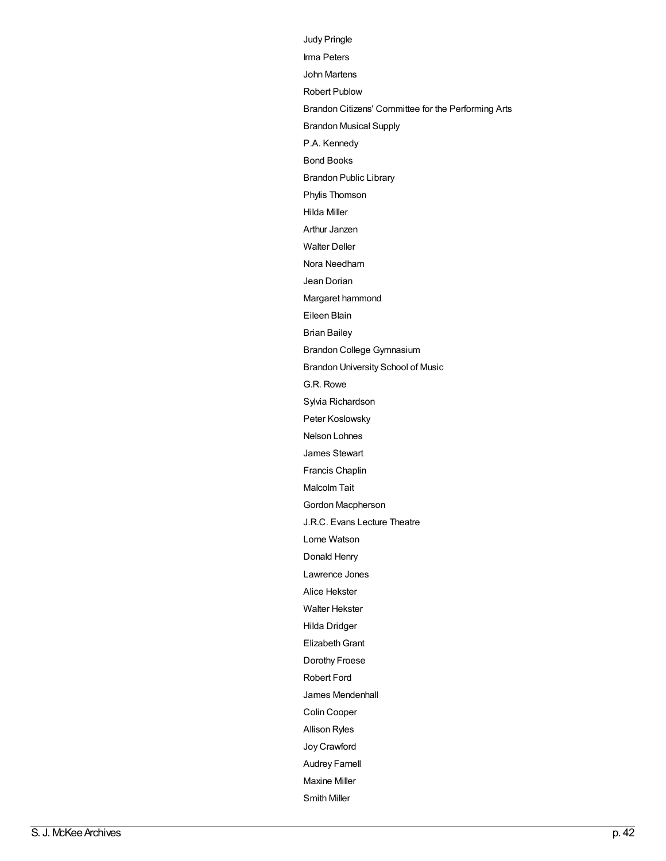Judy [Pringle](http://archives.brandonu.ca/en/list?q=name%3a%22Judy+Pringle%22&p=1&ps=&sort=title_sort+asc) Irma [Peters](http://archives.brandonu.ca/en/list?q=name%3a%22Irma+Peters%22&p=1&ps=&sort=title_sort+asc) John [Martens](http://archives.brandonu.ca/en/list?q=name%3a%22John+Martens%22&p=1&ps=&sort=title_sort+asc) Robert [Publow](http://archives.brandonu.ca/en/list?q=name%3a%22Robert+Publow%22&p=1&ps=&sort=title_sort+asc) Brandon Citizens' [Committee](http://archives.brandonu.ca/en/list?q=name%3a%22Brandon+Citizens%27+Committee+for+the+Performing+Arts%22&p=1&ps=&sort=title_sort+asc) for the Performing Arts [Brandon](http://archives.brandonu.ca/en/list?q=name%3a%22Brandon+Musical+Supply%22&p=1&ps=&sort=title_sort+asc) Musical Supply P.A. [Kennedy](http://archives.brandonu.ca/en/list?q=name%3a%22P.A.+Kennedy%22&p=1&ps=&sort=title_sort+asc) Bond [Books](http://archives.brandonu.ca/en/list?q=name%3a%22Bond+Books%22&p=1&ps=&sort=title_sort+asc) [Brandon](http://archives.brandonu.ca/en/list?q=name%3a%22Brandon+Public+Library%22&p=1&ps=&sort=title_sort+asc) Public Library Phylis [Thomson](http://archives.brandonu.ca/en/list?q=name%3a%22Phylis+Thomson%22&p=1&ps=&sort=title_sort+asc) Hilda [Miller](http://archives.brandonu.ca/en/list?q=name%3a%22Hilda+Miller%22&p=1&ps=&sort=title_sort+asc) Arthur [Janzen](http://archives.brandonu.ca/en/list?q=name%3a%22Arthur+Janzen%22&p=1&ps=&sort=title_sort+asc) [Walter](http://archives.brandonu.ca/en/list?q=name%3a%22Walter+Deller%22&p=1&ps=&sort=title_sort+asc) Deller Nora [Needham](http://archives.brandonu.ca/en/list?q=name%3a%22Nora+Needham%22&p=1&ps=&sort=title_sort+asc) Jean [Dorian](http://archives.brandonu.ca/en/list?q=name%3a%22Jean+Dorian%22&p=1&ps=&sort=title_sort+asc) Margaret [hammond](http://archives.brandonu.ca/en/list?q=name%3a%22Margaret+hammond%22&p=1&ps=&sort=title_sort+asc) [Eileen](http://archives.brandonu.ca/en/list?q=name%3a%22Eileen+Blain%22&p=1&ps=&sort=title_sort+asc) Blain Brian [Bailey](http://archives.brandonu.ca/en/list?q=name%3a%22Brian+Bailey%22&p=1&ps=&sort=title_sort+asc) Brandon College [Gymnasium](http://archives.brandonu.ca/en/list?q=name%3a%22Brandon+College+Gymnasium%22&p=1&ps=&sort=title_sort+asc) Brandon [University](http://archives.brandonu.ca/en/list?q=name%3a%22Brandon+University+School+of+Music%22&p=1&ps=&sort=title_sort+asc) School of Music G.R. [Rowe](http://archives.brandonu.ca/en/list?q=name%3a%22G.R.+Rowe%22&p=1&ps=&sort=title_sort+asc) Sylvia [Richardson](http://archives.brandonu.ca/en/list?q=name%3a%22Sylvia+Richardson%22&p=1&ps=&sort=title_sort+asc) Peter [Koslowsky](http://archives.brandonu.ca/en/list?q=name%3a%22Peter+Koslowsky%22&p=1&ps=&sort=title_sort+asc) Nelson [Lohnes](http://archives.brandonu.ca/en/list?q=name%3a%22Nelson+Lohnes%22&p=1&ps=&sort=title_sort+asc) James [Stewart](http://archives.brandonu.ca/en/list?q=name%3a%22James+Stewart%22&p=1&ps=&sort=title_sort+asc) [Francis](http://archives.brandonu.ca/en/list?q=name%3a%22Francis+Chaplin%22&p=1&ps=&sort=title_sort+asc) Chaplin [Malcolm](http://archives.brandonu.ca/en/list?q=name%3a%22Malcolm+Tait%22&p=1&ps=&sort=title_sort+asc) Tait Gordon [Macpherson](http://archives.brandonu.ca/en/list?q=name%3a%22Gordon+Macpherson%22&p=1&ps=&sort=title_sort+asc) J.R.C. Evans Lecture [Theatre](http://archives.brandonu.ca/en/list?q=name%3a%22J.R.C.+Evans+Lecture+Theatre%22&p=1&ps=&sort=title_sort+asc) Lorne [Watson](http://archives.brandonu.ca/en/list?q=name%3a%22Lorne+Watson%22&p=1&ps=&sort=title_sort+asc) [Donald](http://archives.brandonu.ca/en/list?q=name%3a%22Donald+Henry%22&p=1&ps=&sort=title_sort+asc) Henry [Lawrence](http://archives.brandonu.ca/en/list?q=name%3a%22Lawrence+Jones%22&p=1&ps=&sort=title_sort+asc) Jones Alice [Hekster](http://archives.brandonu.ca/en/list?q=name%3a%22Alice+Hekster%22&p=1&ps=&sort=title_sort+asc) Walter [Hekster](http://archives.brandonu.ca/en/list?q=name%3a%22Walter+Hekster%22&p=1&ps=&sort=title_sort+asc) Hilda [Dridger](http://archives.brandonu.ca/en/list?q=name%3a%22Hilda+Dridger%22&p=1&ps=&sort=title_sort+asc) **Elizabeth Grant** [Dorothy](http://archives.brandonu.ca/en/list?q=name%3a%22Dorothy+Froese%22&p=1&ps=&sort=title_sort+asc) Froese [Robert](http://archives.brandonu.ca/en/list?q=name%3a%22Robert+Ford%22&p=1&ps=&sort=title_sort+asc) Ford James [Mendenhall](http://archives.brandonu.ca/en/list?q=name%3a%22James+Mendenhall%22&p=1&ps=&sort=title_sort+asc) Colin [Cooper](http://archives.brandonu.ca/en/list?q=name%3a%22Colin+Cooper%22&p=1&ps=&sort=title_sort+asc) [Allison](http://archives.brandonu.ca/en/list?q=name%3a%22Allison+Ryles%22&p=1&ps=&sort=title_sort+asc) Ryles Joy [Crawford](http://archives.brandonu.ca/en/list?q=name%3a%22Joy+Crawford%22&p=1&ps=&sort=title_sort+asc) [Audrey](http://archives.brandonu.ca/en/list?q=name%3a%22Audrey+Farnell%22&p=1&ps=&sort=title_sort+asc) Farnell [Maxine](http://archives.brandonu.ca/en/list?q=name%3a%22Maxine+Miller%22&p=1&ps=&sort=title_sort+asc) Miller [Smith](http://archives.brandonu.ca/en/list?q=name%3a%22Smith+Miller%22&p=1&ps=&sort=title_sort+asc) Miller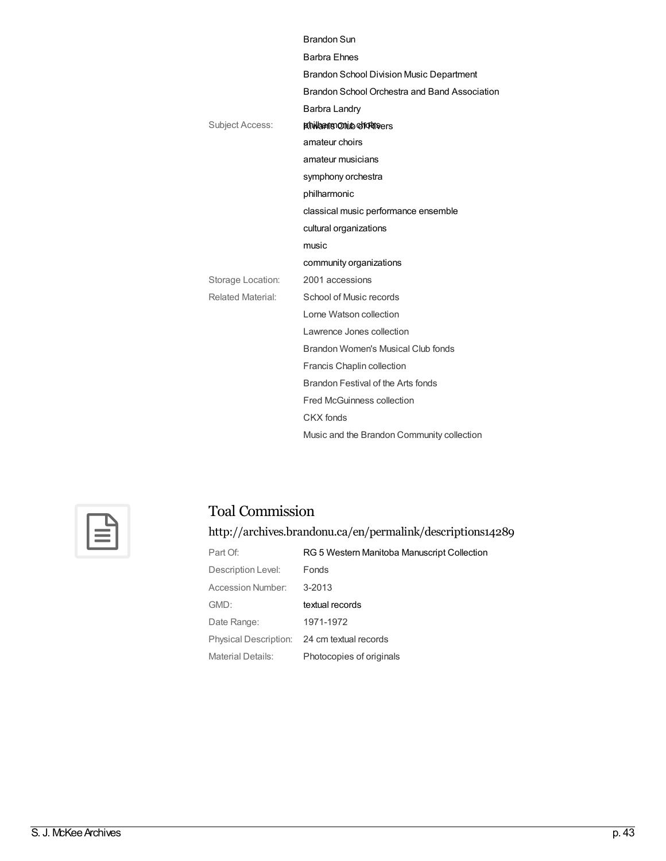|                        | <b>Brandon Sun</b>                              |
|------------------------|-------------------------------------------------|
|                        | <b>Barbra Ehnes</b>                             |
|                        | <b>Brandon School Division Music Department</b> |
|                        | Brandon School Orchestra and Band Association   |
|                        | Barbra Landry                                   |
| <b>Subject Access:</b> | <b>Exhiviaanis Onio choriners</b>               |
|                        | amateur choirs                                  |
|                        | amateur musicians                               |
|                        | symphony orchestra                              |
|                        | philharmonic                                    |
|                        | classical music performance ensemble            |
|                        | cultural organizations                          |
|                        |                                                 |
|                        | music                                           |
|                        | community organizations                         |
| Storage Location:      | 2001 accessions                                 |
| Related Material:      | School of Music records                         |
|                        | Lorne Watson collection                         |
|                        | Lawrence Jones collection                       |
|                        | Brandon Women's Musical Club fonds              |
|                        | <b>Francis Chaplin collection</b>               |
|                        | Brandon Festival of the Arts fonds              |
|                        | <b>Fred McGuinness collection</b>               |
|                        | CKX fonds                                       |



### Toal Commission

<http://archives.brandonu.ca/en/permalink/descriptions14289>

| Part Of:           | RG 5 Western Manitoba Manuscript Collection |
|--------------------|---------------------------------------------|
| Description Level: | <b>Fonds</b>                                |
| Accession Number:  | 3-2013                                      |
| GMD:               | textual records                             |
| Date Range:        | 1971-1972                                   |
|                    | Physical Description: 24 cm textual records |
| Material Details:  | Photocopies of originals                    |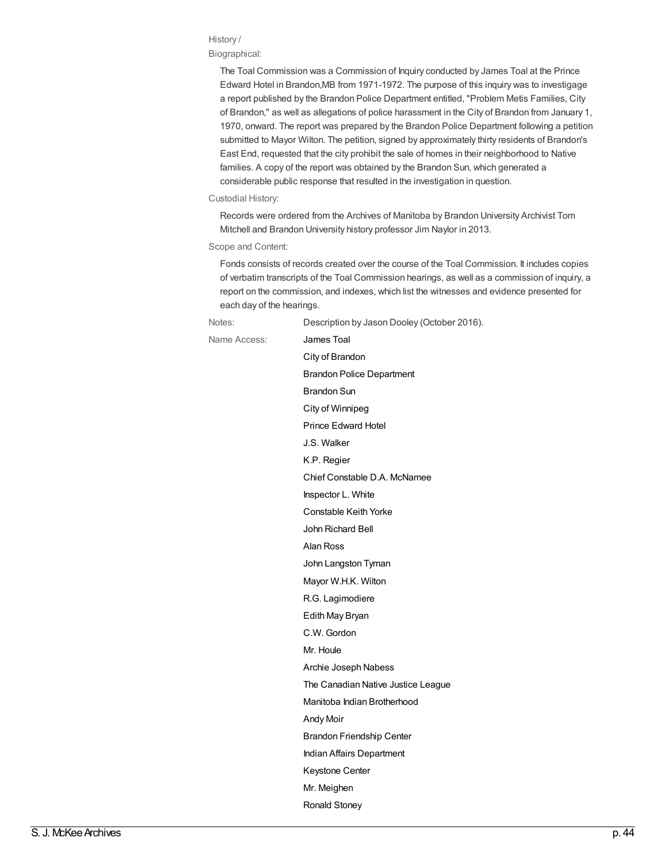### History /

### Biographical:

The Toal Commission was a Commission of Inquiry conducted by James Toal at the Prince Edward Hotel in Brandon,MB from 1971-1972. The purpose of this inquiry was to investigage a report published by the Brandon Police Department entitled, "Problem Metis Families, City of Brandon," as well as allegations of police harassment in the City of Brandon from January 1, 1970, onward. The report was prepared by the Brandon Police Department following a petition submitted to Mayor Wilton. The petition, signed by approximately thirty residents of Brandon's East End, requested that the city prohibit the sale of homes in their neighborhood to Native families. A copy of the report was obtained by the Brandon Sun, which generated a considerable public response that resulted in the investigation in question.

#### Custodial History:

Records were ordered from the Archives of Manitoba by Brandon University Archivist Tom Mitchell and Brandon University history professor Jim Naylor in 2013.

### Scope and Content:

Fonds consists of records created over the course of the Toal Commission. It includes copies of verbatim transcripts of the Toal Commission hearings, as well as a commission of inquiry, a report on the commission, and indexes, which list the witnesses and evidence presented for each day of the hearings.

Notes: Description by Jason Dooley (October 2016). Name Access: **[James](http://archives.brandonu.ca/en/list?q=name%3a%22James+Toal%22&p=1&ps=&sort=title_sort+asc) Toal** City of [Brandon](http://archives.brandonu.ca/en/list?q=name%3a%22City+of+Brandon%22&p=1&ps=&sort=title_sort+asc) Brandon Police [Department](http://archives.brandonu.ca/en/list?q=name%3a%22Brandon+Police+Department%22&p=1&ps=&sort=title_sort+asc) [Brandon](http://archives.brandonu.ca/en/list?q=name%3a%22Brandon+Sun%22&p=1&ps=&sort=title_sort+asc) Sun City of [Winnipeg](http://archives.brandonu.ca/en/list?q=name%3a%22City+of+Winnipeg%22&p=1&ps=&sort=title_sort+asc) Prince [Edward](http://archives.brandonu.ca/en/list?q=name%3a%22Prince+Edward+Hotel%22&p=1&ps=&sort=title_sort+asc) Hotel J.S. [Walker](http://archives.brandonu.ca/en/list?q=name%3a%22J.S.+Walker%22&p=1&ps=&sort=title_sort+asc) K.P. [Regier](http://archives.brandonu.ca/en/list?q=name%3a%22K.P.+Regier%22&p=1&ps=&sort=title_sort+asc) Chief Constable D.A. [McNamee](http://archives.brandonu.ca/en/list?q=name%3a%22Chief+Constable+D.A.+McNamee%22&p=1&ps=&sort=title_sort+asc) [Inspector](http://archives.brandonu.ca/en/list?q=name%3a%22Inspector+L.+White%22&p=1&ps=&sort=title_sort+asc) L. White [Constable](http://archives.brandonu.ca/en/list?q=name%3a%22Constable+Keith+Yorke%22&p=1&ps=&sort=title_sort+asc) Keith Yorke John [Richard](http://archives.brandonu.ca/en/list?q=name%3a%22John+Richard+Bell%22&p=1&ps=&sort=title_sort+asc) Bell Alan [Ross](http://archives.brandonu.ca/en/list?q=name%3a%22Alan+Ross%22&p=1&ps=&sort=title_sort+asc) John [Langston](http://archives.brandonu.ca/en/list?q=name%3a%22John+Langston+Tyman%22&p=1&ps=&sort=title_sort+asc) Tyman Mayor [W.H.K.](http://archives.brandonu.ca/en/list?q=name%3a%22Mayor+W.H.K.+Wilton%22&p=1&ps=&sort=title_sort+asc) Wilton R.G. [Lagimodiere](http://archives.brandonu.ca/en/list?q=name%3a%22R.G.+Lagimodiere%22&p=1&ps=&sort=title_sort+asc) Edith May [Bryan](http://archives.brandonu.ca/en/list?q=name%3a%22Edith+May+Bryan%22&p=1&ps=&sort=title_sort+asc) C.W. [Gordon](http://archives.brandonu.ca/en/list?q=name%3a%22C.W.+Gordon%22&p=1&ps=&sort=title_sort+asc) Mr. [Houle](http://archives.brandonu.ca/en/list?q=name%3a%22Mr.+Houle%22&p=1&ps=&sort=title_sort+asc) Archie Joseph [Nabess](http://archives.brandonu.ca/en/list?q=name%3a%22Archie+Joseph+Nabess%22&p=1&ps=&sort=title_sort+asc) The [Canadian](http://archives.brandonu.ca/en/list?q=name%3a%22The+Canadian+Native+Justice+League%22&p=1&ps=&sort=title_sort+asc) Native Justice League Manitoba Indian [Brotherhood](http://archives.brandonu.ca/en/list?q=name%3a%22Manitoba+Indian+Brotherhood%22&p=1&ps=&sort=title_sort+asc) [Andy](http://archives.brandonu.ca/en/list?q=name%3a%22Andy+Moir%22&p=1&ps=&sort=title_sort+asc) Moir Brandon [Friendship](http://archives.brandonu.ca/en/list?q=name%3a%22Brandon+Friendship+Center%22&p=1&ps=&sort=title_sort+asc) Center Indian Affairs [Department](http://archives.brandonu.ca/en/list?q=name%3a%22Indian+Affairs+Department%22&p=1&ps=&sort=title_sort+asc) [Keystone](http://archives.brandonu.ca/en/list?q=name%3a%22Keystone+Center%22&p=1&ps=&sort=title_sort+asc) Center Mr. [Meighen](http://archives.brandonu.ca/en/list?q=name%3a%22Mr.+Meighen%22&p=1&ps=&sort=title_sort+asc) [Ronald](http://archives.brandonu.ca/en/list?q=name%3a%22Ronald+Stoney%22&p=1&ps=&sort=title_sort+asc) Stoney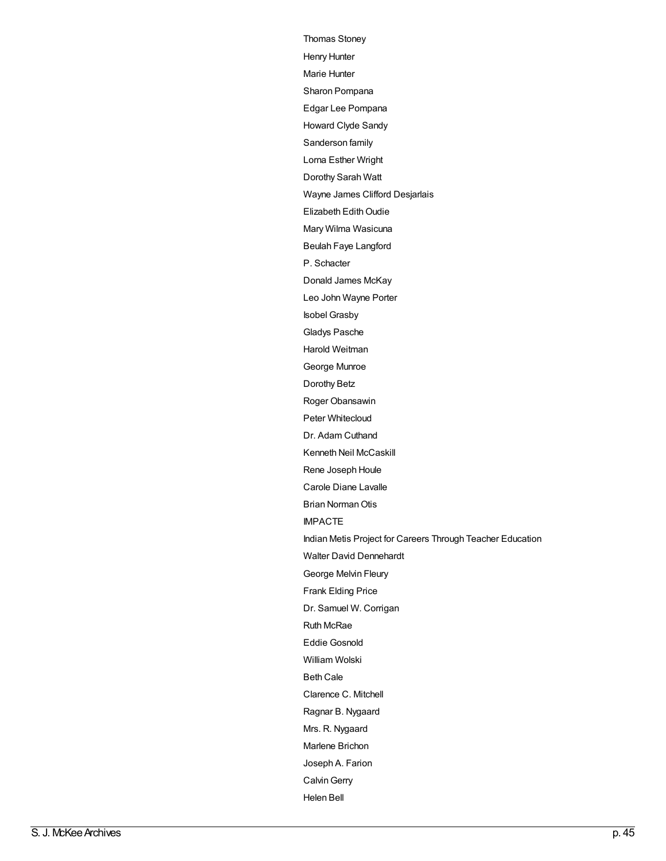[Thomas](http://archives.brandonu.ca/en/list?q=name%3a%22Thomas+Stoney%22&p=1&ps=&sort=title_sort+asc) Stoney Henry [Hunter](http://archives.brandonu.ca/en/list?q=name%3a%22Henry+Hunter%22&p=1&ps=&sort=title_sort+asc) Marie [Hunter](http://archives.brandonu.ca/en/list?q=name%3a%22Marie+Hunter%22&p=1&ps=&sort=title_sort+asc) Sharon [Pompana](http://archives.brandonu.ca/en/list?q=name%3a%22Sharon+Pompana%22&p=1&ps=&sort=title_sort+asc) Edgar Lee [Pompana](http://archives.brandonu.ca/en/list?q=name%3a%22Edgar+Lee+Pompana%22&p=1&ps=&sort=title_sort+asc) [Howard](http://archives.brandonu.ca/en/list?q=name%3a%22Howard+Clyde+Sandy%22&p=1&ps=&sort=title_sort+asc) Clyde Sandy [Sanderson](http://archives.brandonu.ca/en/list?q=name%3a%22Sanderson+family%22&p=1&ps=&sort=title_sort+asc) family Lorna [Esther](http://archives.brandonu.ca/en/list?q=name%3a%22Lorna+Esther+Wright%22&p=1&ps=&sort=title_sort+asc) Wright [Dorothy](http://archives.brandonu.ca/en/list?q=name%3a%22Dorothy+Sarah+Watt%22&p=1&ps=&sort=title_sort+asc) Sarah Watt Wayne James Clifford [Desjarlais](http://archives.brandonu.ca/en/list?q=name%3a%22Wayne+James+Clifford+Desjarlais%22&p=1&ps=&sort=title_sort+asc) Elizabeth Edith Oudie Mary Wilma [Wasicuna](http://archives.brandonu.ca/en/list?q=name%3a%22Mary+Wilma+Wasicuna%22&p=1&ps=&sort=title_sort+asc) Beulah Faye [Langford](http://archives.brandonu.ca/en/list?q=name%3a%22Beulah+Faye+Langford%22&p=1&ps=&sort=title_sort+asc) P. [Schacter](http://archives.brandonu.ca/en/list?q=name%3a%22P.+Schacter%22&p=1&ps=&sort=title_sort+asc) [Donald](http://archives.brandonu.ca/en/list?q=name%3a%22Donald+James+McKay%22&p=1&ps=&sort=title_sort+asc) James McKay Leo John [Wayne](http://archives.brandonu.ca/en/list?q=name%3a%22Leo+John+Wayne+Porter%22&p=1&ps=&sort=title_sort+asc) Porter Isobel [Grasby](http://archives.brandonu.ca/en/list?q=name%3a%22Isobel+Grasby%22&p=1&ps=&sort=title_sort+asc) Gladys [Pasche](http://archives.brandonu.ca/en/list?q=name%3a%22Gladys+Pasche%22&p=1&ps=&sort=title_sort+asc) Harold [Weitman](http://archives.brandonu.ca/en/list?q=name%3a%22Harold+Weitman%22&p=1&ps=&sort=title_sort+asc) [George](http://archives.brandonu.ca/en/list?q=name%3a%22George+Munroe%22&p=1&ps=&sort=title_sort+asc) Munroe [Dorothy](http://archives.brandonu.ca/en/list?q=name%3a%22Dorothy+Betz%22&p=1&ps=&sort=title_sort+asc) Betz Roger [Obansawin](http://archives.brandonu.ca/en/list?q=name%3a%22Roger+Obansawin%22&p=1&ps=&sort=title_sort+asc) Peter [Whitecloud](http://archives.brandonu.ca/en/list?q=name%3a%22Peter+Whitecloud%22&p=1&ps=&sort=title_sort+asc) Dr. Adam [Cuthand](http://archives.brandonu.ca/en/list?q=name%3a%22Dr.+Adam+Cuthand%22&p=1&ps=&sort=title_sort+asc) Kenneth Neil [McCaskill](http://archives.brandonu.ca/en/list?q=name%3a%22Kenneth+Neil+McCaskill%22&p=1&ps=&sort=title_sort+asc) Rene [Joseph](http://archives.brandonu.ca/en/list?q=name%3a%22Rene+Joseph+Houle%22&p=1&ps=&sort=title_sort+asc) Houle Carole Diane [Lavalle](http://archives.brandonu.ca/en/list?q=name%3a%22Carole+Diane+Lavalle%22&p=1&ps=&sort=title_sort+asc) Brian Norman Otis [IMPACTE](http://archives.brandonu.ca/en/list?q=name%3a%22IMPACTE%22&p=1&ps=&sort=title_sort+asc) Indian Metis Project for Careers Through Teacher [Education](http://archives.brandonu.ca/en/list?q=name%3a%22Indian+Metis+Project+for+Careers+Through+Teacher+Education%22&p=1&ps=&sort=title_sort+asc) Walter David [Dennehardt](http://archives.brandonu.ca/en/list?q=name%3a%22Walter+David+Dennehardt%22&p=1&ps=&sort=title_sort+asc) [George](http://archives.brandonu.ca/en/list?q=name%3a%22George+Melvin+Fleury%22&p=1&ps=&sort=title_sort+asc) Melvin Fleury Frank [Elding](http://archives.brandonu.ca/en/list?q=name%3a%22Frank+Elding+Price%22&p=1&ps=&sort=title_sort+asc) Price Dr. Samuel W. [Corrigan](http://archives.brandonu.ca/en/list?q=name%3a%22Dr.+Samuel+W.+Corrigan%22&p=1&ps=&sort=title_sort+asc) Ruth [McRae](http://archives.brandonu.ca/en/list?q=name%3a%22Ruth+McRae%22&p=1&ps=&sort=title_sort+asc) Eddie [Gosnold](http://archives.brandonu.ca/en/list?q=name%3a%22Eddie+Gosnold%22&p=1&ps=&sort=title_sort+asc) [William](http://archives.brandonu.ca/en/list?q=name%3a%22William+Wolski%22&p=1&ps=&sort=title_sort+asc) Wolski [Beth](http://archives.brandonu.ca/en/list?q=name%3a%22Beth+Cale%22&p=1&ps=&sort=title_sort+asc) Cale [Clarence](http://archives.brandonu.ca/en/list?q=name%3a%22Clarence+C.+Mitchell%22&p=1&ps=&sort=title_sort+asc) C. Mitchell Ragnar B. [Nygaard](http://archives.brandonu.ca/en/list?q=name%3a%22Ragnar+B.+Nygaard%22&p=1&ps=&sort=title_sort+asc) Mrs. R. [Nygaard](http://archives.brandonu.ca/en/list?q=name%3a%22Mrs.+R.+Nygaard%22&p=1&ps=&sort=title_sort+asc) [Marlene](http://archives.brandonu.ca/en/list?q=name%3a%22Marlene+Brichon%22&p=1&ps=&sort=title_sort+asc) Brichon [Joseph](http://archives.brandonu.ca/en/list?q=name%3a%22Joseph+A.+Farion%22&p=1&ps=&sort=title_sort+asc) A. Farion **Calvin Gerry** [Helen](http://archives.brandonu.ca/en/list?q=name%3a%22Helen+Bell%22&p=1&ps=&sort=title_sort+asc) Bell